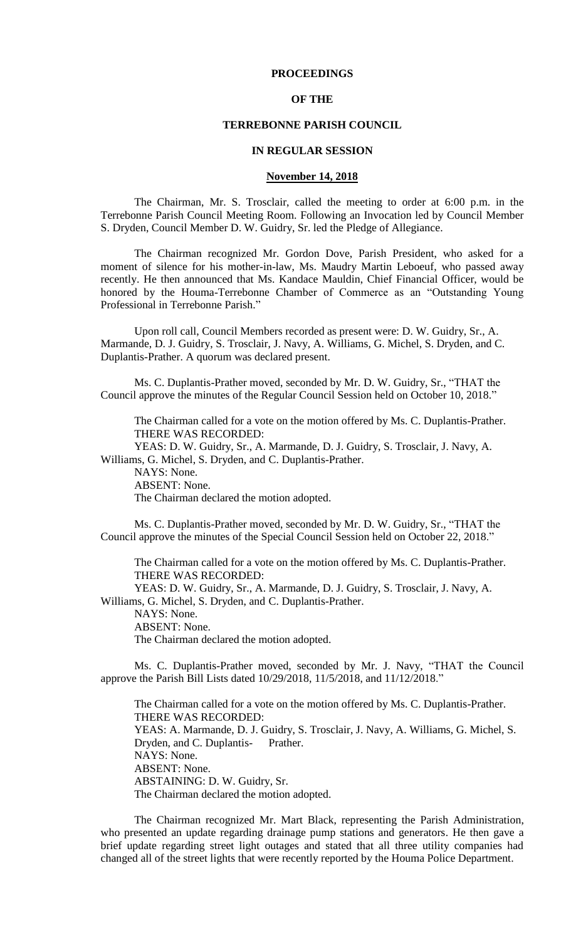## **PROCEEDINGS**

## **OF THE**

#### **TERREBONNE PARISH COUNCIL**

#### **IN REGULAR SESSION**

#### **November 14, 2018**

The Chairman, Mr. S. Trosclair, called the meeting to order at 6:00 p.m. in the Terrebonne Parish Council Meeting Room. Following an Invocation led by Council Member S. Dryden, Council Member D. W. Guidry, Sr. led the Pledge of Allegiance.

The Chairman recognized Mr. Gordon Dove, Parish President, who asked for a moment of silence for his mother-in-law, Ms. Maudry Martin Leboeuf, who passed away recently. He then announced that Ms. Kandace Mauldin, Chief Financial Officer, would be honored by the Houma-Terrebonne Chamber of Commerce as an "Outstanding Young Professional in Terrebonne Parish."

Upon roll call, Council Members recorded as present were: D. W. Guidry, Sr., A. Marmande, D. J. Guidry, S. Trosclair, J. Navy, A. Williams, G. Michel, S. Dryden, and C. Duplantis-Prather. A quorum was declared present.

Ms. C. Duplantis-Prather moved, seconded by Mr. D. W. Guidry, Sr., "THAT the Council approve the minutes of the Regular Council Session held on October 10, 2018."

The Chairman called for a vote on the motion offered by Ms. C. Duplantis-Prather. THERE WAS RECORDED:

YEAS: D. W. Guidry, Sr., A. Marmande, D. J. Guidry, S. Trosclair, J. Navy, A. Williams, G. Michel, S. Dryden, and C. Duplantis-Prather.

NAYS: None. ABSENT: None. The Chairman declared the motion adopted.

Ms. C. Duplantis-Prather moved, seconded by Mr. D. W. Guidry, Sr., "THAT the Council approve the minutes of the Special Council Session held on October 22, 2018."

The Chairman called for a vote on the motion offered by Ms. C. Duplantis-Prather. THERE WAS RECORDED:

YEAS: D. W. Guidry, Sr., A. Marmande, D. J. Guidry, S. Trosclair, J. Navy, A. Williams, G. Michel, S. Dryden, and C. Duplantis-Prather. NAYS: None. ABSENT: None.

The Chairman declared the motion adopted.

Ms. C. Duplantis-Prather moved, seconded by Mr. J. Navy, "THAT the Council approve the Parish Bill Lists dated 10/29/2018, 11/5/2018, and 11/12/2018."

The Chairman called for a vote on the motion offered by Ms. C. Duplantis-Prather. THERE WAS RECORDED: YEAS: A. Marmande, D. J. Guidry, S. Trosclair, J. Navy, A. Williams, G. Michel, S. Dryden, and C. Duplantis- Prather. NAYS: None. ABSENT: None. ABSTAINING: D. W. Guidry, Sr. The Chairman declared the motion adopted.

The Chairman recognized Mr. Mart Black, representing the Parish Administration, who presented an update regarding drainage pump stations and generators. He then gave a brief update regarding street light outages and stated that all three utility companies had changed all of the street lights that were recently reported by the Houma Police Department.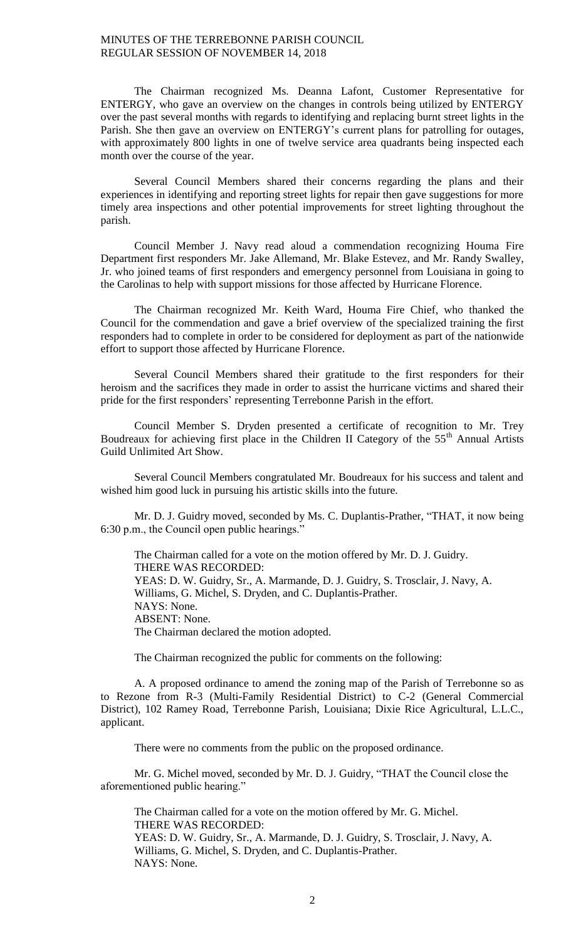The Chairman recognized Ms. Deanna Lafont, Customer Representative for ENTERGY, who gave an overview on the changes in controls being utilized by ENTERGY over the past several months with regards to identifying and replacing burnt street lights in the Parish. She then gave an overview on ENTERGY's current plans for patrolling for outages, with approximately 800 lights in one of twelve service area quadrants being inspected each month over the course of the year.

Several Council Members shared their concerns regarding the plans and their experiences in identifying and reporting street lights for repair then gave suggestions for more timely area inspections and other potential improvements for street lighting throughout the parish.

Council Member J. Navy read aloud a commendation recognizing Houma Fire Department first responders Mr. Jake Allemand, Mr. Blake Estevez, and Mr. Randy Swalley, Jr. who joined teams of first responders and emergency personnel from Louisiana in going to the Carolinas to help with support missions for those affected by Hurricane Florence.

The Chairman recognized Mr. Keith Ward, Houma Fire Chief, who thanked the Council for the commendation and gave a brief overview of the specialized training the first responders had to complete in order to be considered for deployment as part of the nationwide effort to support those affected by Hurricane Florence.

Several Council Members shared their gratitude to the first responders for their heroism and the sacrifices they made in order to assist the hurricane victims and shared their pride for the first responders' representing Terrebonne Parish in the effort.

Council Member S. Dryden presented a certificate of recognition to Mr. Trey Boudreaux for achieving first place in the Children II Category of the  $55<sup>th</sup>$  Annual Artists Guild Unlimited Art Show.

Several Council Members congratulated Mr. Boudreaux for his success and talent and wished him good luck in pursuing his artistic skills into the future.

Mr. D. J. Guidry moved, seconded by Ms. C. Duplantis-Prather, "THAT, it now being 6:30 p.m., the Council open public hearings."

The Chairman called for a vote on the motion offered by Mr. D. J. Guidry. THERE WAS RECORDED: YEAS: D. W. Guidry, Sr., A. Marmande, D. J. Guidry, S. Trosclair, J. Navy, A. Williams, G. Michel, S. Dryden, and C. Duplantis-Prather. NAYS: None. ABSENT: None. The Chairman declared the motion adopted.

The Chairman recognized the public for comments on the following:

A. A proposed ordinance to amend the zoning map of the Parish of Terrebonne so as to Rezone from R-3 (Multi-Family Residential District) to C-2 (General Commercial District), 102 Ramey Road, Terrebonne Parish, Louisiana; Dixie Rice Agricultural, L.L.C., applicant.

There were no comments from the public on the proposed ordinance.

Mr. G. Michel moved, seconded by Mr. D. J. Guidry, "THAT the Council close the aforementioned public hearing."

The Chairman called for a vote on the motion offered by Mr. G. Michel. THERE WAS RECORDED: YEAS: D. W. Guidry, Sr., A. Marmande, D. J. Guidry, S. Trosclair, J. Navy, A. Williams, G. Michel, S. Dryden, and C. Duplantis-Prather. NAYS: None.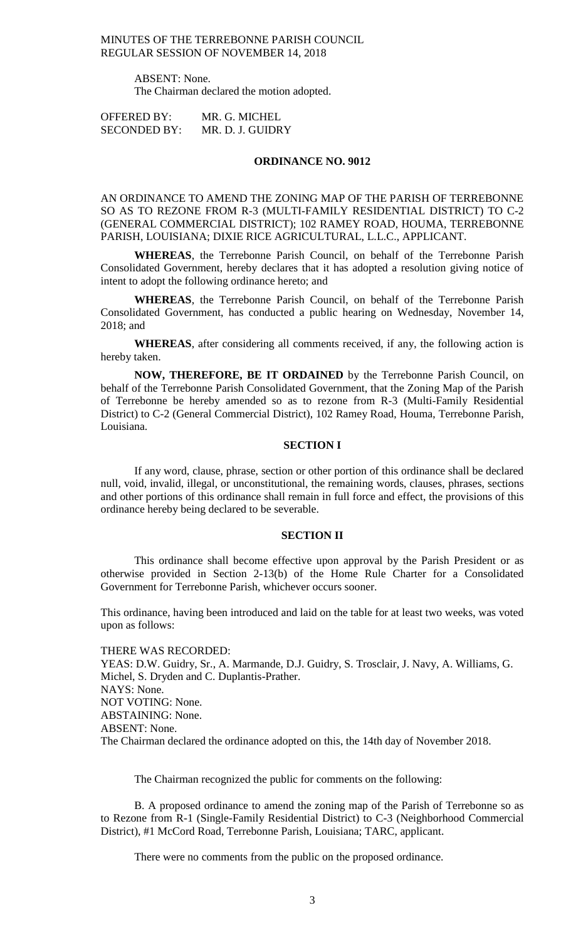ABSENT: None. The Chairman declared the motion adopted.

OFFERED BY: MR. G. MICHEL SECONDED BY: MR. D. J. GUIDRY

# **ORDINANCE NO. 9012**

AN ORDINANCE TO AMEND THE ZONING MAP OF THE PARISH OF TERREBONNE SO AS TO REZONE FROM R-3 (MULTI-FAMILY RESIDENTIAL DISTRICT) TO C-2 (GENERAL COMMERCIAL DISTRICT); 102 RAMEY ROAD, HOUMA, TERREBONNE PARISH, LOUISIANA; DIXIE RICE AGRICULTURAL, L.L.C., APPLICANT.

**WHEREAS**, the Terrebonne Parish Council, on behalf of the Terrebonne Parish Consolidated Government, hereby declares that it has adopted a resolution giving notice of intent to adopt the following ordinance hereto; and

**WHEREAS**, the Terrebonne Parish Council, on behalf of the Terrebonne Parish Consolidated Government, has conducted a public hearing on Wednesday, November 14, 2018; and

**WHEREAS**, after considering all comments received, if any, the following action is hereby taken.

**NOW, THEREFORE, BE IT ORDAINED** by the Terrebonne Parish Council, on behalf of the Terrebonne Parish Consolidated Government, that the Zoning Map of the Parish of Terrebonne be hereby amended so as to rezone from R-3 (Multi-Family Residential District) to C-2 (General Commercial District), 102 Ramey Road, Houma, Terrebonne Parish, Louisiana.

#### **SECTION I**

If any word, clause, phrase, section or other portion of this ordinance shall be declared null, void, invalid, illegal, or unconstitutional, the remaining words, clauses, phrases, sections and other portions of this ordinance shall remain in full force and effect, the provisions of this ordinance hereby being declared to be severable.

#### **SECTION II**

This ordinance shall become effective upon approval by the Parish President or as otherwise provided in Section 2-13(b) of the Home Rule Charter for a Consolidated Government for Terrebonne Parish, whichever occurs sooner.

This ordinance, having been introduced and laid on the table for at least two weeks, was voted upon as follows:

#### THERE WAS RECORDED:

YEAS: D.W. Guidry, Sr., A. Marmande, D.J. Guidry, S. Trosclair, J. Navy, A. Williams, G. Michel, S. Dryden and C. Duplantis-Prather. NAYS: None. NOT VOTING: None. ABSTAINING: None. ABSENT: None. The Chairman declared the ordinance adopted on this, the 14th day of November 2018.

The Chairman recognized the public for comments on the following:

B. A proposed ordinance to amend the zoning map of the Parish of Terrebonne so as to Rezone from R-1 (Single-Family Residential District) to C-3 (Neighborhood Commercial District), #1 McCord Road, Terrebonne Parish, Louisiana; TARC, applicant.

There were no comments from the public on the proposed ordinance.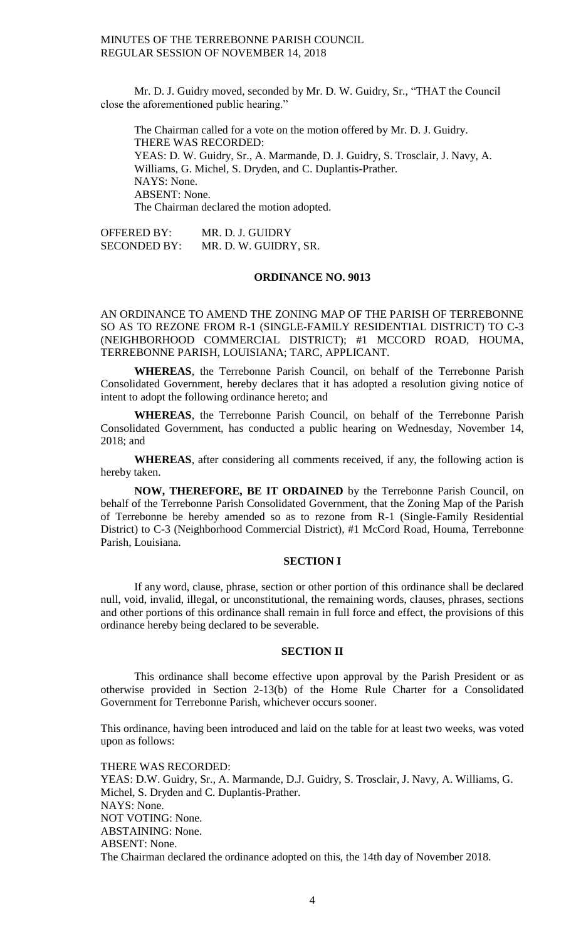Mr. D. J. Guidry moved, seconded by Mr. D. W. Guidry, Sr., "THAT the Council close the aforementioned public hearing."

The Chairman called for a vote on the motion offered by Mr. D. J. Guidry. THERE WAS RECORDED: YEAS: D. W. Guidry, Sr., A. Marmande, D. J. Guidry, S. Trosclair, J. Navy, A. Williams, G. Michel, S. Dryden, and C. Duplantis-Prather. NAYS: None. ABSENT: None. The Chairman declared the motion adopted.

OFFERED BY: MR. D. J. GUIDRY SECONDED BY: MR. D. W. GUIDRY, SR.

# **ORDINANCE NO. 9013**

AN ORDINANCE TO AMEND THE ZONING MAP OF THE PARISH OF TERREBONNE SO AS TO REZONE FROM R-1 (SINGLE-FAMILY RESIDENTIAL DISTRICT) TO C-3 (NEIGHBORHOOD COMMERCIAL DISTRICT); #1 MCCORD ROAD, HOUMA, TERREBONNE PARISH, LOUISIANA; TARC, APPLICANT.

**WHEREAS**, the Terrebonne Parish Council, on behalf of the Terrebonne Parish Consolidated Government, hereby declares that it has adopted a resolution giving notice of intent to adopt the following ordinance hereto; and

**WHEREAS**, the Terrebonne Parish Council, on behalf of the Terrebonne Parish Consolidated Government, has conducted a public hearing on Wednesday, November 14, 2018; and

**WHEREAS**, after considering all comments received, if any, the following action is hereby taken.

**NOW, THEREFORE, BE IT ORDAINED** by the Terrebonne Parish Council, on behalf of the Terrebonne Parish Consolidated Government, that the Zoning Map of the Parish of Terrebonne be hereby amended so as to rezone from R-1 (Single-Family Residential District) to C-3 (Neighborhood Commercial District), #1 McCord Road, Houma, Terrebonne Parish, Louisiana.

#### **SECTION I**

If any word, clause, phrase, section or other portion of this ordinance shall be declared null, void, invalid, illegal, or unconstitutional, the remaining words, clauses, phrases, sections and other portions of this ordinance shall remain in full force and effect, the provisions of this ordinance hereby being declared to be severable.

#### **SECTION II**

This ordinance shall become effective upon approval by the Parish President or as otherwise provided in Section 2-13(b) of the Home Rule Charter for a Consolidated Government for Terrebonne Parish, whichever occurs sooner.

This ordinance, having been introduced and laid on the table for at least two weeks, was voted upon as follows:

THERE WAS RECORDED: YEAS: D.W. Guidry, Sr., A. Marmande, D.J. Guidry, S. Trosclair, J. Navy, A. Williams, G. Michel, S. Dryden and C. Duplantis-Prather. NAYS: None. NOT VOTING: None. ABSTAINING: None. ABSENT: None. The Chairman declared the ordinance adopted on this, the 14th day of November 2018.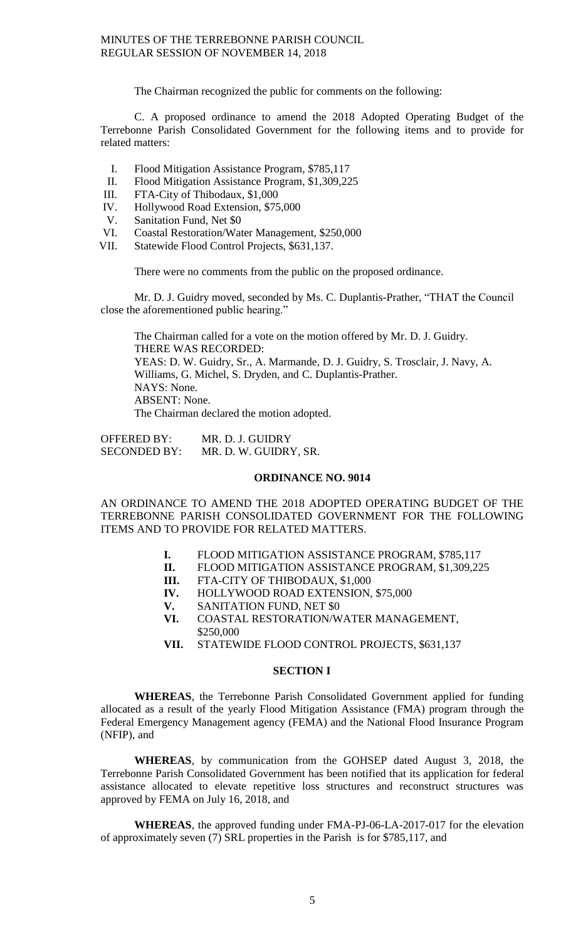The Chairman recognized the public for comments on the following:

C. A proposed ordinance to amend the 2018 Adopted Operating Budget of the Terrebonne Parish Consolidated Government for the following items and to provide for related matters:

- I. Flood Mitigation Assistance Program, \$785,117
- II. Flood Mitigation Assistance Program, \$1,309,225
- 
- III. FTA-City of Thibodaux, \$1,000<br>IV. Hollywood Road Extension, \$75 Hollywood Road Extension, \$75,000
- V. Sanitation Fund, Net \$0
- VI. Coastal Restoration/Water Management, \$250,000
- VII. Statewide Flood Control Projects, \$631,137.

There were no comments from the public on the proposed ordinance.

Mr. D. J. Guidry moved, seconded by Ms. C. Duplantis-Prather, "THAT the Council close the aforementioned public hearing."

The Chairman called for a vote on the motion offered by Mr. D. J. Guidry. THERE WAS RECORDED: YEAS: D. W. Guidry, Sr., A. Marmande, D. J. Guidry, S. Trosclair, J. Navy, A. Williams, G. Michel, S. Dryden, and C. Duplantis-Prather. NAYS: None. ABSENT: None. The Chairman declared the motion adopted.

OFFERED BY: MR. D. J. GUIDRY<br>SECONDED BY: MR. D. W. GUIDRY MR. D. W. GUIDRY, SR.

#### **ORDINANCE NO. 9014**

AN ORDINANCE TO AMEND THE 2018 ADOPTED OPERATING BUDGET OF THE TERREBONNE PARISH CONSOLIDATED GOVERNMENT FOR THE FOLLOWING ITEMS AND TO PROVIDE FOR RELATED MATTERS.

- **I.** FLOOD MITIGATION ASSISTANCE PROGRAM, \$785,117
- **II.** FLOOD MITIGATION ASSISTANCE PROGRAM, \$1,309,225
- **III.** FTA-CITY OF THIBODAUX, \$1,000
- **IV.** HOLLYWOOD ROAD EXTENSION, \$75,000
- **V.** SANITATION FUND, NET \$0<br>**VI.** COASTAL RESTORATION/W
- **VI.** COASTAL RESTORATION/WATER MANAGEMENT, \$250,000
- **VII.** STATEWIDE FLOOD CONTROL PROJECTS, \$631,137

#### **SECTION I**

**WHEREAS**, the Terrebonne Parish Consolidated Government applied for funding allocated as a result of the yearly Flood Mitigation Assistance (FMA) program through the Federal Emergency Management agency (FEMA) and the National Flood Insurance Program (NFIP), and

**WHEREAS**, by communication from the GOHSEP dated August 3, 2018, the Terrebonne Parish Consolidated Government has been notified that its application for federal assistance allocated to elevate repetitive loss structures and reconstruct structures was approved by FEMA on July 16, 2018, and

**WHEREAS**, the approved funding under FMA-PJ-06-LA-2017-017 for the elevation of approximately seven (7) SRL properties in the Parish is for \$785,117, and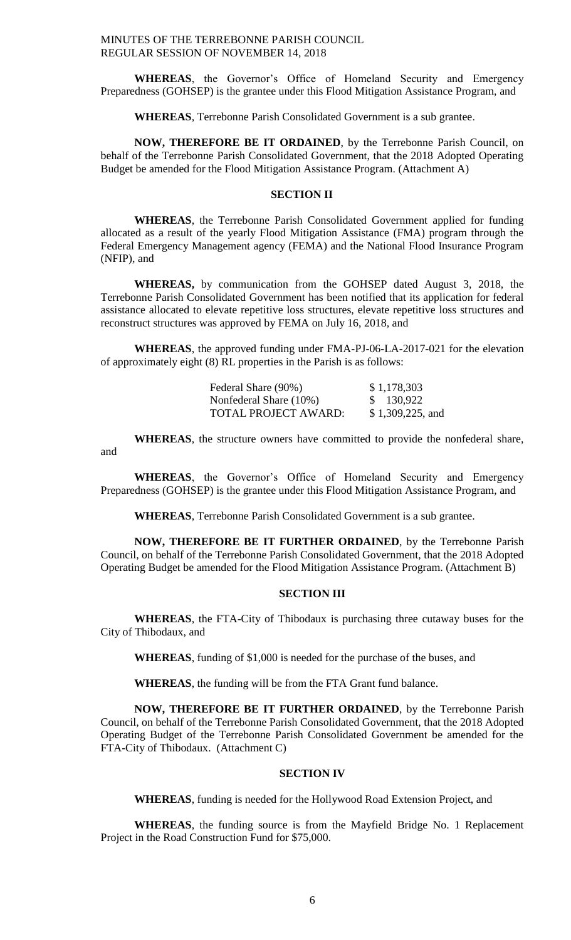**WHEREAS**, the Governor's Office of Homeland Security and Emergency Preparedness (GOHSEP) is the grantee under this Flood Mitigation Assistance Program, and

**WHEREAS**, Terrebonne Parish Consolidated Government is a sub grantee.

**NOW, THEREFORE BE IT ORDAINED**, by the Terrebonne Parish Council, on behalf of the Terrebonne Parish Consolidated Government, that the 2018 Adopted Operating Budget be amended for the Flood Mitigation Assistance Program. (Attachment A)

#### **SECTION II**

**WHEREAS**, the Terrebonne Parish Consolidated Government applied for funding allocated as a result of the yearly Flood Mitigation Assistance (FMA) program through the Federal Emergency Management agency (FEMA) and the National Flood Insurance Program (NFIP), and

**WHEREAS,** by communication from the GOHSEP dated August 3, 2018, the Terrebonne Parish Consolidated Government has been notified that its application for federal assistance allocated to elevate repetitive loss structures, elevate repetitive loss structures and reconstruct structures was approved by FEMA on July 16, 2018, and

**WHEREAS**, the approved funding under FMA-PJ-06-LA-2017-021 for the elevation of approximately eight (8) RL properties in the Parish is as follows:

| Federal Share (90%)    | \$1,178,303      |
|------------------------|------------------|
| Nonfederal Share (10%) | \$130,922        |
| TOTAL PROJECT AWARD:   | \$1,309,225, and |

**WHEREAS**, the structure owners have committed to provide the nonfederal share, and

**WHEREAS**, the Governor's Office of Homeland Security and Emergency Preparedness (GOHSEP) is the grantee under this Flood Mitigation Assistance Program, and

**WHEREAS**, Terrebonne Parish Consolidated Government is a sub grantee.

**NOW, THEREFORE BE IT FURTHER ORDAINED**, by the Terrebonne Parish Council, on behalf of the Terrebonne Parish Consolidated Government, that the 2018 Adopted Operating Budget be amended for the Flood Mitigation Assistance Program. (Attachment B)

# **SECTION III**

**WHEREAS**, the FTA-City of Thibodaux is purchasing three cutaway buses for the City of Thibodaux, and

**WHEREAS**, funding of \$1,000 is needed for the purchase of the buses, and

**WHEREAS**, the funding will be from the FTA Grant fund balance.

**NOW, THEREFORE BE IT FURTHER ORDAINED**, by the Terrebonne Parish Council, on behalf of the Terrebonne Parish Consolidated Government, that the 2018 Adopted Operating Budget of the Terrebonne Parish Consolidated Government be amended for the FTA-City of Thibodaux. (Attachment C)

## **SECTION IV**

**WHEREAS**, funding is needed for the Hollywood Road Extension Project, and

**WHEREAS**, the funding source is from the Mayfield Bridge No. 1 Replacement Project in the Road Construction Fund for \$75,000.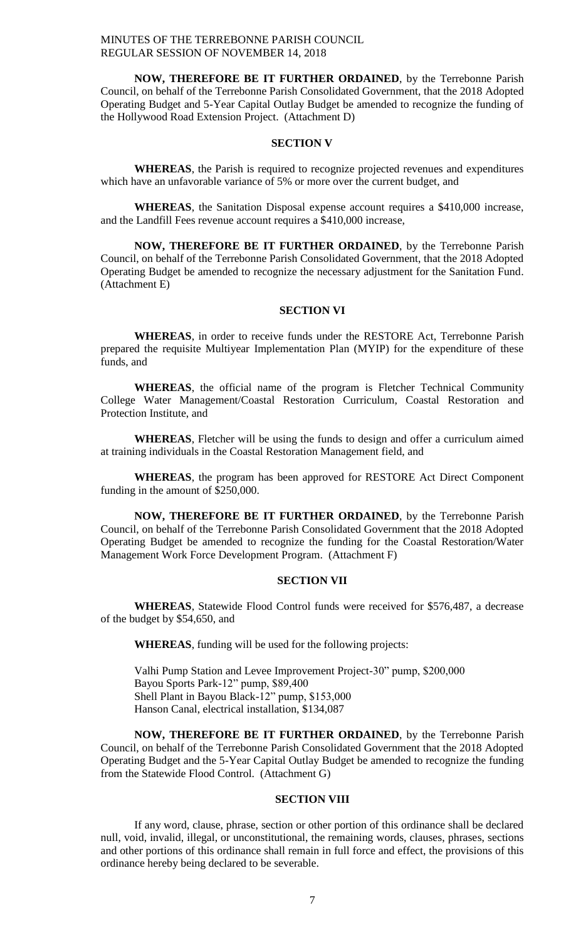**NOW, THEREFORE BE IT FURTHER ORDAINED**, by the Terrebonne Parish Council, on behalf of the Terrebonne Parish Consolidated Government, that the 2018 Adopted Operating Budget and 5-Year Capital Outlay Budget be amended to recognize the funding of the Hollywood Road Extension Project. (Attachment D)

#### **SECTION V**

**WHEREAS**, the Parish is required to recognize projected revenues and expenditures which have an unfavorable variance of 5% or more over the current budget, and

**WHEREAS**, the Sanitation Disposal expense account requires a \$410,000 increase, and the Landfill Fees revenue account requires a \$410,000 increase,

**NOW, THEREFORE BE IT FURTHER ORDAINED**, by the Terrebonne Parish Council, on behalf of the Terrebonne Parish Consolidated Government, that the 2018 Adopted Operating Budget be amended to recognize the necessary adjustment for the Sanitation Fund. (Attachment E)

# **SECTION VI**

**WHEREAS**, in order to receive funds under the RESTORE Act, Terrebonne Parish prepared the requisite Multiyear Implementation Plan (MYIP) for the expenditure of these funds, and

**WHEREAS**, the official name of the program is Fletcher Technical Community College Water Management/Coastal Restoration Curriculum, Coastal Restoration and Protection Institute, and

**WHEREAS**, Fletcher will be using the funds to design and offer a curriculum aimed at training individuals in the Coastal Restoration Management field, and

**WHEREAS**, the program has been approved for RESTORE Act Direct Component funding in the amount of \$250,000.

**NOW, THEREFORE BE IT FURTHER ORDAINED**, by the Terrebonne Parish Council, on behalf of the Terrebonne Parish Consolidated Government that the 2018 Adopted Operating Budget be amended to recognize the funding for the Coastal Restoration/Water Management Work Force Development Program. (Attachment F)

## **SECTION VII**

**WHEREAS**, Statewide Flood Control funds were received for \$576,487, a decrease of the budget by \$54,650, and

**WHEREAS**, funding will be used for the following projects:

Valhi Pump Station and Levee Improvement Project-30" pump, \$200,000 Bayou Sports Park-12" pump, \$89,400 Shell Plant in Bayou Black-12" pump, \$153,000 Hanson Canal, electrical installation, \$134,087

**NOW, THEREFORE BE IT FURTHER ORDAINED**, by the Terrebonne Parish Council, on behalf of the Terrebonne Parish Consolidated Government that the 2018 Adopted Operating Budget and the 5-Year Capital Outlay Budget be amended to recognize the funding from the Statewide Flood Control. (Attachment G)

#### **SECTION VIII**

If any word, clause, phrase, section or other portion of this ordinance shall be declared null, void, invalid, illegal, or unconstitutional, the remaining words, clauses, phrases, sections and other portions of this ordinance shall remain in full force and effect, the provisions of this ordinance hereby being declared to be severable.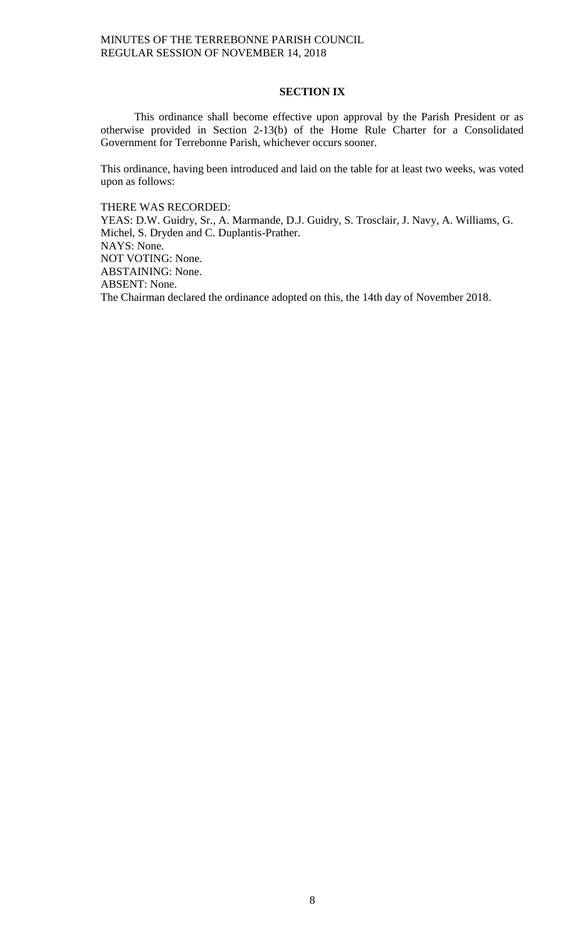# **SECTION IX**

This ordinance shall become effective upon approval by the Parish President or as otherwise provided in Section 2-13(b) of the Home Rule Charter for a Consolidated Government for Terrebonne Parish, whichever occurs sooner.

This ordinance, having been introduced and laid on the table for at least two weeks, was voted upon as follows:

THERE WAS RECORDED:

YEAS: D.W. Guidry, Sr., A. Marmande, D.J. Guidry, S. Trosclair, J. Navy, A. Williams, G. Michel, S. Dryden and C. Duplantis-Prather. NAYS: None. NOT VOTING: None. ABSTAINING: None. ABSENT: None. The Chairman declared the ordinance adopted on this, the 14th day of November 2018.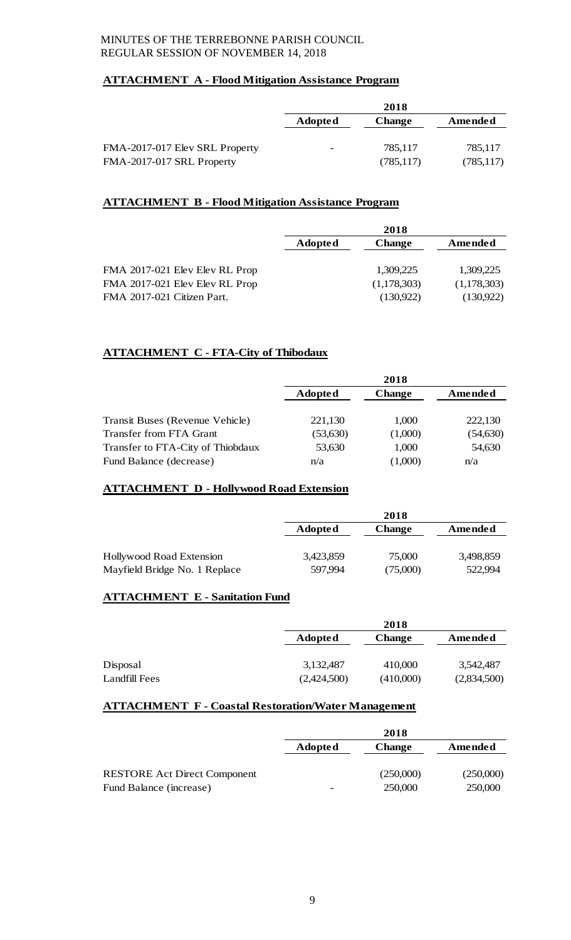# **ATTACHMENT A - Flood Mitigation Assistance Program**

|                                | 2018                     |               |            |
|--------------------------------|--------------------------|---------------|------------|
|                                | <b>Adopted</b>           | <b>Change</b> | Amended    |
|                                |                          |               |            |
| FMA-2017-017 Elev SRL Property | $\overline{\phantom{0}}$ | 785.117       | 785,117    |
| FMA-2017-017 SRL Property      |                          | (785, 117)    | (785, 117) |

# **ATTACHMENT B - Flood Mitigation Assistance Program**

|                                | 2018           |               |             |
|--------------------------------|----------------|---------------|-------------|
|                                | <b>Adopted</b> | <b>Change</b> | Amended     |
|                                |                |               |             |
| FMA 2017-021 Elev Elev RL Prop |                | 1,309,225     | 1,309,225   |
| FMA 2017-021 Elev Elev RL Prop |                | (1,178,303)   | (1,178,303) |
| FMA 2017-021 Citizen Part.     |                | (130,922)     | (130,922)   |

# **ATTACHMENT C - FTA-City of Thibodaux**

|                                   | 2018           |               |           |
|-----------------------------------|----------------|---------------|-----------|
|                                   | <b>Adopted</b> | <b>Change</b> | Amended   |
| Transit Buses (Revenue Vehicle)   | 221,130        | 1,000         | 222,130   |
| Transfer from FTA Grant           | (53, 630)      | (1,000)       | (54, 630) |
| Transfer to FTA-City of Thiobdaux | 53,630         | 1,000         | 54,630    |
| Fund Balance (decrease)           | n/a            | (1,000)       | n/a       |

# **ATTACHMENT D - Hollywood Road Extension**

|                               |                | 2018          |           |
|-------------------------------|----------------|---------------|-----------|
|                               | <b>Adopted</b> | <b>Change</b> | Amended   |
|                               |                |               |           |
| Hollywood Road Extension      | 3,423,859      | 75,000        | 3,498,859 |
| Mayfield Bridge No. 1 Replace | 597.994        | (75,000)      | 522,994   |

# **ATTACHMENT E - Sanitation Fund**

|               |                | 2018          |             |
|---------------|----------------|---------------|-------------|
|               | <b>Adopted</b> | <b>Change</b> | Amended     |
|               |                |               |             |
| Disposal      | 3,132,487      | 410,000       | 3,542,487   |
| Landfill Fees | (2,424,500)    | (410,000)     | (2,834,500) |

# **ATTACHMENT F - Coastal Restoration/Water Management**

|                                                                | 2018           |                      |                      |
|----------------------------------------------------------------|----------------|----------------------|----------------------|
|                                                                | <b>Adopted</b> | <b>Change</b>        | Amended              |
| <b>RESTORE Act Direct Component</b><br>Fund Balance (increase) | -              | (250,000)<br>250,000 | (250,000)<br>250,000 |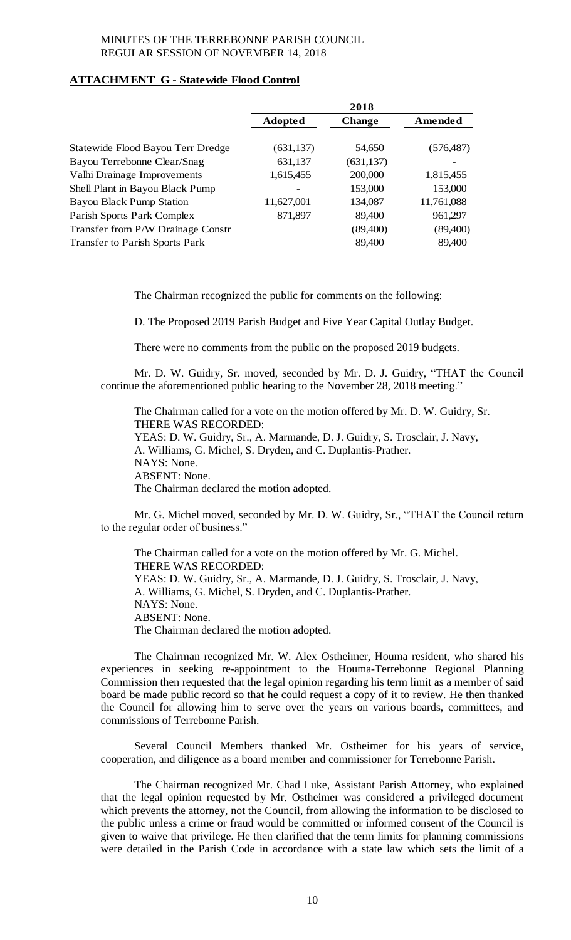# **ATTACHMENT G - Statewide Flood Control**

|                                       | 2018                     |               |            |
|---------------------------------------|--------------------------|---------------|------------|
|                                       | <b>Adopted</b>           | <b>Change</b> | Amended    |
|                                       |                          |               |            |
| Statewide Flood Bayou Terr Dredge     | (631, 137)               | 54,650        | (576, 487) |
| Bayou Terrebonne Clear/Snag           | 631,137                  | (631, 137)    |            |
| Valhi Drainage Improvements           | 1,615,455                | 200,000       | 1,815,455  |
| Shell Plant in Bayou Black Pump       | $\overline{\phantom{0}}$ | 153,000       | 153,000    |
| <b>Bayou Black Pump Station</b>       | 11,627,001               | 134,087       | 11,761,088 |
| Parish Sports Park Complex            | 871,897                  | 89,400        | 961,297    |
| Transfer from P/W Drainage Constr     |                          | (89,400)      | (89, 400)  |
| <b>Transfer to Parish Sports Park</b> |                          | 89,400        | 89,400     |

The Chairman recognized the public for comments on the following:

D. The Proposed 2019 Parish Budget and Five Year Capital Outlay Budget.

There were no comments from the public on the proposed 2019 budgets.

Mr. D. W. Guidry, Sr. moved, seconded by Mr. D. J. Guidry, "THAT the Council continue the aforementioned public hearing to the November 28, 2018 meeting."

The Chairman called for a vote on the motion offered by Mr. D. W. Guidry, Sr. THERE WAS RECORDED: YEAS: D. W. Guidry, Sr., A. Marmande, D. J. Guidry, S. Trosclair, J. Navy, A. Williams, G. Michel, S. Dryden, and C. Duplantis-Prather. NAYS: None. ABSENT: None. The Chairman declared the motion adopted.

Mr. G. Michel moved, seconded by Mr. D. W. Guidry, Sr., "THAT the Council return to the regular order of business."

The Chairman called for a vote on the motion offered by Mr. G. Michel. THERE WAS RECORDED: YEAS: D. W. Guidry, Sr., A. Marmande, D. J. Guidry, S. Trosclair, J. Navy, A. Williams, G. Michel, S. Dryden, and C. Duplantis-Prather. NAYS: None. ABSENT: None. The Chairman declared the motion adopted.

The Chairman recognized Mr. W. Alex Ostheimer, Houma resident, who shared his experiences in seeking re-appointment to the Houma-Terrebonne Regional Planning Commission then requested that the legal opinion regarding his term limit as a member of said board be made public record so that he could request a copy of it to review. He then thanked the Council for allowing him to serve over the years on various boards, committees, and commissions of Terrebonne Parish.

Several Council Members thanked Mr. Ostheimer for his years of service, cooperation, and diligence as a board member and commissioner for Terrebonne Parish.

The Chairman recognized Mr. Chad Luke, Assistant Parish Attorney, who explained that the legal opinion requested by Mr. Ostheimer was considered a privileged document which prevents the attorney, not the Council, from allowing the information to be disclosed to the public unless a crime or fraud would be committed or informed consent of the Council is given to waive that privilege. He then clarified that the term limits for planning commissions were detailed in the Parish Code in accordance with a state law which sets the limit of a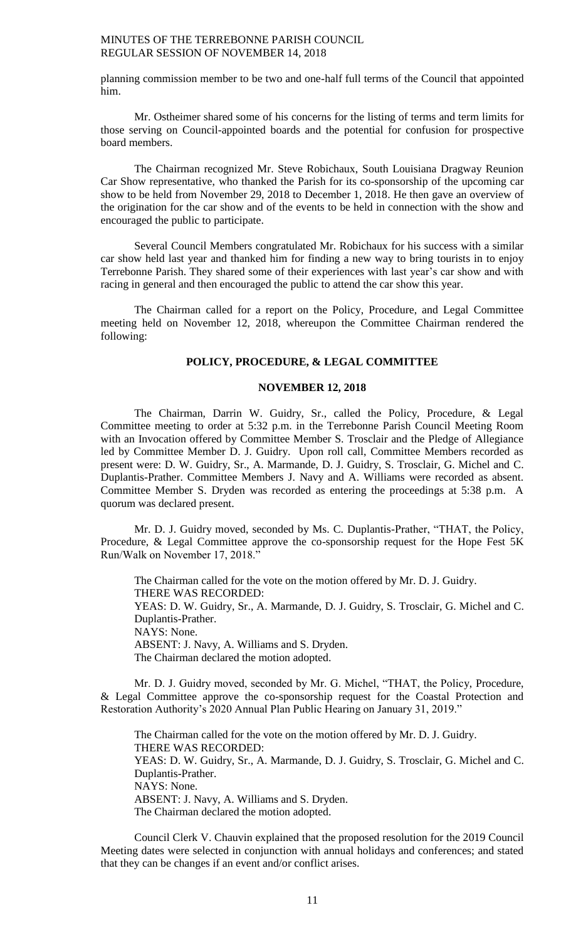planning commission member to be two and one-half full terms of the Council that appointed him.

Mr. Ostheimer shared some of his concerns for the listing of terms and term limits for those serving on Council-appointed boards and the potential for confusion for prospective board members.

The Chairman recognized Mr. Steve Robichaux, South Louisiana Dragway Reunion Car Show representative, who thanked the Parish for its co-sponsorship of the upcoming car show to be held from November 29, 2018 to December 1, 2018. He then gave an overview of the origination for the car show and of the events to be held in connection with the show and encouraged the public to participate.

Several Council Members congratulated Mr. Robichaux for his success with a similar car show held last year and thanked him for finding a new way to bring tourists in to enjoy Terrebonne Parish. They shared some of their experiences with last year's car show and with racing in general and then encouraged the public to attend the car show this year.

The Chairman called for a report on the Policy, Procedure, and Legal Committee meeting held on November 12, 2018, whereupon the Committee Chairman rendered the following:

# **POLICY, PROCEDURE, & LEGAL COMMITTEE**

#### **NOVEMBER 12, 2018**

The Chairman, Darrin W. Guidry, Sr., called the Policy, Procedure, & Legal Committee meeting to order at 5:32 p.m. in the Terrebonne Parish Council Meeting Room with an Invocation offered by Committee Member S. Trosclair and the Pledge of Allegiance led by Committee Member D. J. Guidry. Upon roll call, Committee Members recorded as present were: D. W. Guidry, Sr., A. Marmande, D. J. Guidry, S. Trosclair, G. Michel and C. Duplantis-Prather. Committee Members J. Navy and A. Williams were recorded as absent. Committee Member S. Dryden was recorded as entering the proceedings at 5:38 p.m. A quorum was declared present.

Mr. D. J. Guidry moved, seconded by Ms. C. Duplantis-Prather, "THAT, the Policy, Procedure, & Legal Committee approve the co-sponsorship request for the Hope Fest 5K Run/Walk on November 17, 2018."

The Chairman called for the vote on the motion offered by Mr. D. J. Guidry. THERE WAS RECORDED: YEAS: D. W. Guidry, Sr., A. Marmande, D. J. Guidry, S. Trosclair, G. Michel and C. Duplantis-Prather. NAYS: None. ABSENT: J. Navy, A. Williams and S. Dryden. The Chairman declared the motion adopted.

Mr. D. J. Guidry moved, seconded by Mr. G. Michel, "THAT, the Policy, Procedure, & Legal Committee approve the co-sponsorship request for the Coastal Protection and Restoration Authority's 2020 Annual Plan Public Hearing on January 31, 2019."

The Chairman called for the vote on the motion offered by Mr. D. J. Guidry. THERE WAS RECORDED: YEAS: D. W. Guidry, Sr., A. Marmande, D. J. Guidry, S. Trosclair, G. Michel and C. Duplantis-Prather. NAYS: None. ABSENT: J. Navy, A. Williams and S. Dryden. The Chairman declared the motion adopted.

Council Clerk V. Chauvin explained that the proposed resolution for the 2019 Council Meeting dates were selected in conjunction with annual holidays and conferences; and stated that they can be changes if an event and/or conflict arises.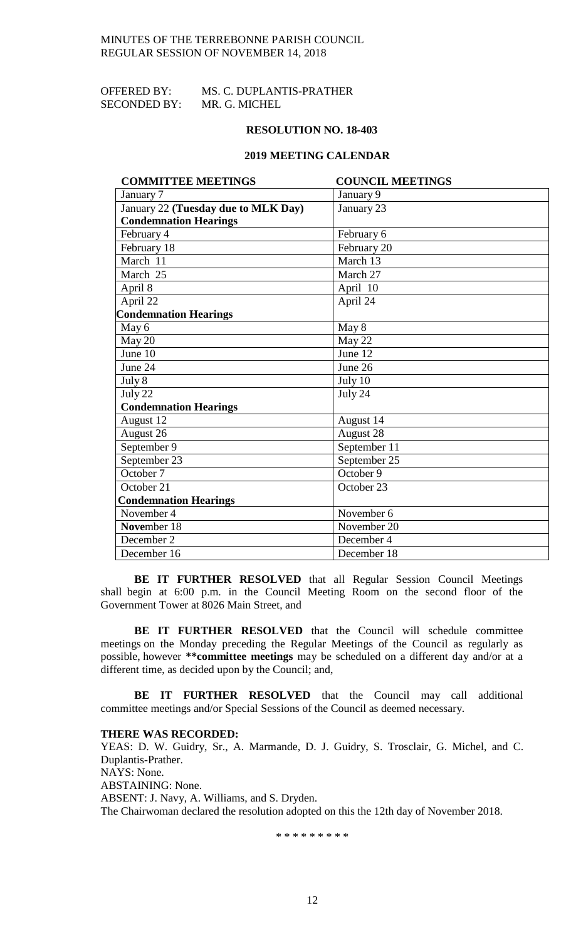| OFFERED BY:         | MS. C. DUPLANTIS-PRATHER |
|---------------------|--------------------------|
| <b>SECONDED BY:</b> | MR. G. MICHEL            |

#### **RESOLUTION NO. 18-403**

#### **2019 MEETING CALENDAR**

| <b>COMMITTEE MEETINGS</b>           | <b>COUNCIL MEETINGS</b> |
|-------------------------------------|-------------------------|
| January 7                           | January 9               |
| January 22 (Tuesday due to MLK Day) | January 23              |
| <b>Condemnation Hearings</b>        |                         |
| February 4                          | February 6              |
| February 18                         | February 20             |
| March $11$                          | March 13                |
| March 25                            | March 27                |
| April 8                             | April 10                |
| April 22                            | April $2\overline{4}$   |
| <b>Condemnation Hearings</b>        |                         |
| May 6                               | May 8                   |
| May 20                              | May 22                  |
| June 10                             | June 12                 |
| June 24                             | June 26                 |
| July 8                              | July 10                 |
| July 22                             | July 24                 |
| <b>Condemnation Hearings</b>        |                         |
| August 12                           | August 14               |
| August 26                           | August 28               |
| September 9                         | September 11            |
| September 23                        | September 25            |
| October 7                           | October 9               |
| October 21                          | October 23              |
| <b>Condemnation Hearings</b>        |                         |
| November 4                          | November 6              |
| November 18                         | November 20             |
| December 2                          | December 4              |
| December 16                         | December 18             |

**BE IT FURTHER RESOLVED** that all Regular Session Council Meetings shall begin at 6:00 p.m. in the Council Meeting Room on the second floor of the Government Tower at 8026 Main Street, and

**BE IT FURTHER RESOLVED** that the Council will schedule committee meetings on the Monday preceding the Regular Meetings of the Council as regularly as possible, however **\*\*committee meetings** may be scheduled on a different day and/or at a different time, as decided upon by the Council; and,

**BE IT FURTHER RESOLVED** that the Council may call additional committee meetings and/or Special Sessions of the Council as deemed necessary.

#### **THERE WAS RECORDED:**

YEAS: D. W. Guidry, Sr., A. Marmande, D. J. Guidry, S. Trosclair, G. Michel, and C. Duplantis-Prather. NAYS: None. ABSTAINING: None. ABSENT: J. Navy, A. Williams, and S. Dryden. The Chairwoman declared the resolution adopted on this the 12th day of November 2018.

\* \* \* \* \* \* \* \* \*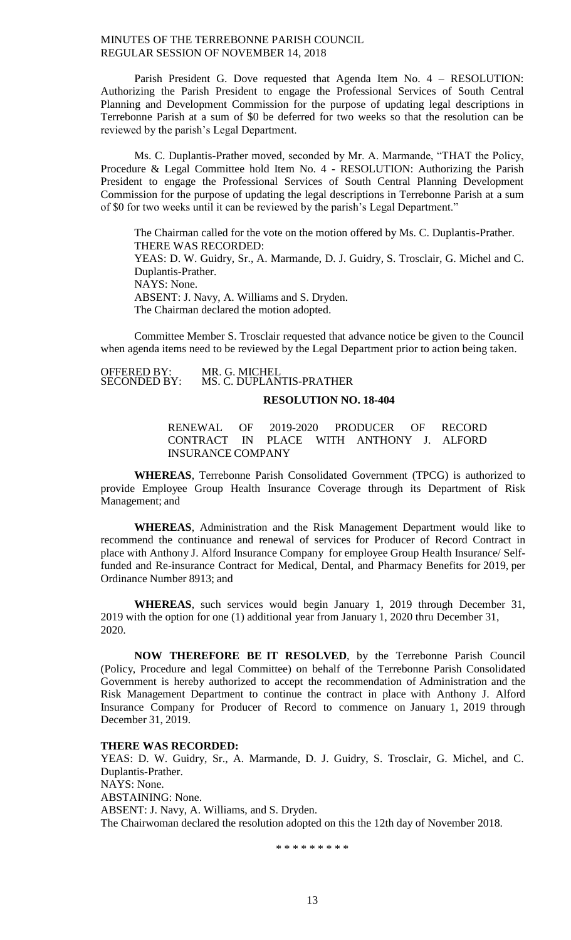Parish President G. Dove requested that Agenda Item No. 4 – RESOLUTION: Authorizing the Parish President to engage the Professional Services of South Central Planning and Development Commission for the purpose of updating legal descriptions in Terrebonne Parish at a sum of \$0 be deferred for two weeks so that the resolution can be reviewed by the parish's Legal Department.

Ms. C. Duplantis-Prather moved, seconded by Mr. A. Marmande, "THAT the Policy, Procedure & Legal Committee hold Item No. 4 - RESOLUTION: Authorizing the Parish President to engage the Professional Services of South Central Planning Development Commission for the purpose of updating the legal descriptions in Terrebonne Parish at a sum of \$0 for two weeks until it can be reviewed by the parish's Legal Department."

The Chairman called for the vote on the motion offered by Ms. C. Duplantis-Prather. THERE WAS RECORDED: YEAS: D. W. Guidry, Sr., A. Marmande, D. J. Guidry, S. Trosclair, G. Michel and C. Duplantis-Prather. NAYS: None. ABSENT: J. Navy, A. Williams and S. Dryden. The Chairman declared the motion adopted.

Committee Member S. Trosclair requested that advance notice be given to the Council when agenda items need to be reviewed by the Legal Department prior to action being taken.

OFFERED BY:<br>SECONDED BY: MR. G. MICHEL<br>MS. C. DUPLANTIS-PRATHER **RESOLUTION NO. 18-404**

RENEWAL OF 2019-2020 PRODUCER OF RECORD CONTRACT IN PLACE WITH ANTHONY J. ALFORD INSURANCE COMPANY

**WHEREAS**, Terrebonne Parish Consolidated Government (TPCG) is authorized to provide Employee Group Health Insurance Coverage through its Department of Risk Management; and

**WHEREAS**, Administration and the Risk Management Department would like to recommend the continuance and renewal of services for Producer of Record Contract in place with Anthony J. Alford Insurance Company for employee Group Health Insurance/ Selffunded and Re-insurance Contract for Medical, Dental, and Pharmacy Benefits for 2019, per Ordinance Number 8913; and

**WHEREAS**, such services would begin January 1, 2019 through December 31, 2019 with the option for one (1) additional year from January 1, 2020 thru December 31, 2020.

**NOW THEREFORE BE IT RESOLVED**, by the Terrebonne Parish Council (Policy, Procedure and legal Committee) on behalf of the Terrebonne Parish Consolidated Government is hereby authorized to accept the recommendation of Administration and the Risk Management Department to continue the contract in place with Anthony J. Alford Insurance Company for Producer of Record to commence on January 1, 2019 through December 31, 2019.

# **THERE WAS RECORDED:**

YEAS: D. W. Guidry, Sr., A. Marmande, D. J. Guidry, S. Trosclair, G. Michel, and C. Duplantis-Prather. NAYS: None. ABSTAINING: None. ABSENT: J. Navy, A. Williams, and S. Dryden. The Chairwoman declared the resolution adopted on this the 12th day of November 2018.

\* \* \* \* \* \* \* \* \*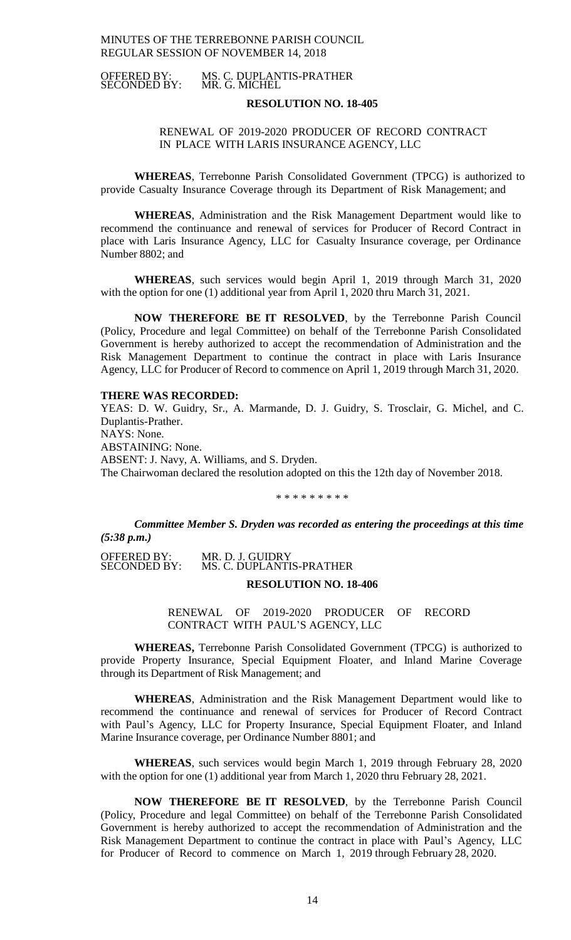MS. C. DUPLANTIS-PRATHER<br>MR. G. MICHEL OFFERED BY:<br>SECONDED BY:

#### **RESOLUTION NO. 18-405**

## RENEWAL OF 2019-2020 PRODUCER OF RECORD CONTRACT IN PLACE WITH LARIS INSURANCE AGENCY, LLC

**WHEREAS**, Terrebonne Parish Consolidated Government (TPCG) is authorized to provide Casualty Insurance Coverage through its Department of Risk Management; and

**WHEREAS**, Administration and the Risk Management Department would like to recommend the continuance and renewal of services for Producer of Record Contract in place with Laris Insurance Agency, LLC for Casualty Insurance coverage, per Ordinance Number 8802; and

**WHEREAS**, such services would begin April 1, 2019 through March 31, 2020 with the option for one (1) additional year from April 1, 2020 thru March 31, 2021.

**NOW THEREFORE BE IT RESOLVED**, by the Terrebonne Parish Council (Policy, Procedure and legal Committee) on behalf of the Terrebonne Parish Consolidated Government is hereby authorized to accept the recommendation of Administration and the Risk Management Department to continue the contract in place with Laris Insurance Agency, LLC for Producer of Record to commence on April 1, 2019 through March 31, 2020.

#### **THERE WAS RECORDED:**

YEAS: D. W. Guidry, Sr., A. Marmande, D. J. Guidry, S. Trosclair, G. Michel, and C. Duplantis-Prather. NAYS: None. ABSTAINING: None. ABSENT: J. Navy, A. Williams, and S. Dryden. The Chairwoman declared the resolution adopted on this the 12th day of November 2018.

\* \* \* \* \* \* \* \* \*

*Committee Member S. Dryden was recorded as entering the proceedings at this time (5:38 p.m.)* 

OFFERED BY: MR. D. J. GUIDRY SECONDED BY: MS. C. DUPLANTIS-PRATHER

#### **RESOLUTION NO. 18-406**

RENEWAL OF 2019-2020 PRODUCER OF RECORD CONTRACT WITH PAUL'S AGENCY, LLC

**WHEREAS,** Terrebonne Parish Consolidated Government (TPCG) is authorized to provide Property Insurance, Special Equipment Floater, and Inland Marine Coverage through its Department of Risk Management; and

**WHEREAS**, Administration and the Risk Management Department would like to recommend the continuance and renewal of services for Producer of Record Contract with Paul's Agency, LLC for Property Insurance, Special Equipment Floater, and Inland Marine Insurance coverage, per Ordinance Number 8801; and

**WHEREAS**, such services would begin March 1, 2019 through February 28, 2020 with the option for one (1) additional year from March 1, 2020 thru February 28, 2021.

**NOW THEREFORE BE IT RESOLVED**, by the Terrebonne Parish Council (Policy, Procedure and legal Committee) on behalf of the Terrebonne Parish Consolidated Government is hereby authorized to accept the recommendation of Administration and the Risk Management Department to continue the contract in place with Paul's Agency, LLC for Producer of Record to commence on March 1, 2019 through February 28, 2020.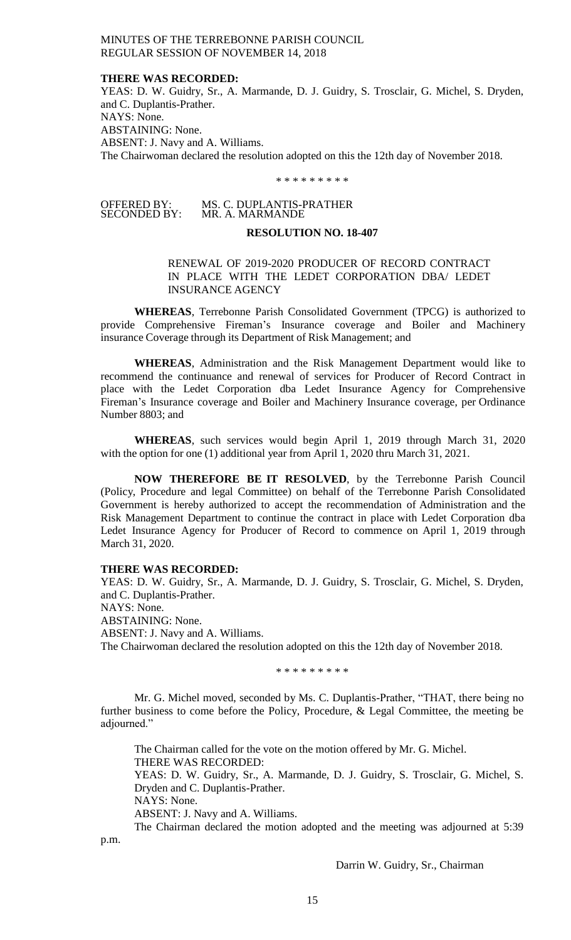#### **THERE WAS RECORDED:**

YEAS: D. W. Guidry, Sr., A. Marmande, D. J. Guidry, S. Trosclair, G. Michel, S. Dryden, and C. Duplantis-Prather. NAYS: None. ABSTAINING: None. ABSENT: J. Navy and A. Williams. The Chairwoman declared the resolution adopted on this the 12th day of November 2018.

#### \* \* \* \* \* \* \* \* \*

OFFERED BY: MS. C. DUPLANTIS-PRATHER SECONDED BY: MR. A. MARMANDE

# **RESOLUTION NO. 18-407**

# RENEWAL OF 2019-2020 PRODUCER OF RECORD CONTRACT IN PLACE WITH THE LEDET CORPORATION DBA/ LEDET INSURANCE AGENCY

**WHEREAS**, Terrebonne Parish Consolidated Government (TPCG) is authorized to provide Comprehensive Fireman's Insurance coverage and Boiler and Machinery insurance Coverage through its Department of Risk Management; and

**WHEREAS**, Administration and the Risk Management Department would like to recommend the continuance and renewal of services for Producer of Record Contract in place with the Ledet Corporation dba Ledet Insurance Agency for Comprehensive Fireman's Insurance coverage and Boiler and Machinery Insurance coverage, per Ordinance Number 8803; and

**WHEREAS**, such services would begin April 1, 2019 through March 31, 2020 with the option for one (1) additional year from April 1, 2020 thru March 31, 2021.

**NOW THEREFORE BE IT RESOLVED**, by the Terrebonne Parish Council (Policy, Procedure and legal Committee) on behalf of the Terrebonne Parish Consolidated Government is hereby authorized to accept the recommendation of Administration and the Risk Management Department to continue the contract in place with Ledet Corporation dba Ledet Insurance Agency for Producer of Record to commence on April 1, 2019 through March 31, 2020.

## **THERE WAS RECORDED:**

YEAS: D. W. Guidry, Sr., A. Marmande, D. J. Guidry, S. Trosclair, G. Michel, S. Dryden, and C. Duplantis-Prather. NAYS: None. ABSTAINING: None. ABSENT: J. Navy and A. Williams. The Chairwoman declared the resolution adopted on this the 12th day of November 2018.

\* \* \* \* \* \* \* \* \*

Mr. G. Michel moved, seconded by Ms. C. Duplantis-Prather, "THAT, there being no further business to come before the Policy, Procedure, & Legal Committee, the meeting be adjourned."

The Chairman called for the vote on the motion offered by Mr. G. Michel. THERE WAS RECORDED:

YEAS: D. W. Guidry, Sr., A. Marmande, D. J. Guidry, S. Trosclair, G. Michel, S. Dryden and C. Duplantis-Prather.

NAYS: None.

p.m.

ABSENT: J. Navy and A. Williams.

The Chairman declared the motion adopted and the meeting was adjourned at 5:39

Darrin W. Guidry, Sr., Chairman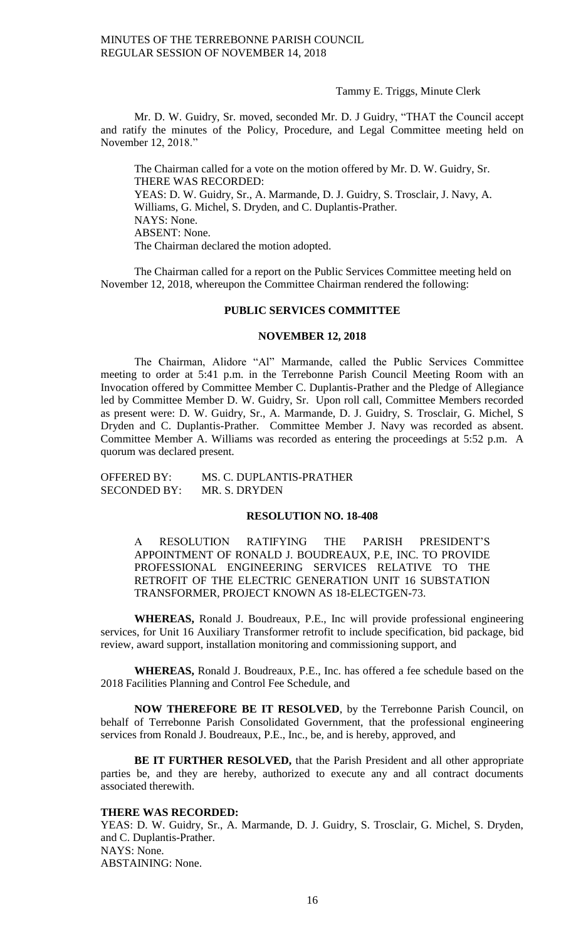#### Tammy E. Triggs, Minute Clerk

Mr. D. W. Guidry, Sr. moved, seconded Mr. D. J Guidry, "THAT the Council accept and ratify the minutes of the Policy, Procedure, and Legal Committee meeting held on November 12, 2018."

The Chairman called for a vote on the motion offered by Mr. D. W. Guidry, Sr. THERE WAS RECORDED: YEAS: D. W. Guidry, Sr., A. Marmande, D. J. Guidry, S. Trosclair, J. Navy, A. Williams, G. Michel, S. Dryden, and C. Duplantis-Prather. NAYS: None. ABSENT: None. The Chairman declared the motion adopted.

The Chairman called for a report on the Public Services Committee meeting held on November 12, 2018, whereupon the Committee Chairman rendered the following:

#### **PUBLIC SERVICES COMMITTEE**

## **NOVEMBER 12, 2018**

The Chairman, Alidore "Al" Marmande, called the Public Services Committee meeting to order at 5:41 p.m. in the Terrebonne Parish Council Meeting Room with an Invocation offered by Committee Member C. Duplantis-Prather and the Pledge of Allegiance led by Committee Member D. W. Guidry, Sr. Upon roll call, Committee Members recorded as present were: D. W. Guidry, Sr., A. Marmande, D. J. Guidry, S. Trosclair, G. Michel, S Dryden and C. Duplantis-Prather. Committee Member J. Navy was recorded as absent. Committee Member A. Williams was recorded as entering the proceedings at 5:52 p.m. A quorum was declared present.

OFFERED BY: MS. C. DUPLANTIS-PRATHER SECONDED BY: MR. S. DRYDEN

#### **RESOLUTION NO. 18-408**

A RESOLUTION RATIFYING THE PARISH PRESIDENT'S APPOINTMENT OF RONALD J. BOUDREAUX, P.E, INC. TO PROVIDE PROFESSIONAL ENGINEERING SERVICES RELATIVE TO THE RETROFIT OF THE ELECTRIC GENERATION UNIT 16 SUBSTATION TRANSFORMER, PROJECT KNOWN AS 18-ELECTGEN-73.

**WHEREAS,** Ronald J. Boudreaux, P.E., Inc will provide professional engineering services, for Unit 16 Auxiliary Transformer retrofit to include specification, bid package, bid review, award support, installation monitoring and commissioning support, and

**WHEREAS,** Ronald J. Boudreaux, P.E., Inc. has offered a fee schedule based on the 2018 Facilities Planning and Control Fee Schedule, and

**NOW THEREFORE BE IT RESOLVED**, by the Terrebonne Parish Council, on behalf of Terrebonne Parish Consolidated Government, that the professional engineering services from Ronald J. Boudreaux, P.E., Inc., be, and is hereby, approved, and

**BE IT FURTHER RESOLVED,** that the Parish President and all other appropriate parties be, and they are hereby, authorized to execute any and all contract documents associated therewith.

## **THERE WAS RECORDED:**

YEAS: D. W. Guidry, Sr., A. Marmande, D. J. Guidry, S. Trosclair, G. Michel, S. Dryden, and C. Duplantis-Prather. NAYS: None. ABSTAINING: None.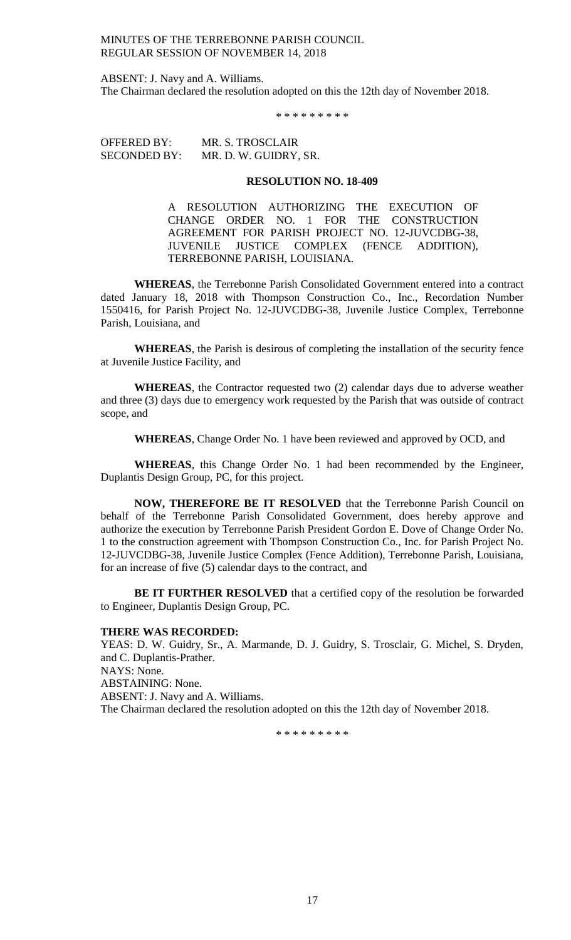ABSENT: J. Navy and A. Williams. The Chairman declared the resolution adopted on this the 12th day of November 2018.

\* \* \* \* \* \* \* \* \*

OFFERED BY: MR. S. TROSCLAIR SECONDED BY: MR. D. W. GUIDRY, SR.

#### **RESOLUTION NO. 18-409**

A RESOLUTION AUTHORIZING THE EXECUTION OF CHANGE ORDER NO. 1 FOR THE CONSTRUCTION AGREEMENT FOR PARISH PROJECT NO. 12-JUVCDBG-38, JUVENILE JUSTICE COMPLEX (FENCE ADDITION), TERREBONNE PARISH, LOUISIANA.

**WHEREAS**, the Terrebonne Parish Consolidated Government entered into a contract dated January 18, 2018 with Thompson Construction Co., Inc., Recordation Number 1550416, for Parish Project No. 12-JUVCDBG-38, Juvenile Justice Complex, Terrebonne Parish, Louisiana, and

**WHEREAS**, the Parish is desirous of completing the installation of the security fence at Juvenile Justice Facility, and

**WHEREAS**, the Contractor requested two (2) calendar days due to adverse weather and three (3) days due to emergency work requested by the Parish that was outside of contract scope, and

**WHEREAS**, Change Order No. 1 have been reviewed and approved by OCD, and

**WHEREAS**, this Change Order No. 1 had been recommended by the Engineer, Duplantis Design Group, PC, for this project.

**NOW, THEREFORE BE IT RESOLVED** that the Terrebonne Parish Council on behalf of the Terrebonne Parish Consolidated Government, does hereby approve and authorize the execution by Terrebonne Parish President Gordon E. Dove of Change Order No. 1 to the construction agreement with Thompson Construction Co., Inc. for Parish Project No. 12-JUVCDBG-38, Juvenile Justice Complex (Fence Addition), Terrebonne Parish, Louisiana, for an increase of five (5) calendar days to the contract, and

**BE IT FURTHER RESOLVED** that a certified copy of the resolution be forwarded to Engineer, Duplantis Design Group, PC.

#### **THERE WAS RECORDED:**

YEAS: D. W. Guidry, Sr., A. Marmande, D. J. Guidry, S. Trosclair, G. Michel, S. Dryden, and C. Duplantis-Prather. NAYS: None. ABSTAINING: None. ABSENT: J. Navy and A. Williams. The Chairman declared the resolution adopted on this the 12th day of November 2018.

\* \* \* \* \* \* \* \* \*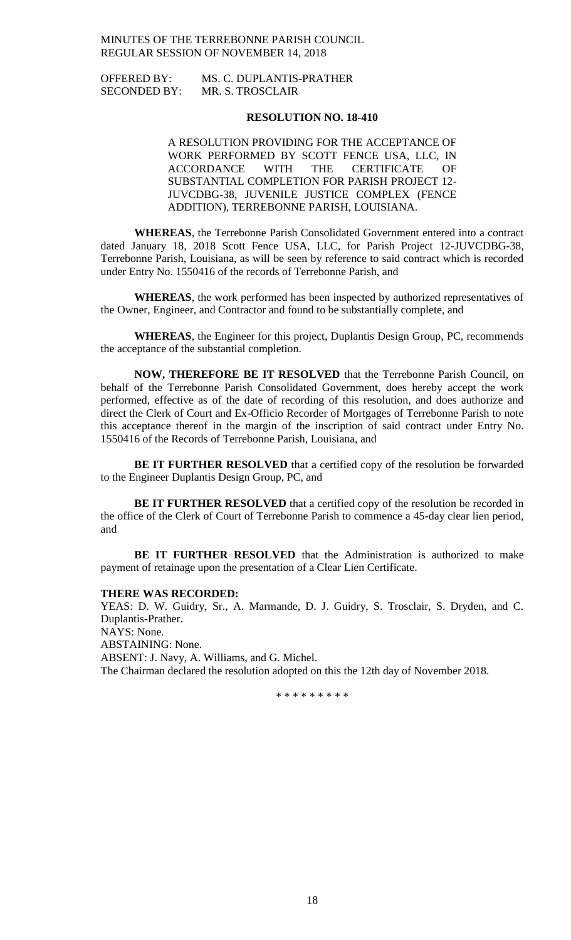OFFERED BY: MS. C. DUPLANTIS-PRATHER SECONDED BY: MR. S. TROSCLAIR

## **RESOLUTION NO. 18-410**

A RESOLUTION PROVIDING FOR THE ACCEPTANCE OF WORK PERFORMED BY SCOTT FENCE USA, LLC, IN ACCORDANCE WITH THE CERTIFICATE OF SUBSTANTIAL COMPLETION FOR PARISH PROJECT 12- JUVCDBG-38, JUVENILE JUSTICE COMPLEX (FENCE ADDITION), TERREBONNE PARISH, LOUISIANA.

**WHEREAS**, the Terrebonne Parish Consolidated Government entered into a contract dated January 18, 2018 Scott Fence USA, LLC, for Parish Project 12-JUVCDBG-38, Terrebonne Parish, Louisiana, as will be seen by reference to said contract which is recorded under Entry No. 1550416 of the records of Terrebonne Parish, and

**WHEREAS**, the work performed has been inspected by authorized representatives of the Owner, Engineer, and Contractor and found to be substantially complete, and

**WHEREAS**, the Engineer for this project, Duplantis Design Group, PC, recommends the acceptance of the substantial completion.

**NOW, THEREFORE BE IT RESOLVED** that the Terrebonne Parish Council, on behalf of the Terrebonne Parish Consolidated Government, does hereby accept the work performed, effective as of the date of recording of this resolution, and does authorize and direct the Clerk of Court and Ex-Officio Recorder of Mortgages of Terrebonne Parish to note this acceptance thereof in the margin of the inscription of said contract under Entry No. 1550416 of the Records of Terrebonne Parish, Louisiana, and

**BE IT FURTHER RESOLVED** that a certified copy of the resolution be forwarded to the Engineer Duplantis Design Group, PC, and

**BE IT FURTHER RESOLVED** that a certified copy of the resolution be recorded in the office of the Clerk of Court of Terrebonne Parish to commence a 45-day clear lien period, and

**BE IT FURTHER RESOLVED** that the Administration is authorized to make payment of retainage upon the presentation of a Clear Lien Certificate.

#### **THERE WAS RECORDED:**

YEAS: D. W. Guidry, Sr., A. Marmande, D. J. Guidry, S. Trosclair, S. Dryden, and C. Duplantis-Prather. NAYS: None. ABSTAINING: None. ABSENT: J. Navy, A. Williams, and G. Michel. The Chairman declared the resolution adopted on this the 12th day of November 2018.

\* \* \* \* \* \* \* \* \*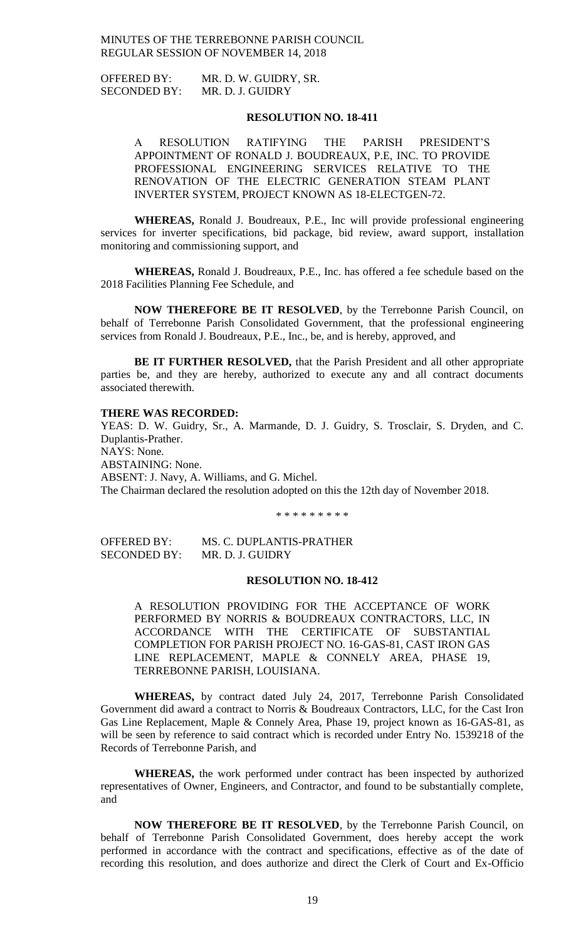OFFERED BY: MR. D. W. GUIDRY, SR. SECONDED BY: MR. D. J. GUIDRY

## **RESOLUTION NO. 18-411**

A RESOLUTION RATIFYING THE PARISH PRESIDENT'S APPOINTMENT OF RONALD J. BOUDREAUX, P.E, INC. TO PROVIDE PROFESSIONAL ENGINEERING SERVICES RELATIVE TO THE RENOVATION OF THE ELECTRIC GENERATION STEAM PLANT INVERTER SYSTEM, PROJECT KNOWN AS 18-ELECTGEN-72.

**WHEREAS,** Ronald J. Boudreaux, P.E., Inc will provide professional engineering services for inverter specifications, bid package, bid review, award support, installation monitoring and commissioning support, and

**WHEREAS,** Ronald J. Boudreaux, P.E., Inc. has offered a fee schedule based on the 2018 Facilities Planning Fee Schedule, and

**NOW THEREFORE BE IT RESOLVED**, by the Terrebonne Parish Council, on behalf of Terrebonne Parish Consolidated Government, that the professional engineering services from Ronald J. Boudreaux, P.E., Inc., be, and is hereby, approved, and

**BE IT FURTHER RESOLVED,** that the Parish President and all other appropriate parties be, and they are hereby, authorized to execute any and all contract documents associated therewith.

#### **THERE WAS RECORDED:**

YEAS: D. W. Guidry, Sr., A. Marmande, D. J. Guidry, S. Trosclair, S. Dryden, and C. Duplantis-Prather. NAYS: None. ABSTAINING: None. ABSENT: J. Navy, A. Williams, and G. Michel. The Chairman declared the resolution adopted on this the 12th day of November 2018.

\* \* \* \* \* \* \* \* \*

OFFERED BY: MS. C. DUPLANTIS-PRATHER SECONDED BY: MR. D. J. GUIDRY

#### **RESOLUTION NO. 18-412**

A RESOLUTION PROVIDING FOR THE ACCEPTANCE OF WORK PERFORMED BY NORRIS & BOUDREAUX CONTRACTORS, LLC, IN ACCORDANCE WITH THE CERTIFICATE OF SUBSTANTIAL COMPLETION FOR PARISH PROJECT NO. 16-GAS-81, CAST IRON GAS LINE REPLACEMENT, MAPLE & CONNELY AREA, PHASE 19, TERREBONNE PARISH, LOUISIANA.

**WHEREAS,** by contract dated July 24, 2017, Terrebonne Parish Consolidated Government did award a contract to Norris & Boudreaux Contractors, LLC, for the Cast Iron Gas Line Replacement, Maple & Connely Area, Phase 19, project known as 16-GAS-81, as will be seen by reference to said contract which is recorded under Entry No. 1539218 of the Records of Terrebonne Parish, and

**WHEREAS,** the work performed under contract has been inspected by authorized representatives of Owner, Engineers, and Contractor, and found to be substantially complete, and

**NOW THEREFORE BE IT RESOLVED**, by the Terrebonne Parish Council, on behalf of Terrebonne Parish Consolidated Government, does hereby accept the work performed in accordance with the contract and specifications, effective as of the date of recording this resolution, and does authorize and direct the Clerk of Court and Ex-Officio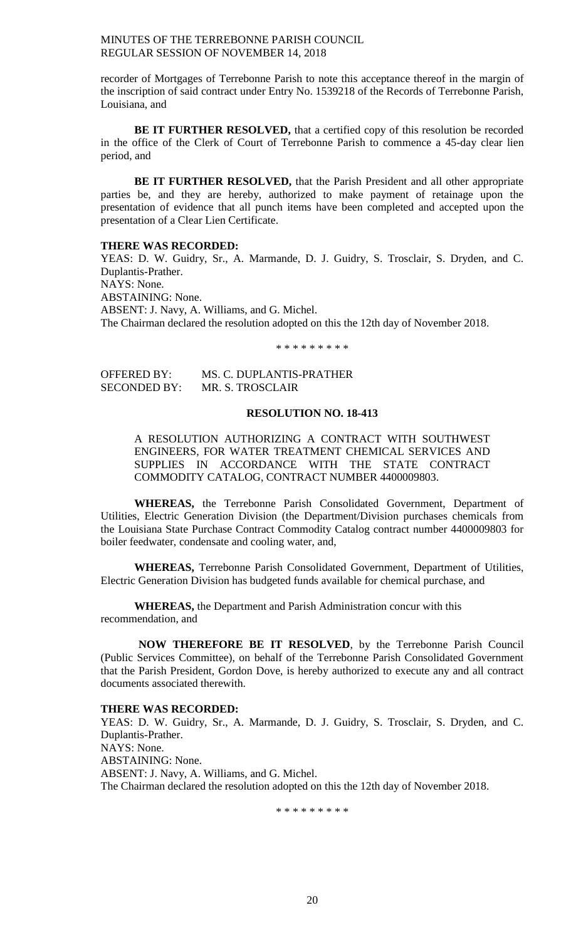recorder of Mortgages of Terrebonne Parish to note this acceptance thereof in the margin of the inscription of said contract under Entry No. 1539218 of the Records of Terrebonne Parish, Louisiana, and

**BE IT FURTHER RESOLVED,** that a certified copy of this resolution be recorded in the office of the Clerk of Court of Terrebonne Parish to commence a 45-day clear lien period, and

**BE IT FURTHER RESOLVED,** that the Parish President and all other appropriate parties be, and they are hereby, authorized to make payment of retainage upon the presentation of evidence that all punch items have been completed and accepted upon the presentation of a Clear Lien Certificate.

## **THERE WAS RECORDED:**

YEAS: D. W. Guidry, Sr., A. Marmande, D. J. Guidry, S. Trosclair, S. Dryden, and C. Duplantis-Prather. NAYS: None. ABSTAINING: None. ABSENT: J. Navy, A. Williams, and G. Michel. The Chairman declared the resolution adopted on this the 12th day of November 2018.

\* \* \* \* \* \* \* \* \*

OFFERED BY: MS. C. DUPLANTIS-PRATHER SECONDED BY: MR. S. TROSCLAIR

# **RESOLUTION NO. 18-413**

A RESOLUTION AUTHORIZING A CONTRACT WITH SOUTHWEST ENGINEERS, FOR WATER TREATMENT CHEMICAL SERVICES AND SUPPLIES IN ACCORDANCE WITH THE STATE CONTRACT COMMODITY CATALOG, CONTRACT NUMBER 4400009803.

**WHEREAS,** the Terrebonne Parish Consolidated Government, Department of Utilities, Electric Generation Division (the Department/Division purchases chemicals from the Louisiana State Purchase Contract Commodity Catalog contract number 4400009803 for boiler feedwater, condensate and cooling water, and,

**WHEREAS,** Terrebonne Parish Consolidated Government, Department of Utilities, Electric Generation Division has budgeted funds available for chemical purchase, and

**WHEREAS,** the Department and Parish Administration concur with this recommendation, and

**NOW THEREFORE BE IT RESOLVED**, by the Terrebonne Parish Council (Public Services Committee), on behalf of the Terrebonne Parish Consolidated Government that the Parish President, Gordon Dove, is hereby authorized to execute any and all contract documents associated therewith.

## **THERE WAS RECORDED:**

YEAS: D. W. Guidry, Sr., A. Marmande, D. J. Guidry, S. Trosclair, S. Dryden, and C. Duplantis-Prather. NAYS: None. ABSTAINING: None. ABSENT: J. Navy, A. Williams, and G. Michel. The Chairman declared the resolution adopted on this the 12th day of November 2018.

\* \* \* \* \* \* \* \* \*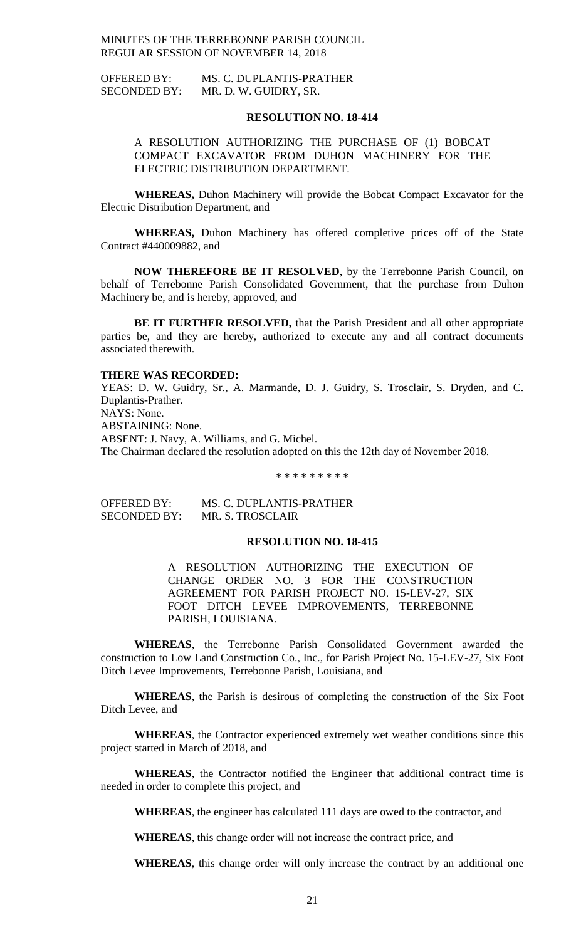OFFERED BY: MS. C. DUPLANTIS-PRATHER SECONDED BY: MR. D. W. GUIDRY, SR.

#### **RESOLUTION NO. 18-414**

A RESOLUTION AUTHORIZING THE PURCHASE OF (1) BOBCAT COMPACT EXCAVATOR FROM DUHON MACHINERY FOR THE ELECTRIC DISTRIBUTION DEPARTMENT.

**WHEREAS,** Duhon Machinery will provide the Bobcat Compact Excavator for the Electric Distribution Department, and

**WHEREAS,** Duhon Machinery has offered completive prices off of the State Contract #440009882, and

**NOW THEREFORE BE IT RESOLVED**, by the Terrebonne Parish Council, on behalf of Terrebonne Parish Consolidated Government, that the purchase from Duhon Machinery be, and is hereby, approved, and

**BE IT FURTHER RESOLVED,** that the Parish President and all other appropriate parties be, and they are hereby, authorized to execute any and all contract documents associated therewith.

#### **THERE WAS RECORDED:**

YEAS: D. W. Guidry, Sr., A. Marmande, D. J. Guidry, S. Trosclair, S. Dryden, and C. Duplantis-Prather. NAYS: None. ABSTAINING: None. ABSENT: J. Navy, A. Williams, and G. Michel. The Chairman declared the resolution adopted on this the 12th day of November 2018.

\* \* \* \* \* \* \* \* \*

OFFERED BY: MS. C. DUPLANTIS-PRATHER SECONDED BY: MR. S. TROSCLAIR

## **RESOLUTION NO. 18-415**

A RESOLUTION AUTHORIZING THE EXECUTION OF CHANGE ORDER NO. 3 FOR THE CONSTRUCTION AGREEMENT FOR PARISH PROJECT NO. 15-LEV-27, SIX FOOT DITCH LEVEE IMPROVEMENTS, TERREBONNE PARISH, LOUISIANA.

**WHEREAS**, the Terrebonne Parish Consolidated Government awarded the construction to Low Land Construction Co., Inc., for Parish Project No. 15-LEV-27, Six Foot Ditch Levee Improvements, Terrebonne Parish, Louisiana, and

**WHEREAS**, the Parish is desirous of completing the construction of the Six Foot Ditch Levee, and

**WHEREAS**, the Contractor experienced extremely wet weather conditions since this project started in March of 2018, and

**WHEREAS**, the Contractor notified the Engineer that additional contract time is needed in order to complete this project, and

**WHEREAS**, the engineer has calculated 111 days are owed to the contractor, and

**WHEREAS**, this change order will not increase the contract price, and

**WHEREAS**, this change order will only increase the contract by an additional one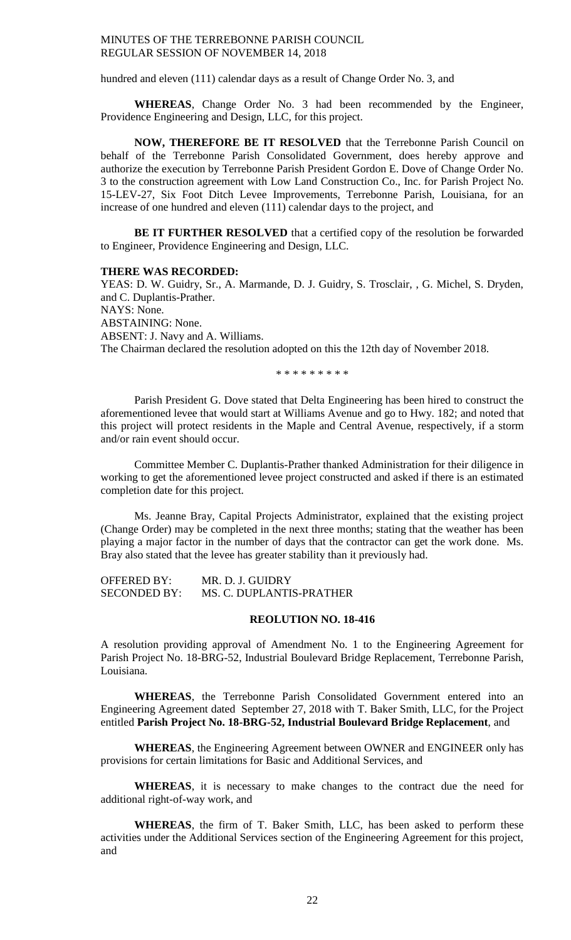hundred and eleven (111) calendar days as a result of Change Order No. 3, and

**WHEREAS**, Change Order No. 3 had been recommended by the Engineer, Providence Engineering and Design, LLC, for this project.

**NOW, THEREFORE BE IT RESOLVED** that the Terrebonne Parish Council on behalf of the Terrebonne Parish Consolidated Government, does hereby approve and authorize the execution by Terrebonne Parish President Gordon E. Dove of Change Order No. 3 to the construction agreement with Low Land Construction Co., Inc. for Parish Project No. 15-LEV-27, Six Foot Ditch Levee Improvements, Terrebonne Parish, Louisiana, for an increase of one hundred and eleven (111) calendar days to the project, and

**BE IT FURTHER RESOLVED** that a certified copy of the resolution be forwarded to Engineer, Providence Engineering and Design, LLC.

#### **THERE WAS RECORDED:**

YEAS: D. W. Guidry, Sr., A. Marmande, D. J. Guidry, S. Trosclair, , G. Michel, S. Dryden, and C. Duplantis-Prather. NAYS: None. ABSTAINING: None. ABSENT: J. Navy and A. Williams. The Chairman declared the resolution adopted on this the 12th day of November 2018.

\* \* \* \* \* \* \* \* \*

Parish President G. Dove stated that Delta Engineering has been hired to construct the aforementioned levee that would start at Williams Avenue and go to Hwy. 182; and noted that this project will protect residents in the Maple and Central Avenue, respectively, if a storm and/or rain event should occur.

Committee Member C. Duplantis-Prather thanked Administration for their diligence in working to get the aforementioned levee project constructed and asked if there is an estimated completion date for this project.

Ms. Jeanne Bray, Capital Projects Administrator, explained that the existing project (Change Order) may be completed in the next three months; stating that the weather has been playing a major factor in the number of days that the contractor can get the work done. Ms. Bray also stated that the levee has greater stability than it previously had.

OFFERED BY: MR. D. J. GUIDRY SECONDED BY: MS. C. DUPLANTIS-PRATHER

#### **REOLUTION NO. 18-416**

A resolution providing approval of Amendment No. 1 to the Engineering Agreement for Parish Project No. 18-BRG-52, Industrial Boulevard Bridge Replacement, Terrebonne Parish, Louisiana.

**WHEREAS**, the Terrebonne Parish Consolidated Government entered into an Engineering Agreement dated September 27, 2018 with T. Baker Smith, LLC, for the Project entitled **Parish Project No. 18-BRG-52, Industrial Boulevard Bridge Replacement**, and

**WHEREAS**, the Engineering Agreement between OWNER and ENGINEER only has provisions for certain limitations for Basic and Additional Services, and

**WHEREAS**, it is necessary to make changes to the contract due the need for additional right-of-way work, and

**WHEREAS**, the firm of T. Baker Smith, LLC, has been asked to perform these activities under the Additional Services section of the Engineering Agreement for this project, and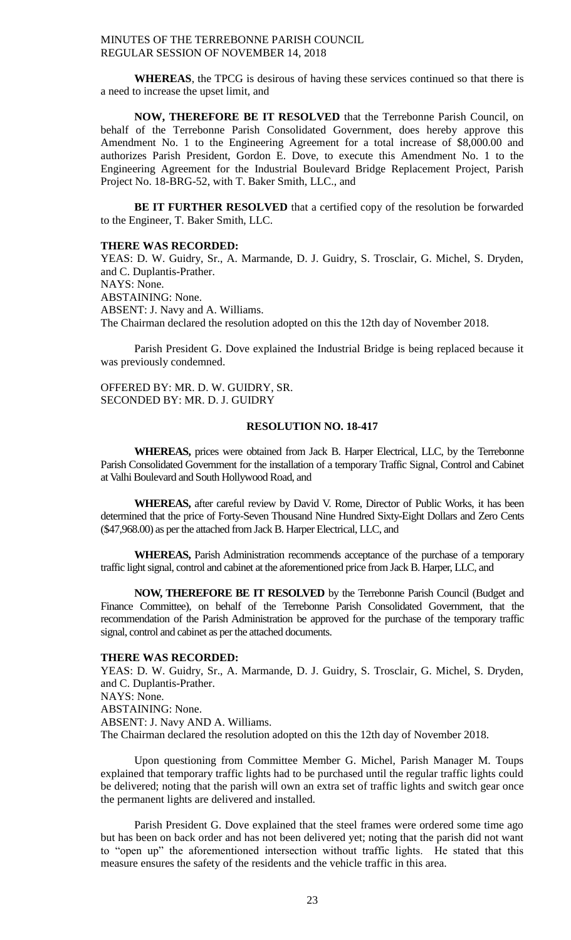**WHEREAS**, the TPCG is desirous of having these services continued so that there is a need to increase the upset limit, and

**NOW, THEREFORE BE IT RESOLVED** that the Terrebonne Parish Council, on behalf of the Terrebonne Parish Consolidated Government, does hereby approve this Amendment No. 1 to the Engineering Agreement for a total increase of \$8,000.00 and authorizes Parish President, Gordon E. Dove, to execute this Amendment No. 1 to the Engineering Agreement for the Industrial Boulevard Bridge Replacement Project, Parish Project No. 18-BRG-52, with T. Baker Smith, LLC., and

**BE IT FURTHER RESOLVED** that a certified copy of the resolution be forwarded to the Engineer, T. Baker Smith, LLC.

#### **THERE WAS RECORDED:**

YEAS: D. W. Guidry, Sr., A. Marmande, D. J. Guidry, S. Trosclair, G. Michel, S. Dryden, and C. Duplantis-Prather. NAYS: None. ABSTAINING: None. ABSENT: J. Navy and A. Williams. The Chairman declared the resolution adopted on this the 12th day of November 2018.

Parish President G. Dove explained the Industrial Bridge is being replaced because it was previously condemned.

OFFERED BY: MR. D. W. GUIDRY, SR. SECONDED BY: MR. D. J. GUIDRY

#### **RESOLUTION NO. 18-417**

**WHEREAS,** prices were obtained from Jack B. Harper Electrical, LLC, by the Terrebonne Parish Consolidated Government for the installation of a temporary Traffic Signal, Control and Cabinet at Valhi Boulevard and South Hollywood Road, and

**WHEREAS,** after careful review by David V. Rome, Director of Public Works, it has been determined that the price of Forty-Seven Thousand Nine Hundred Sixty-Eight Dollars and Zero Cents (\$47,968.00) as per the attached from Jack B. Harper Electrical, LLC, and

**WHEREAS,** Parish Administration recommends acceptance of the purchase of a temporary traffic light signal, control and cabinet at the aforementioned price from Jack B. Harper, LLC, and

**NOW, THEREFORE BE IT RESOLVED** by the Terrebonne Parish Council (Budget and Finance Committee), on behalf of the Terrebonne Parish Consolidated Government, that the recommendation of the Parish Administration be approved for the purchase of the temporary traffic signal, control and cabinet as per the attached documents.

#### **THERE WAS RECORDED:**

YEAS: D. W. Guidry, Sr., A. Marmande, D. J. Guidry, S. Trosclair, G. Michel, S. Dryden, and C. Duplantis-Prather. NAYS: None. ABSTAINING: None. ABSENT: J. Navy AND A. Williams. The Chairman declared the resolution adopted on this the 12th day of November 2018.

Upon questioning from Committee Member G. Michel, Parish Manager M. Toups explained that temporary traffic lights had to be purchased until the regular traffic lights could be delivered; noting that the parish will own an extra set of traffic lights and switch gear once the permanent lights are delivered and installed.

Parish President G. Dove explained that the steel frames were ordered some time ago but has been on back order and has not been delivered yet; noting that the parish did not want to "open up" the aforementioned intersection without traffic lights. He stated that this measure ensures the safety of the residents and the vehicle traffic in this area.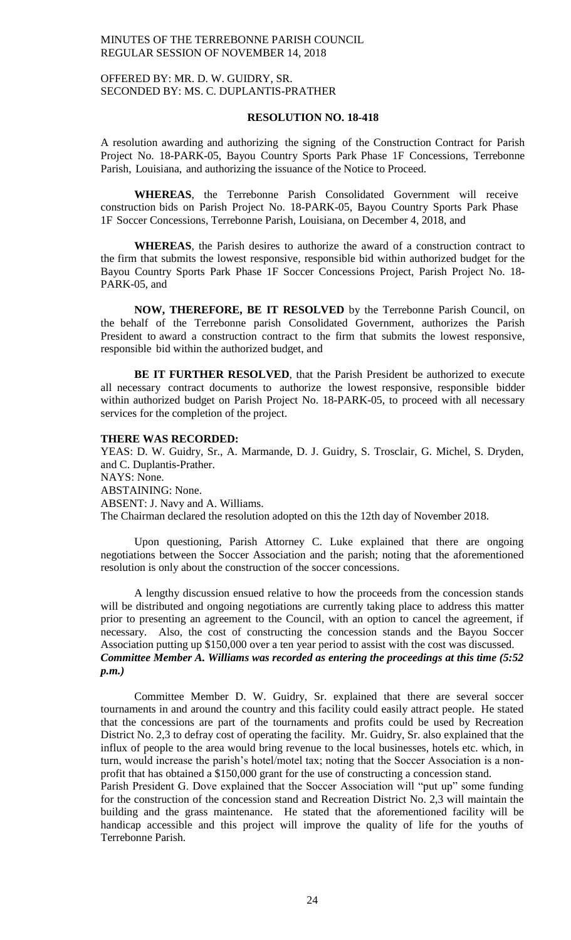# OFFERED BY: MR. D. W. GUIDRY, SR. SECONDED BY: MS. C. DUPLANTIS-PRATHER

## **RESOLUTION NO. 18-418**

A resolution awarding and authorizing the signing of the Construction Contract for Parish Project No. 18-PARK-05, Bayou Country Sports Park Phase 1F Concessions, Terrebonne Parish, Louisiana, and authorizing the issuance of the Notice to Proceed.

**WHEREAS**, the Terrebonne Parish Consolidated Government will receive construction bids on Parish Project No. 18-PARK-05, Bayou Country Sports Park Phase 1F Soccer Concessions, Terrebonne Parish, Louisiana, on December 4, 2018, and

**WHEREAS**, the Parish desires to authorize the award of a construction contract to the firm that submits the lowest responsive, responsible bid within authorized budget for the Bayou Country Sports Park Phase 1F Soccer Concessions Project, Parish Project No. 18- PARK-05, and

**NOW, THEREFORE, BE IT RESOLVED** by the Terrebonne Parish Council, on the behalf of the Terrebonne parish Consolidated Government, authorizes the Parish President to award a construction contract to the firm that submits the lowest responsive, responsible bid within the authorized budget, and

**BE IT FURTHER RESOLVED**, that the Parish President be authorized to execute all necessary contract documents to authorize the lowest responsive, responsible bidder within authorized budget on Parish Project No. 18-PARK-05, to proceed with all necessary services for the completion of the project.

#### **THERE WAS RECORDED:**

YEAS: D. W. Guidry, Sr., A. Marmande, D. J. Guidry, S. Trosclair, G. Michel, S. Dryden, and C. Duplantis-Prather. NAYS: None. ABSTAINING: None. ABSENT: J. Navy and A. Williams. The Chairman declared the resolution adopted on this the 12th day of November 2018.

Upon questioning, Parish Attorney C. Luke explained that there are ongoing negotiations between the Soccer Association and the parish; noting that the aforementioned resolution is only about the construction of the soccer concessions.

A lengthy discussion ensued relative to how the proceeds from the concession stands will be distributed and ongoing negotiations are currently taking place to address this matter prior to presenting an agreement to the Council, with an option to cancel the agreement, if necessary. Also, the cost of constructing the concession stands and the Bayou Soccer Association putting up \$150,000 over a ten year period to assist with the cost was discussed. *Committee Member A. Williams was recorded as entering the proceedings at this time (5:52 p.m.)*

Committee Member D. W. Guidry, Sr. explained that there are several soccer tournaments in and around the country and this facility could easily attract people. He stated that the concessions are part of the tournaments and profits could be used by Recreation District No. 2,3 to defray cost of operating the facility. Mr. Guidry, Sr. also explained that the influx of people to the area would bring revenue to the local businesses, hotels etc. which, in turn, would increase the parish's hotel/motel tax; noting that the Soccer Association is a nonprofit that has obtained a \$150,000 grant for the use of constructing a concession stand.

Parish President G. Dove explained that the Soccer Association will "put up" some funding for the construction of the concession stand and Recreation District No. 2,3 will maintain the building and the grass maintenance. He stated that the aforementioned facility will be handicap accessible and this project will improve the quality of life for the youths of Terrebonne Parish.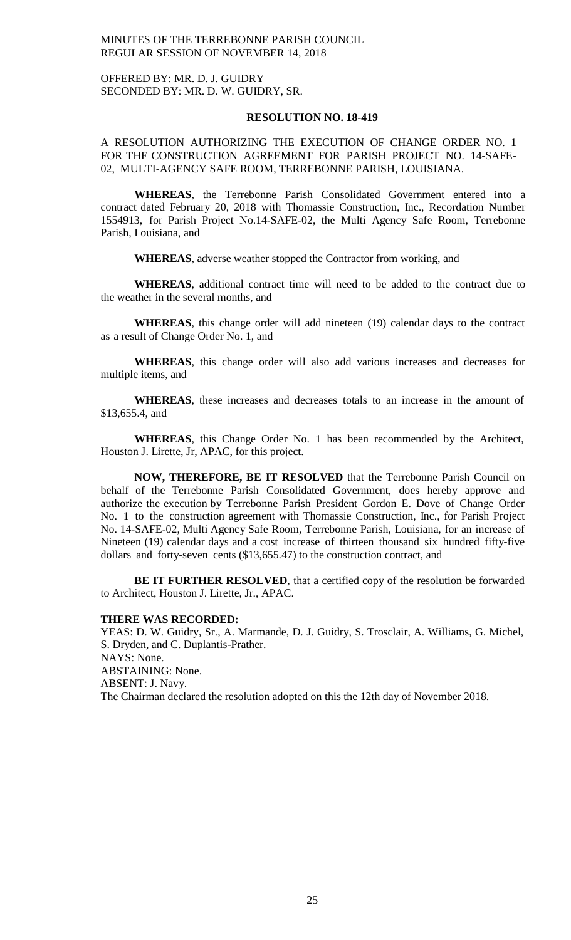OFFERED BY: MR. D. J. GUIDRY SECONDED BY: MR. D. W. GUIDRY, SR.

#### **RESOLUTION NO. 18-419**

A RESOLUTION AUTHORIZING THE EXECUTION OF CHANGE ORDER NO. 1 FOR THE CONSTRUCTION AGREEMENT FOR PARISH PROJECT NO. 14-SAFE-02, MULTI-AGENCY SAFE ROOM, TERREBONNE PARISH, LOUISIANA.

**WHEREAS**, the Terrebonne Parish Consolidated Government entered into a contract dated February 20, 2018 with Thomassie Construction, Inc., Recordation Number 1554913, for Parish Project No.14-SAFE-02, the Multi Agency Safe Room, Terrebonne Parish, Louisiana, and

**WHEREAS**, adverse weather stopped the Contractor from working, and

**WHEREAS**, additional contract time will need to be added to the contract due to the weather in the several months, and

**WHEREAS**, this change order will add nineteen (19) calendar days to the contract as a result of Change Order No. 1, and

**WHEREAS**, this change order will also add various increases and decreases for multiple items, and

**WHEREAS**, these increases and decreases totals to an increase in the amount of \$13,655.4, and

**WHEREAS**, this Change Order No. 1 has been recommended by the Architect, Houston J. Lirette, Jr, APAC, for this project.

**NOW, THEREFORE, BE IT RESOLVED** that the Terrebonne Parish Council on behalf of the Terrebonne Parish Consolidated Government, does hereby approve and authorize the execution by Terrebonne Parish President Gordon E. Dove of Change Order No. 1 to the construction agreement with Thomassie Construction, Inc., for Parish Project No. 14-SAFE-02, Multi Agency Safe Room, Terrebonne Parish, Louisiana, for an increase of Nineteen (19) calendar days and a cost increase of thirteen thousand six hundred fifty-five dollars and forty-seven cents (\$13,655.47) to the construction contract, and

**BE IT FURTHER RESOLVED**, that a certified copy of the resolution be forwarded to Architect, Houston J. Lirette, Jr., APAC.

#### **THERE WAS RECORDED:**

YEAS: D. W. Guidry, Sr., A. Marmande, D. J. Guidry, S. Trosclair, A. Williams, G. Michel, S. Dryden, and C. Duplantis-Prather. NAYS: None. ABSTAINING: None. ABSENT: J. Navy. The Chairman declared the resolution adopted on this the 12th day of November 2018.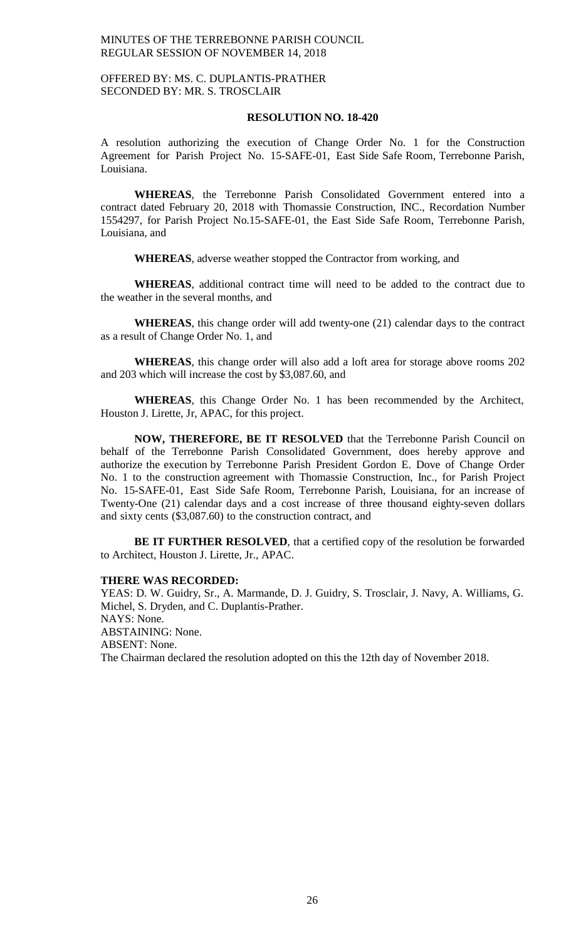# OFFERED BY: MS. C. DUPLANTIS-PRATHER SECONDED BY: MR. S. TROSCLAIR

## **RESOLUTION NO. 18-420**

A resolution authorizing the execution of Change Order No. 1 for the Construction Agreement for Parish Project No. 15-SAFE-01, East Side Safe Room, Terrebonne Parish, Louisiana.

**WHEREAS**, the Terrebonne Parish Consolidated Government entered into a contract dated February 20, 2018 with Thomassie Construction, INC., Recordation Number 1554297, for Parish Project No.15-SAFE-01, the East Side Safe Room, Terrebonne Parish, Louisiana, and

**WHEREAS**, adverse weather stopped the Contractor from working, and

**WHEREAS**, additional contract time will need to be added to the contract due to the weather in the several months, and

**WHEREAS**, this change order will add twenty-one (21) calendar days to the contract as a result of Change Order No. 1, and

**WHEREAS**, this change order will also add a loft area for storage above rooms 202 and 203 which will increase the cost by \$3,087.60, and

**WHEREAS**, this Change Order No. 1 has been recommended by the Architect, Houston J. Lirette, Jr, APAC, for this project.

**NOW, THEREFORE, BE IT RESOLVED** that the Terrebonne Parish Council on behalf of the Terrebonne Parish Consolidated Government, does hereby approve and authorize the execution by Terrebonne Parish President Gordon E. Dove of Change Order No. 1 to the construction agreement with Thomassie Construction, Inc., for Parish Project No. 15-SAFE-01, East Side Safe Room, Terrebonne Parish, Louisiana, for an increase of Twenty-One (21) calendar days and a cost increase of three thousand eighty-seven dollars and sixty cents (\$3,087.60) to the construction contract, and

**BE IT FURTHER RESOLVED**, that a certified copy of the resolution be forwarded to Architect, Houston J. Lirette, Jr., APAC.

#### **THERE WAS RECORDED:**

YEAS: D. W. Guidry, Sr., A. Marmande, D. J. Guidry, S. Trosclair, J. Navy, A. Williams, G. Michel, S. Dryden, and C. Duplantis-Prather. NAYS: None. ABSTAINING: None. ABSENT: None. The Chairman declared the resolution adopted on this the 12th day of November 2018.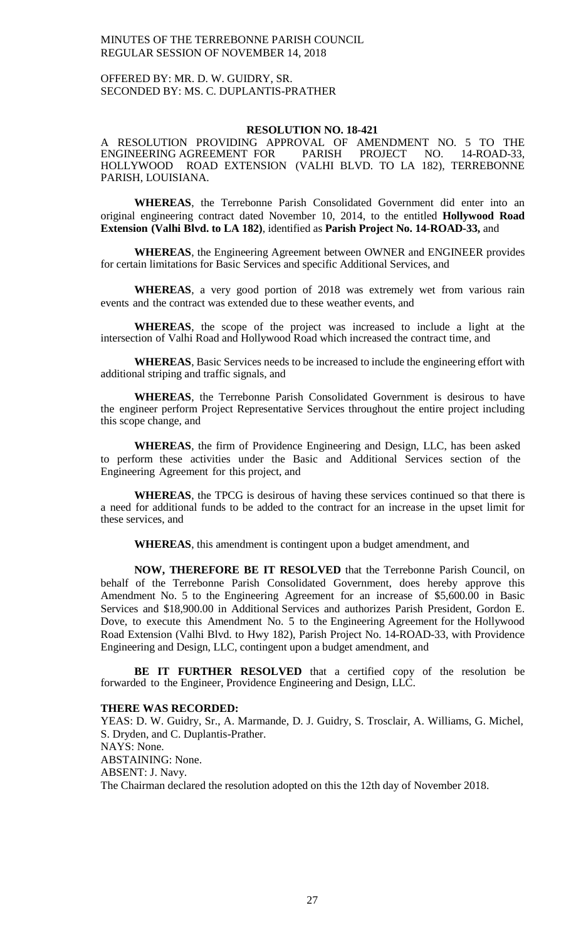# OFFERED BY: MR. D. W. GUIDRY, SR. SECONDED BY: MS. C. DUPLANTIS-PRATHER

#### **RESOLUTION NO. 18-421**

A RESOLUTION PROVIDING APPROVAL OF AMENDMENT NO. 5 TO THE ENGINEERING AGREEMENT FOR PARISH PROJECT NO. 14-ROAD-33, HOLLYWOOD ROAD EXTENSION (VALHI BLVD. TO LA 182), TERREBONNE PARISH, LOUISIANA.

**WHEREAS**, the Terrebonne Parish Consolidated Government did enter into an original engineering contract dated November 10, 2014, to the entitled **Hollywood Road Extension (Valhi Blvd. to LA 182)**, identified as **Parish Project No. 14-ROAD-33,** and

**WHEREAS**, the Engineering Agreement between OWNER and ENGINEER provides for certain limitations for Basic Services and specific Additional Services, and

**WHEREAS**, a very good portion of 2018 was extremely wet from various rain events and the contract was extended due to these weather events, and

**WHEREAS**, the scope of the project was increased to include a light at the intersection of Valhi Road and Hollywood Road which increased the contract time, and

**WHEREAS**, Basic Services needs to be increased to include the engineering effort with additional striping and traffic signals, and

**WHEREAS**, the Terrebonne Parish Consolidated Government is desirous to have the engineer perform Project Representative Services throughout the entire project including this scope change, and

**WHEREAS**, the firm of Providence Engineering and Design, LLC, has been asked to perform these activities under the Basic and Additional Services section of the Engineering Agreement for this project, and

**WHEREAS**, the TPCG is desirous of having these services continued so that there is a need for additional funds to be added to the contract for an increase in the upset limit for these services, and

**WHEREAS**, this amendment is contingent upon a budget amendment, and

**NOW, THEREFORE BE IT RESOLVED** that the Terrebonne Parish Council, on behalf of the Terrebonne Parish Consolidated Government, does hereby approve this Amendment No. 5 to the Engineering Agreement for an increase of \$5,600.00 in Basic Services and \$18,900.00 in Additional Services and authorizes Parish President, Gordon E. Dove, to execute this Amendment No. 5 to the Engineering Agreement for the Hollywood Road Extension (Valhi Blvd. to Hwy 182), Parish Project No. 14-ROAD-33, with Providence Engineering and Design, LLC, contingent upon a budget amendment, and

**BE IT FURTHER RESOLVED** that a certified copy of the resolution be forwarded to the Engineer, Providence Engineering and Design, LLC.

#### **THERE WAS RECORDED:**

YEAS: D. W. Guidry, Sr., A. Marmande, D. J. Guidry, S. Trosclair, A. Williams, G. Michel, S. Dryden, and C. Duplantis-Prather. NAYS: None. ABSTAINING: None. ABSENT: J. Navy. The Chairman declared the resolution adopted on this the 12th day of November 2018.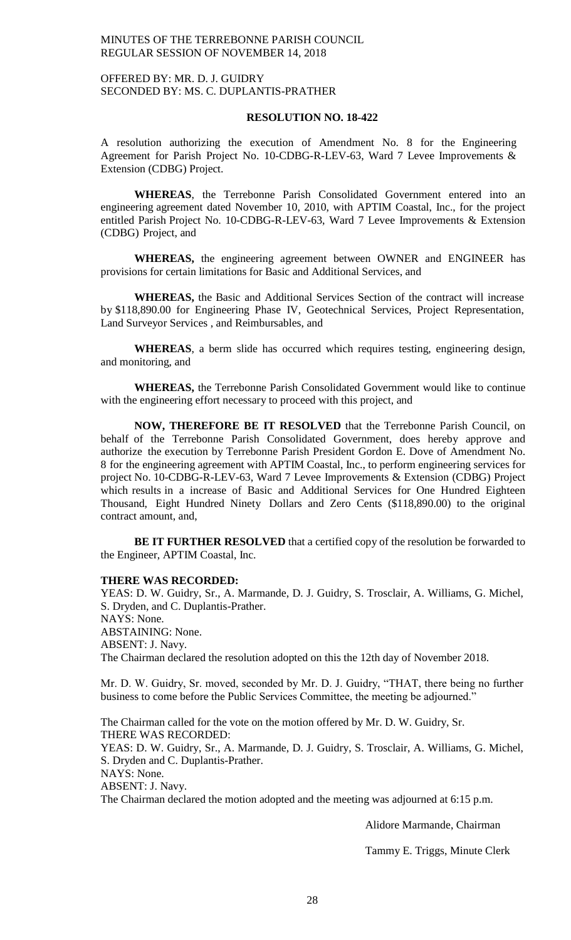# OFFERED BY: MR. D. J. GUIDRY SECONDED BY: MS. C. DUPLANTIS-PRATHER

#### **RESOLUTION NO. 18-422**

A resolution authorizing the execution of Amendment No. 8 for the Engineering Agreement for Parish Project No. 10-CDBG-R-LEV-63, Ward 7 Levee Improvements & Extension (CDBG) Project.

**WHEREAS**, the Terrebonne Parish Consolidated Government entered into an engineering agreement dated November 10, 2010, with APTIM Coastal, Inc., for the project entitled Parish Project No. 10-CDBG-R-LEV-63, Ward 7 Levee Improvements & Extension (CDBG) Project, and

**WHEREAS,** the engineering agreement between OWNER and ENGINEER has provisions for certain limitations for Basic and Additional Services, and

**WHEREAS,** the Basic and Additional Services Section of the contract will increase by \$118,890.00 for Engineering Phase IV, Geotechnical Services, Project Representation, Land Surveyor Services , and Reimbursables, and

**WHEREAS**, a berm slide has occurred which requires testing, engineering design, and monitoring, and

**WHEREAS,** the Terrebonne Parish Consolidated Government would like to continue with the engineering effort necessary to proceed with this project, and

**NOW, THEREFORE BE IT RESOLVED** that the Terrebonne Parish Council, on behalf of the Terrebonne Parish Consolidated Government, does hereby approve and authorize the execution by Terrebonne Parish President Gordon E. Dove of Amendment No. 8 for the engineering agreement with APTIM Coastal, Inc., to perform engineering services for project No. 10-CDBG-R-LEV-63, Ward 7 Levee Improvements & Extension (CDBG) Project which results in a increase of Basic and Additional Services for One Hundred Eighteen Thousand, Eight Hundred Ninety Dollars and Zero Cents (\$118,890.00) to the original contract amount, and,

**BE IT FURTHER RESOLVED** that a certified copy of the resolution be forwarded to the Engineer, APTIM Coastal, Inc.

#### **THERE WAS RECORDED:**

YEAS: D. W. Guidry, Sr., A. Marmande, D. J. Guidry, S. Trosclair, A. Williams, G. Michel, S. Dryden, and C. Duplantis-Prather. NAYS: None. ABSTAINING: None. ABSENT: J. Navy. The Chairman declared the resolution adopted on this the 12th day of November 2018.

Mr. D. W. Guidry, Sr. moved, seconded by Mr. D. J. Guidry, "THAT, there being no further business to come before the Public Services Committee, the meeting be adjourned."

The Chairman called for the vote on the motion offered by Mr. D. W. Guidry, Sr. THERE WAS RECORDED: YEAS: D. W. Guidry, Sr., A. Marmande, D. J. Guidry, S. Trosclair, A. Williams, G. Michel, S. Dryden and C. Duplantis-Prather. NAYS: None. ABSENT: J. Navy. The Chairman declared the motion adopted and the meeting was adjourned at 6:15 p.m.

Alidore Marmande, Chairman

Tammy E. Triggs, Minute Clerk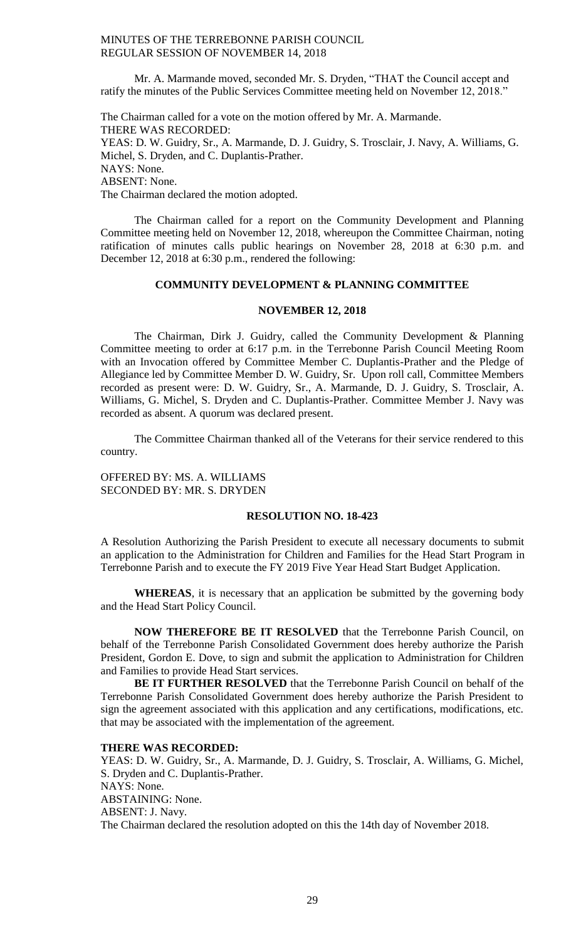Mr. A. Marmande moved, seconded Mr. S. Dryden, "THAT the Council accept and ratify the minutes of the Public Services Committee meeting held on November 12, 2018."

The Chairman called for a vote on the motion offered by Mr. A. Marmande. THERE WAS RECORDED: YEAS: D. W. Guidry, Sr., A. Marmande, D. J. Guidry, S. Trosclair, J. Navy, A. Williams, G. Michel, S. Dryden, and C. Duplantis-Prather. NAYS: None. ABSENT: None. The Chairman declared the motion adopted.

The Chairman called for a report on the Community Development and Planning Committee meeting held on November 12, 2018, whereupon the Committee Chairman, noting ratification of minutes calls public hearings on November 28, 2018 at 6:30 p.m. and December 12, 2018 at 6:30 p.m., rendered the following:

# **COMMUNITY DEVELOPMENT & PLANNING COMMITTEE**

## **NOVEMBER 12, 2018**

The Chairman, Dirk J. Guidry, called the Community Development & Planning Committee meeting to order at 6:17 p.m. in the Terrebonne Parish Council Meeting Room with an Invocation offered by Committee Member C. Duplantis-Prather and the Pledge of Allegiance led by Committee Member D. W. Guidry, Sr. Upon roll call, Committee Members recorded as present were: D. W. Guidry, Sr., A. Marmande, D. J. Guidry, S. Trosclair, A. Williams, G. Michel, S. Dryden and C. Duplantis-Prather. Committee Member J. Navy was recorded as absent. A quorum was declared present.

The Committee Chairman thanked all of the Veterans for their service rendered to this country.

OFFERED BY: MS. A. WILLIAMS SECONDED BY: MR. S. DRYDEN

## **RESOLUTION NO. 18-423**

A Resolution Authorizing the Parish President to execute all necessary documents to submit an application to the Administration for Children and Families for the Head Start Program in Terrebonne Parish and to execute the FY 2019 Five Year Head Start Budget Application.

**WHEREAS**, it is necessary that an application be submitted by the governing body and the Head Start Policy Council.

**NOW THEREFORE BE IT RESOLVED** that the Terrebonne Parish Council, on behalf of the Terrebonne Parish Consolidated Government does hereby authorize the Parish President, Gordon E. Dove, to sign and submit the application to Administration for Children and Families to provide Head Start services.

**BE IT FURTHER RESOLVED** that the Terrebonne Parish Council on behalf of the Terrebonne Parish Consolidated Government does hereby authorize the Parish President to sign the agreement associated with this application and any certifications, modifications, etc. that may be associated with the implementation of the agreement.

## **THERE WAS RECORDED:**

YEAS: D. W. Guidry, Sr., A. Marmande, D. J. Guidry, S. Trosclair, A. Williams, G. Michel, S. Dryden and C. Duplantis-Prather. NAYS: None. ABSTAINING: None. ABSENT: J. Navy. The Chairman declared the resolution adopted on this the 14th day of November 2018.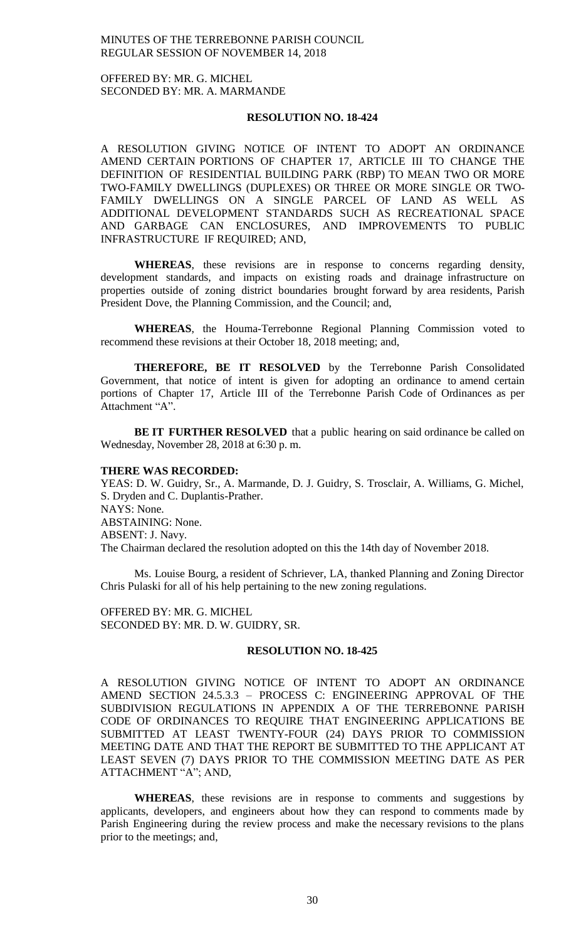OFFERED BY: MR. G. MICHEL SECONDED BY: MR. A. MARMANDE

# **RESOLUTION NO. 18-424**

A RESOLUTION GIVING NOTICE OF INTENT TO ADOPT AN ORDINANCE AMEND CERTAIN PORTIONS OF CHAPTER 17, ARTICLE III TO CHANGE THE DEFINITION OF RESIDENTIAL BUILDING PARK (RBP) TO MEAN TWO OR MORE TWO-FAMILY DWELLINGS (DUPLEXES) OR THREE OR MORE SINGLE OR TWO-FAMILY DWELLINGS ON A SINGLE PARCEL OF LAND AS WELL AS ADDITIONAL DEVELOPMENT STANDARDS SUCH AS RECREATIONAL SPACE AND GARBAGE CAN ENCLOSURES, AND IMPROVEMENTS TO PUBLIC INFRASTRUCTURE IF REQUIRED; AND,

**WHEREAS**, these revisions are in response to concerns regarding density, development standards, and impacts on existing roads and drainage infrastructure on properties outside of zoning district boundaries brought forward by area residents, Parish President Dove, the Planning Commission, and the Council; and,

**WHEREAS**, the Houma-Terrebonne Regional Planning Commission voted to recommend these revisions at their October 18, 2018 meeting; and,

**THEREFORE, BE IT RESOLVED** by the Terrebonne Parish Consolidated Government, that notice of intent is given for adopting an ordinance to amend certain portions of Chapter 17, Article III of the Terrebonne Parish Code of Ordinances as per Attachment "A".

**BE IT FURTHER RESOLVED** that a public hearing on said ordinance be called on Wednesday, November 28, 2018 at 6:30 p. m.

#### **THERE WAS RECORDED:**

YEAS: D. W. Guidry, Sr., A. Marmande, D. J. Guidry, S. Trosclair, A. Williams, G. Michel, S. Dryden and C. Duplantis-Prather. NAYS: None. ABSTAINING: None. ABSENT: J. Navy. The Chairman declared the resolution adopted on this the 14th day of November 2018.

Ms. Louise Bourg, a resident of Schriever, LA, thanked Planning and Zoning Director Chris Pulaski for all of his help pertaining to the new zoning regulations.

OFFERED BY: MR. G. MICHEL SECONDED BY: MR. D. W. GUIDRY, SR.

#### **RESOLUTION NO. 18-425**

A RESOLUTION GIVING NOTICE OF INTENT TO ADOPT AN ORDINANCE AMEND SECTION 24.5.3.3 – PROCESS C: ENGINEERING APPROVAL OF THE SUBDIVISION REGULATIONS IN APPENDIX A OF THE TERREBONNE PARISH CODE OF ORDINANCES TO REQUIRE THAT ENGINEERING APPLICATIONS BE SUBMITTED AT LEAST TWENTY-FOUR (24) DAYS PRIOR TO COMMISSION MEETING DATE AND THAT THE REPORT BE SUBMITTED TO THE APPLICANT AT LEAST SEVEN (7) DAYS PRIOR TO THE COMMISSION MEETING DATE AS PER ATTACHMENT "A"; AND,

**WHEREAS**, these revisions are in response to comments and suggestions by applicants, developers, and engineers about how they can respond to comments made by Parish Engineering during the review process and make the necessary revisions to the plans prior to the meetings; and,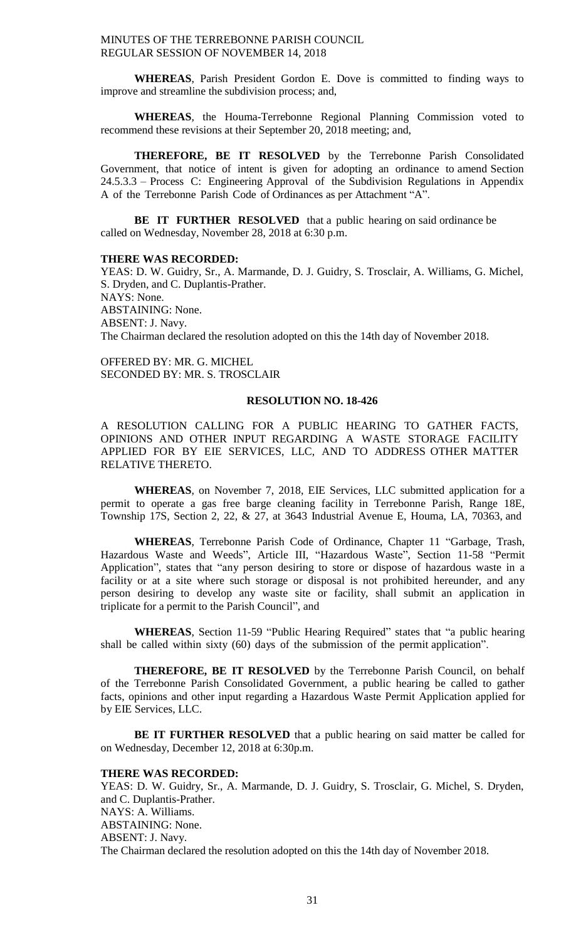**WHEREAS**, Parish President Gordon E. Dove is committed to finding ways to improve and streamline the subdivision process; and,

**WHEREAS**, the Houma-Terrebonne Regional Planning Commission voted to recommend these revisions at their September 20, 2018 meeting; and,

**THEREFORE, BE IT RESOLVED** by the Terrebonne Parish Consolidated Government, that notice of intent is given for adopting an ordinance to amend Section 24.5.3.3 – Process C: Engineering Approval of the Subdivision Regulations in Appendix A of the Terrebonne Parish Code of Ordinances as per Attachment "A".

**BE IT FURTHER RESOLVED** that a public hearing on said ordinance be called on Wednesday, November 28, 2018 at 6:30 p.m.

#### **THERE WAS RECORDED:**

YEAS: D. W. Guidry, Sr., A. Marmande, D. J. Guidry, S. Trosclair, A. Williams, G. Michel, S. Dryden, and C. Duplantis-Prather. NAYS: None. ABSTAINING: None. ABSENT: J. Navy. The Chairman declared the resolution adopted on this the 14th day of November 2018.

OFFERED BY: MR. G. MICHEL SECONDED BY: MR. S. TROSCLAIR

#### **RESOLUTION NO. 18-426**

A RESOLUTION CALLING FOR A PUBLIC HEARING TO GATHER FACTS, OPINIONS AND OTHER INPUT REGARDING A WASTE STORAGE FACILITY APPLIED FOR BY EIE SERVICES, LLC, AND TO ADDRESS OTHER MATTER RELATIVE THERETO.

**WHEREAS**, on November 7, 2018, EIE Services, LLC submitted application for a permit to operate a gas free barge cleaning facility in Terrebonne Parish, Range 18E, Township 17S, Section 2, 22, & 27, at 3643 Industrial Avenue E, Houma, LA, 70363, and

**WHEREAS**, Terrebonne Parish Code of Ordinance, Chapter 11 "Garbage, Trash, Hazardous Waste and Weeds", Article III, "Hazardous Waste", Section 11-58 "Permit Application", states that "any person desiring to store or dispose of hazardous waste in a facility or at a site where such storage or disposal is not prohibited hereunder, and any person desiring to develop any waste site or facility, shall submit an application in triplicate for a permit to the Parish Council", and

**WHEREAS**, Section 11-59 "Public Hearing Required" states that "a public hearing shall be called within sixty (60) days of the submission of the permit application".

**THEREFORE, BE IT RESOLVED** by the Terrebonne Parish Council, on behalf of the Terrebonne Parish Consolidated Government, a public hearing be called to gather facts, opinions and other input regarding a Hazardous Waste Permit Application applied for by EIE Services, LLC.

**BE IT FURTHER RESOLVED** that a public hearing on said matter be called for on Wednesday, December 12, 2018 at 6:30p.m.

#### **THERE WAS RECORDED:**

YEAS: D. W. Guidry, Sr., A. Marmande, D. J. Guidry, S. Trosclair, G. Michel, S. Dryden, and C. Duplantis-Prather. NAYS: A. Williams. ABSTAINING: None. ABSENT: J. Navy. The Chairman declared the resolution adopted on this the 14th day of November 2018.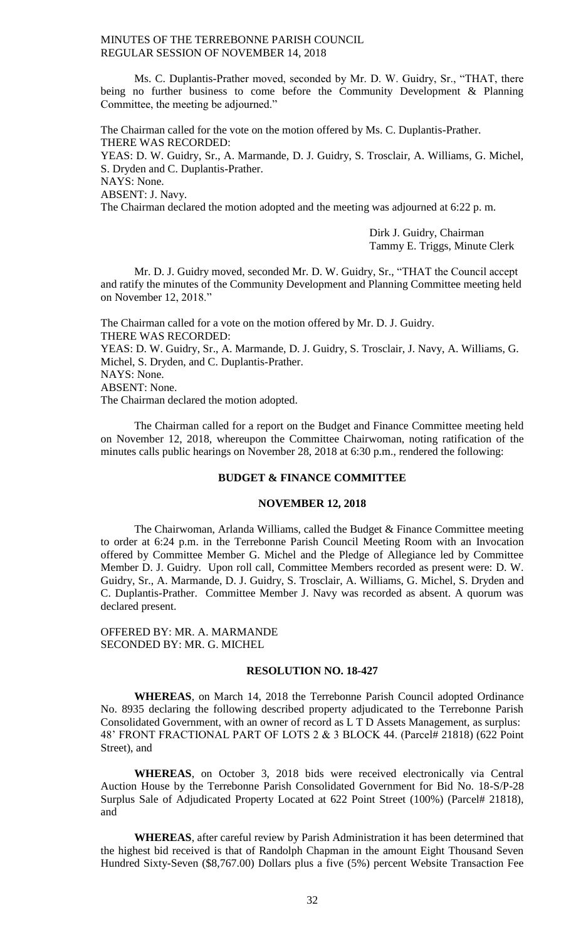Ms. C. Duplantis-Prather moved, seconded by Mr. D. W. Guidry, Sr., "THAT, there being no further business to come before the Community Development & Planning Committee, the meeting be adjourned."

The Chairman called for the vote on the motion offered by Ms. C. Duplantis-Prather. THERE WAS RECORDED:

YEAS: D. W. Guidry, Sr., A. Marmande, D. J. Guidry, S. Trosclair, A. Williams, G. Michel, S. Dryden and C. Duplantis-Prather.

NAYS: None.

ABSENT: J. Navy.

The Chairman declared the motion adopted and the meeting was adjourned at 6:22 p. m.

Dirk J. Guidry, Chairman Tammy E. Triggs, Minute Clerk

Mr. D. J. Guidry moved, seconded Mr. D. W. Guidry, Sr., "THAT the Council accept and ratify the minutes of the Community Development and Planning Committee meeting held on November 12, 2018."

The Chairman called for a vote on the motion offered by Mr. D. J. Guidry. THERE WAS RECORDED: YEAS: D. W. Guidry, Sr., A. Marmande, D. J. Guidry, S. Trosclair, J. Navy, A. Williams, G. Michel, S. Dryden, and C. Duplantis-Prather.

NAYS: None.

ABSENT: None.

The Chairman declared the motion adopted.

The Chairman called for a report on the Budget and Finance Committee meeting held on November 12, 2018, whereupon the Committee Chairwoman, noting ratification of the minutes calls public hearings on November 28, 2018 at 6:30 p.m., rendered the following:

#### **BUDGET & FINANCE COMMITTEE**

#### **NOVEMBER 12, 2018**

The Chairwoman, Arlanda Williams, called the Budget  $\&$  Finance Committee meeting to order at 6:24 p.m. in the Terrebonne Parish Council Meeting Room with an Invocation offered by Committee Member G. Michel and the Pledge of Allegiance led by Committee Member D. J. Guidry. Upon roll call, Committee Members recorded as present were: D. W. Guidry, Sr., A. Marmande, D. J. Guidry, S. Trosclair, A. Williams, G. Michel, S. Dryden and C. Duplantis-Prather. Committee Member J. Navy was recorded as absent. A quorum was declared present.

OFFERED BY: MR. A. MARMANDE SECONDED BY: MR. G. MICHEL

#### **RESOLUTION NO. 18-427**

**WHEREAS**, on March 14, 2018 the Terrebonne Parish Council adopted Ordinance No. 8935 declaring the following described property adjudicated to the Terrebonne Parish Consolidated Government, with an owner of record as L T D Assets Management, as surplus: 48' FRONT FRACTIONAL PART OF LOTS 2 & 3 BLOCK 44. (Parcel# 21818) (622 Point Street), and

**WHEREAS**, on October 3, 2018 bids were received electronically via Central Auction House by the Terrebonne Parish Consolidated Government for Bid No. 18-S/P-28 Surplus Sale of Adjudicated Property Located at 622 Point Street (100%) (Parcel# 21818), and

**WHEREAS**, after careful review by Parish Administration it has been determined that the highest bid received is that of Randolph Chapman in the amount Eight Thousand Seven Hundred Sixty-Seven (\$8,767.00) Dollars plus a five (5%) percent Website Transaction Fee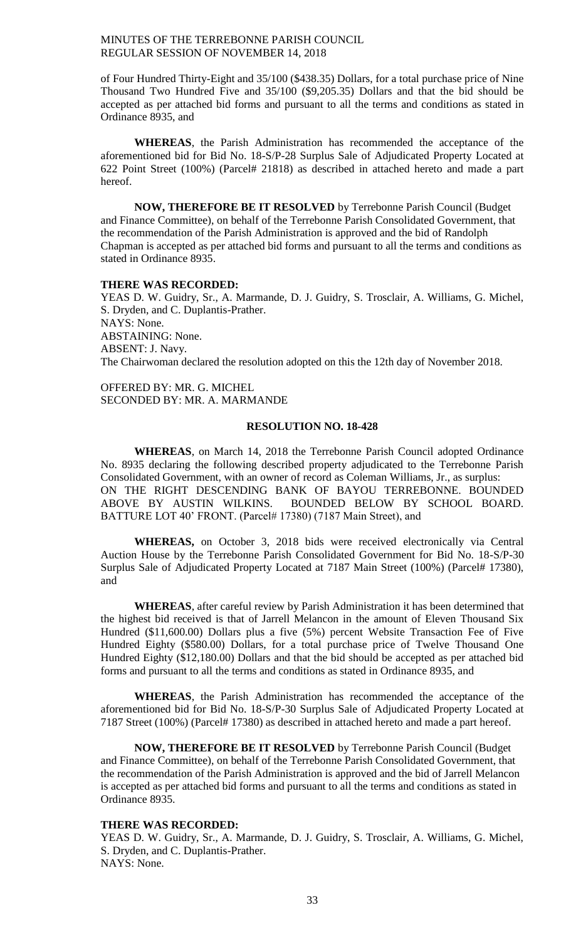of Four Hundred Thirty-Eight and 35/100 (\$438.35) Dollars, for a total purchase price of Nine Thousand Two Hundred Five and 35/100 (\$9,205.35) Dollars and that the bid should be accepted as per attached bid forms and pursuant to all the terms and conditions as stated in Ordinance 8935, and

**WHEREAS**, the Parish Administration has recommended the acceptance of the aforementioned bid for Bid No. 18-S/P-28 Surplus Sale of Adjudicated Property Located at 622 Point Street (100%) (Parcel# 21818) as described in attached hereto and made a part hereof.

**NOW, THEREFORE BE IT RESOLVED** by Terrebonne Parish Council (Budget and Finance Committee), on behalf of the Terrebonne Parish Consolidated Government, that the recommendation of the Parish Administration is approved and the bid of Randolph Chapman is accepted as per attached bid forms and pursuant to all the terms and conditions as stated in Ordinance 8935.

#### **THERE WAS RECORDED:**

YEAS D. W. Guidry, Sr., A. Marmande, D. J. Guidry, S. Trosclair, A. Williams, G. Michel, S. Dryden, and C. Duplantis-Prather. NAYS: None. ABSTAINING: None. ABSENT: J. Navy. The Chairwoman declared the resolution adopted on this the 12th day of November 2018.

OFFERED BY: MR. G. MICHEL SECONDED BY: MR. A. MARMANDE

#### **RESOLUTION NO. 18-428**

**WHEREAS**, on March 14, 2018 the Terrebonne Parish Council adopted Ordinance No. 8935 declaring the following described property adjudicated to the Terrebonne Parish Consolidated Government, with an owner of record as Coleman Williams, Jr., as surplus: ON THE RIGHT DESCENDING BANK OF BAYOU TERREBONNE. BOUNDED ABOVE BY AUSTIN WILKINS. BOUNDED BELOW BY SCHOOL BOARD. BATTURE LOT 40' FRONT. (Parcel# 17380) (7187 Main Street), and

**WHEREAS,** on October 3, 2018 bids were received electronically via Central Auction House by the Terrebonne Parish Consolidated Government for Bid No. 18-S/P-30 Surplus Sale of Adjudicated Property Located at 7187 Main Street (100%) (Parcel# 17380), and

**WHEREAS**, after careful review by Parish Administration it has been determined that the highest bid received is that of Jarrell Melancon in the amount of Eleven Thousand Six Hundred (\$11,600.00) Dollars plus a five (5%) percent Website Transaction Fee of Five Hundred Eighty (\$580.00) Dollars, for a total purchase price of Twelve Thousand One Hundred Eighty (\$12,180.00) Dollars and that the bid should be accepted as per attached bid forms and pursuant to all the terms and conditions as stated in Ordinance 8935, and

**WHEREAS**, the Parish Administration has recommended the acceptance of the aforementioned bid for Bid No. 18-S/P-30 Surplus Sale of Adjudicated Property Located at 7187 Street (100%) (Parcel# 17380) as described in attached hereto and made a part hereof.

**NOW, THEREFORE BE IT RESOLVED** by Terrebonne Parish Council (Budget and Finance Committee), on behalf of the Terrebonne Parish Consolidated Government, that the recommendation of the Parish Administration is approved and the bid of Jarrell Melancon is accepted as per attached bid forms and pursuant to all the terms and conditions as stated in Ordinance 8935.

#### **THERE WAS RECORDED:**

YEAS D. W. Guidry, Sr., A. Marmande, D. J. Guidry, S. Trosclair, A. Williams, G. Michel, S. Dryden, and C. Duplantis-Prather. NAYS: None.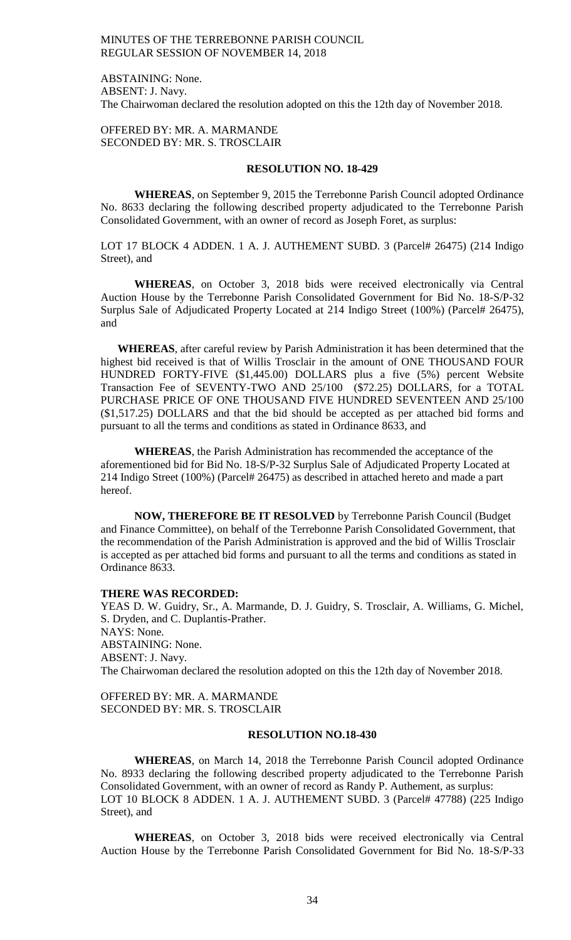ABSTAINING: None. ABSENT: J. Navy. The Chairwoman declared the resolution adopted on this the 12th day of November 2018.

OFFERED BY: MR. A. MARMANDE SECONDED BY: MR. S. TROSCLAIR

# **RESOLUTION NO. 18-429**

**WHEREAS**, on September 9, 2015 the Terrebonne Parish Council adopted Ordinance No. 8633 declaring the following described property adjudicated to the Terrebonne Parish Consolidated Government, with an owner of record as Joseph Foret, as surplus:

LOT 17 BLOCK 4 ADDEN. 1 A. J. AUTHEMENT SUBD. 3 (Parcel# 26475) (214 Indigo Street), and

**WHEREAS**, on October 3, 2018 bids were received electronically via Central Auction House by the Terrebonne Parish Consolidated Government for Bid No. 18-S/P-32 Surplus Sale of Adjudicated Property Located at 214 Indigo Street (100%) (Parcel# 26475), and

**WHEREAS**, after careful review by Parish Administration it has been determined that the highest bid received is that of Willis Trosclair in the amount of ONE THOUSAND FOUR HUNDRED FORTY-FIVE (\$1,445.00) DOLLARS plus a five (5%) percent Website Transaction Fee of SEVENTY-TWO AND 25/100 (\$72.25) DOLLARS, for a TOTAL PURCHASE PRICE OF ONE THOUSAND FIVE HUNDRED SEVENTEEN AND 25/100 (\$1,517.25) DOLLARS and that the bid should be accepted as per attached bid forms and pursuant to all the terms and conditions as stated in Ordinance 8633, and

**WHEREAS**, the Parish Administration has recommended the acceptance of the aforementioned bid for Bid No. 18-S/P-32 Surplus Sale of Adjudicated Property Located at 214 Indigo Street (100%) (Parcel# 26475) as described in attached hereto and made a part hereof.

**NOW, THEREFORE BE IT RESOLVED** by Terrebonne Parish Council (Budget and Finance Committee), on behalf of the Terrebonne Parish Consolidated Government, that the recommendation of the Parish Administration is approved and the bid of Willis Trosclair is accepted as per attached bid forms and pursuant to all the terms and conditions as stated in Ordinance 8633.

#### **THERE WAS RECORDED:**

YEAS D. W. Guidry, Sr., A. Marmande, D. J. Guidry, S. Trosclair, A. Williams, G. Michel, S. Dryden, and C. Duplantis-Prather. NAYS: None. ABSTAINING: None. ABSENT: J. Navy. The Chairwoman declared the resolution adopted on this the 12th day of November 2018.

OFFERED BY: MR. A. MARMANDE SECONDED BY: MR. S. TROSCLAIR

# **RESOLUTION NO.18-430**

**WHEREAS**, on March 14, 2018 the Terrebonne Parish Council adopted Ordinance No. 8933 declaring the following described property adjudicated to the Terrebonne Parish Consolidated Government, with an owner of record as Randy P. Authement, as surplus: LOT 10 BLOCK 8 ADDEN. 1 A. J. AUTHEMENT SUBD. 3 (Parcel# 47788) (225 Indigo Street), and

**WHEREAS**, on October 3, 2018 bids were received electronically via Central Auction House by the Terrebonne Parish Consolidated Government for Bid No. 18-S/P-33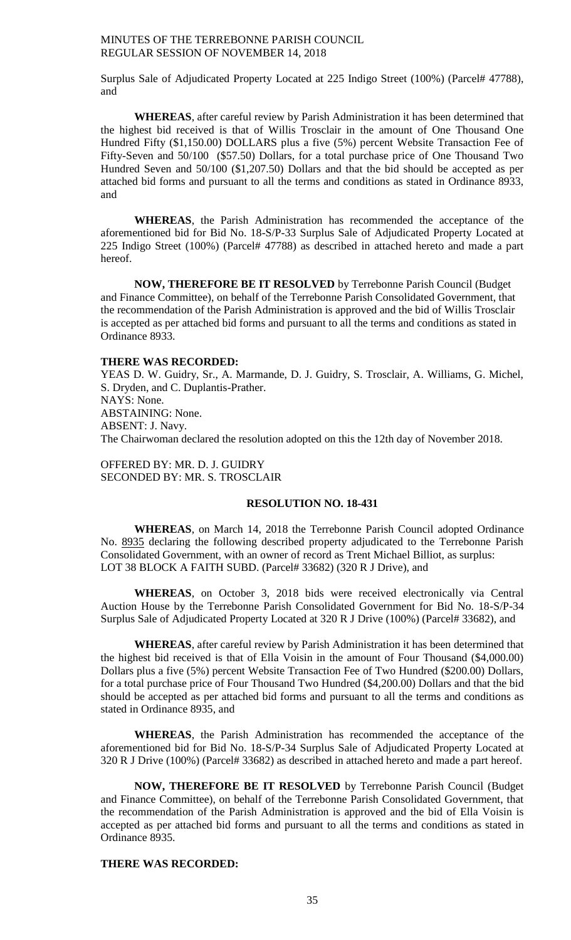Surplus Sale of Adjudicated Property Located at 225 Indigo Street (100%) (Parcel# 47788), and

**WHEREAS**, after careful review by Parish Administration it has been determined that the highest bid received is that of Willis Trosclair in the amount of One Thousand One Hundred Fifty (\$1,150.00) DOLLARS plus a five (5%) percent Website Transaction Fee of Fifty-Seven and 50/100 (\$57.50) Dollars, for a total purchase price of One Thousand Two Hundred Seven and 50/100 (\$1,207.50) Dollars and that the bid should be accepted as per attached bid forms and pursuant to all the terms and conditions as stated in Ordinance 8933, and

**WHEREAS**, the Parish Administration has recommended the acceptance of the aforementioned bid for Bid No. 18-S/P-33 Surplus Sale of Adjudicated Property Located at 225 Indigo Street (100%) (Parcel# 47788) as described in attached hereto and made a part hereof.

**NOW, THEREFORE BE IT RESOLVED** by Terrebonne Parish Council (Budget and Finance Committee), on behalf of the Terrebonne Parish Consolidated Government, that the recommendation of the Parish Administration is approved and the bid of Willis Trosclair is accepted as per attached bid forms and pursuant to all the terms and conditions as stated in Ordinance 8933.

# **THERE WAS RECORDED:**

YEAS D. W. Guidry, Sr., A. Marmande, D. J. Guidry, S. Trosclair, A. Williams, G. Michel, S. Dryden, and C. Duplantis-Prather. NAYS: None. ABSTAINING: None. ABSENT: J. Navy. The Chairwoman declared the resolution adopted on this the 12th day of November 2018.

OFFERED BY: MR. D. J. GUIDRY SECONDED BY: MR. S. TROSCLAIR

#### **RESOLUTION NO. 18-431**

**WHEREAS**, on March 14, 2018 the Terrebonne Parish Council adopted Ordinance No. 8935 declaring the following described property adjudicated to the Terrebonne Parish Consolidated Government, with an owner of record as Trent Michael Billiot, as surplus: LOT 38 BLOCK A FAITH SUBD. (Parcel# 33682) (320 R J Drive), and

**WHEREAS**, on October 3, 2018 bids were received electronically via Central Auction House by the Terrebonne Parish Consolidated Government for Bid No. 18-S/P-34 Surplus Sale of Adjudicated Property Located at 320 R J Drive (100%) (Parcel# 33682), and

**WHEREAS**, after careful review by Parish Administration it has been determined that the highest bid received is that of Ella Voisin in the amount of Four Thousand (\$4,000.00) Dollars plus a five (5%) percent Website Transaction Fee of Two Hundred (\$200.00) Dollars, for a total purchase price of Four Thousand Two Hundred (\$4,200.00) Dollars and that the bid should be accepted as per attached bid forms and pursuant to all the terms and conditions as stated in Ordinance 8935, and

**WHEREAS**, the Parish Administration has recommended the acceptance of the aforementioned bid for Bid No. 18-S/P-34 Surplus Sale of Adjudicated Property Located at 320 R J Drive (100%) (Parcel# 33682) as described in attached hereto and made a part hereof.

**NOW, THEREFORE BE IT RESOLVED** by Terrebonne Parish Council (Budget and Finance Committee), on behalf of the Terrebonne Parish Consolidated Government, that the recommendation of the Parish Administration is approved and the bid of Ella Voisin is accepted as per attached bid forms and pursuant to all the terms and conditions as stated in Ordinance 8935.

# **THERE WAS RECORDED:**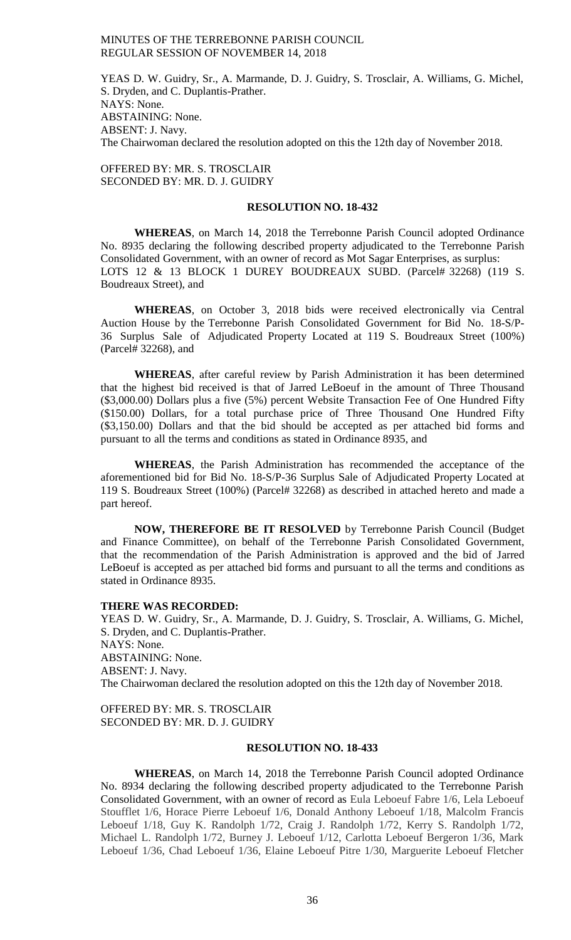YEAS D. W. Guidry, Sr., A. Marmande, D. J. Guidry, S. Trosclair, A. Williams, G. Michel, S. Dryden, and C. Duplantis-Prather. NAYS: None. ABSTAINING: None. ABSENT: J. Navy. The Chairwoman declared the resolution adopted on this the 12th day of November 2018.

OFFERED BY: MR. S. TROSCLAIR SECONDED BY: MR. D. J. GUIDRY

# **RESOLUTION NO. 18-432**

**WHEREAS**, on March 14, 2018 the Terrebonne Parish Council adopted Ordinance No. 8935 declaring the following described property adjudicated to the Terrebonne Parish Consolidated Government, with an owner of record as Mot Sagar Enterprises, as surplus: LOTS 12 & 13 BLOCK 1 DUREY BOUDREAUX SUBD. (Parcel# 32268) (119 S. Boudreaux Street), and

**WHEREAS**, on October 3, 2018 bids were received electronically via Central Auction House by the Terrebonne Parish Consolidated Government for Bid No. 18-S/P-36 Surplus Sale of Adjudicated Property Located at 119 S. Boudreaux Street (100%) (Parcel# 32268), and

**WHEREAS**, after careful review by Parish Administration it has been determined that the highest bid received is that of Jarred LeBoeuf in the amount of Three Thousand (\$3,000.00) Dollars plus a five (5%) percent Website Transaction Fee of One Hundred Fifty (\$150.00) Dollars, for a total purchase price of Three Thousand One Hundred Fifty (\$3,150.00) Dollars and that the bid should be accepted as per attached bid forms and pursuant to all the terms and conditions as stated in Ordinance 8935, and

**WHEREAS**, the Parish Administration has recommended the acceptance of the aforementioned bid for Bid No. 18-S/P-36 Surplus Sale of Adjudicated Property Located at 119 S. Boudreaux Street (100%) (Parcel# 32268) as described in attached hereto and made a part hereof.

**NOW, THEREFORE BE IT RESOLVED** by Terrebonne Parish Council (Budget and Finance Committee), on behalf of the Terrebonne Parish Consolidated Government, that the recommendation of the Parish Administration is approved and the bid of Jarred LeBoeuf is accepted as per attached bid forms and pursuant to all the terms and conditions as stated in Ordinance 8935.

#### **THERE WAS RECORDED:**

YEAS D. W. Guidry, Sr., A. Marmande, D. J. Guidry, S. Trosclair, A. Williams, G. Michel, S. Dryden, and C. Duplantis-Prather. NAYS: None. ABSTAINING: None. ABSENT: J. Navy. The Chairwoman declared the resolution adopted on this the 12th day of November 2018.

OFFERED BY: MR. S. TROSCLAIR SECONDED BY: MR. D. J. GUIDRY

## **RESOLUTION NO. 18-433**

**WHEREAS**, on March 14, 2018 the Terrebonne Parish Council adopted Ordinance No. 8934 declaring the following described property adjudicated to the Terrebonne Parish Consolidated Government, with an owner of record as Eula Leboeuf Fabre 1/6, Lela Leboeuf Stoufflet 1/6, Horace Pierre Leboeuf 1/6, Donald Anthony Leboeuf 1/18, Malcolm Francis Leboeuf 1/18, Guy K. Randolph 1/72, Craig J. Randolph 1/72, Kerry S. Randolph 1/72, Michael L. Randolph 1/72, Burney J. Leboeuf 1/12, Carlotta Leboeuf Bergeron 1/36, Mark Leboeuf 1/36, Chad Leboeuf 1/36, Elaine Leboeuf Pitre 1/30, Marguerite Leboeuf Fletcher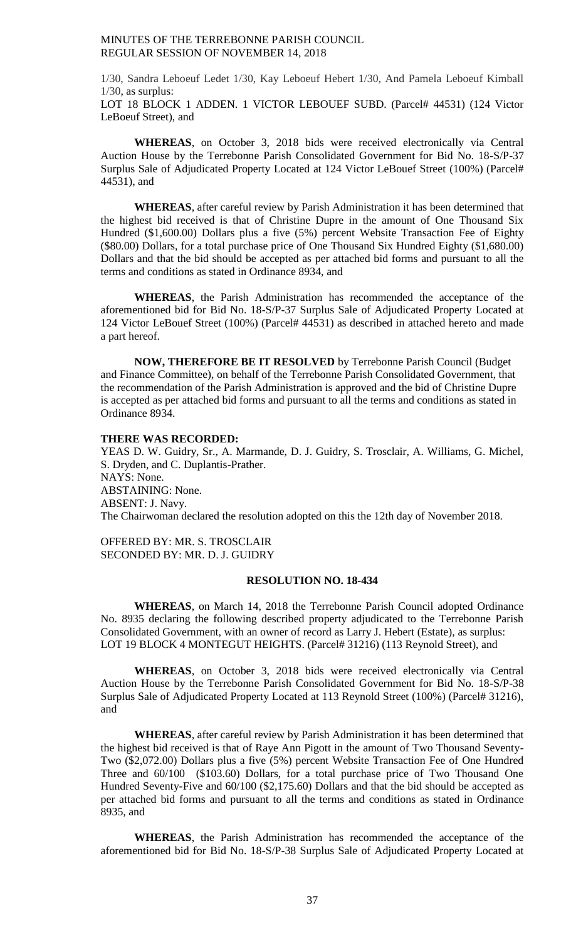1/30, Sandra Leboeuf Ledet 1/30, Kay Leboeuf Hebert 1/30, And Pamela Leboeuf Kimball 1/30, as surplus: LOT 18 BLOCK 1 ADDEN. 1 VICTOR LEBOUEF SUBD. (Parcel# 44531) (124 Victor LeBoeuf Street), and

**WHEREAS**, on October 3, 2018 bids were received electronically via Central Auction House by the Terrebonne Parish Consolidated Government for Bid No. 18-S/P-37 Surplus Sale of Adjudicated Property Located at 124 Victor LeBouef Street (100%) (Parcel# 44531), and

**WHEREAS**, after careful review by Parish Administration it has been determined that the highest bid received is that of Christine Dupre in the amount of One Thousand Six Hundred (\$1,600.00) Dollars plus a five (5%) percent Website Transaction Fee of Eighty (\$80.00) Dollars, for a total purchase price of One Thousand Six Hundred Eighty (\$1,680.00) Dollars and that the bid should be accepted as per attached bid forms and pursuant to all the terms and conditions as stated in Ordinance 8934, and

**WHEREAS**, the Parish Administration has recommended the acceptance of the aforementioned bid for Bid No. 18-S/P-37 Surplus Sale of Adjudicated Property Located at 124 Victor LeBouef Street (100%) (Parcel# 44531) as described in attached hereto and made a part hereof.

**NOW, THEREFORE BE IT RESOLVED** by Terrebonne Parish Council (Budget and Finance Committee), on behalf of the Terrebonne Parish Consolidated Government, that the recommendation of the Parish Administration is approved and the bid of Christine Dupre is accepted as per attached bid forms and pursuant to all the terms and conditions as stated in Ordinance 8934.

## **THERE WAS RECORDED:**

YEAS D. W. Guidry, Sr., A. Marmande, D. J. Guidry, S. Trosclair, A. Williams, G. Michel, S. Dryden, and C. Duplantis-Prather. NAYS: None. ABSTAINING: None. ABSENT: J. Navy. The Chairwoman declared the resolution adopted on this the 12th day of November 2018.

OFFERED BY: MR. S. TROSCLAIR SECONDED BY: MR. D. J. GUIDRY

## **RESOLUTION NO. 18-434**

**WHEREAS**, on March 14, 2018 the Terrebonne Parish Council adopted Ordinance No. 8935 declaring the following described property adjudicated to the Terrebonne Parish Consolidated Government, with an owner of record as Larry J. Hebert (Estate), as surplus: LOT 19 BLOCK 4 MONTEGUT HEIGHTS. (Parcel# 31216) (113 Reynold Street), and

**WHEREAS**, on October 3, 2018 bids were received electronically via Central Auction House by the Terrebonne Parish Consolidated Government for Bid No. 18-S/P-38 Surplus Sale of Adjudicated Property Located at 113 Reynold Street (100%) (Parcel# 31216), and

**WHEREAS**, after careful review by Parish Administration it has been determined that the highest bid received is that of Raye Ann Pigott in the amount of Two Thousand Seventy-Two (\$2,072.00) Dollars plus a five (5%) percent Website Transaction Fee of One Hundred Three and 60/100 (\$103.60) Dollars, for a total purchase price of Two Thousand One Hundred Seventy-Five and 60/100 (\$2,175.60) Dollars and that the bid should be accepted as per attached bid forms and pursuant to all the terms and conditions as stated in Ordinance 8935, and

**WHEREAS**, the Parish Administration has recommended the acceptance of the aforementioned bid for Bid No. 18-S/P-38 Surplus Sale of Adjudicated Property Located at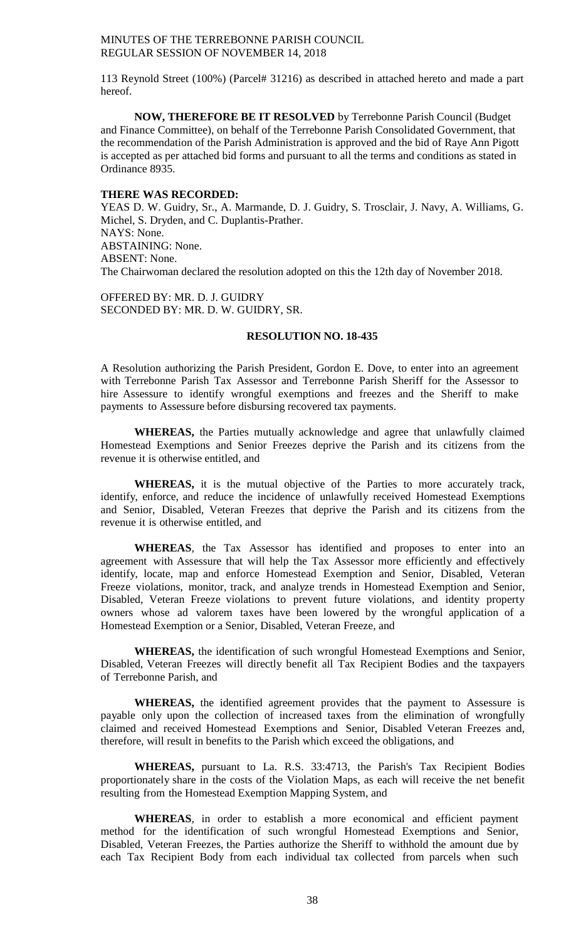113 Reynold Street (100%) (Parcel# 31216) as described in attached hereto and made a part hereof.

**NOW, THEREFORE BE IT RESOLVED** by Terrebonne Parish Council (Budget and Finance Committee), on behalf of the Terrebonne Parish Consolidated Government, that the recommendation of the Parish Administration is approved and the bid of Raye Ann Pigott is accepted as per attached bid forms and pursuant to all the terms and conditions as stated in Ordinance 8935.

#### **THERE WAS RECORDED:**

YEAS D. W. Guidry, Sr., A. Marmande, D. J. Guidry, S. Trosclair, J. Navy, A. Williams, G. Michel, S. Dryden, and C. Duplantis-Prather. NAYS: None. ABSTAINING: None. ABSENT: None. The Chairwoman declared the resolution adopted on this the 12th day of November 2018.

OFFERED BY: MR. D. J. GUIDRY SECONDED BY: MR. D. W. GUIDRY, SR.

# **RESOLUTION NO. 18-435**

A Resolution authorizing the Parish President, Gordon E. Dove, to enter into an agreement with Terrebonne Parish Tax Assessor and Terrebonne Parish Sheriff for the Assessor to hire Assessure to identify wrongful exemptions and freezes and the Sheriff to make payments to Assessure before disbursing recovered tax payments.

**WHEREAS,** the Parties mutually acknowledge and agree that unlawfully claimed Homestead Exemptions and Senior Freezes deprive the Parish and its citizens from the revenue it is otherwise entitled, and

**WHEREAS,** it is the mutual objective of the Parties to more accurately track, identify, enforce, and reduce the incidence of unlawfully received Homestead Exemptions and Senior, Disabled, Veteran Freezes that deprive the Parish and its citizens from the revenue it is otherwise entitled, and

**WHEREAS***,* the Tax Assessor has identified and proposes to enter into an agreement with Assessure that will help the Tax Assessor more efficiently and effectively identify, locate, map and enforce Homestead Exemption and Senior, Disabled, Veteran Freeze violations, monitor, track, and analyze trends in Homestead Exemption and Senior, Disabled, Veteran Freeze violations to prevent future violations, and identity property owners whose ad valorem taxes have been lowered by the wrongful application of a Homestead Exemption or a Senior, Disabled, Veteran Freeze, and

**WHEREAS,** the identification of such wrongful Homestead Exemptions and Senior, Disabled, Veteran Freezes will directly benefit all Tax Recipient Bodies and the taxpayers of Terrebonne Parish, and

**WHEREAS,** the identified agreement provides that the payment to Assessure is payable only upon the collection of increased taxes from the elimination of wrongfully claimed and received Homestead Exemptions and Senior, Disabled Veteran Freezes and, therefore, will result in benefits to the Parish which exceed the obligations, and

**WHEREAS,** pursuant to La. R.S. 33:4713, the Parish's Tax Recipient Bodies proportionately share in the costs of the Violation Maps, as each will receive the net benefit resulting from the Homestead Exemption Mapping System, and

**WHEREAS***,* in order to establish a more economical and efficient payment method for the identification of such wrongful Homestead Exemptions and Senior, Disabled, Veteran Freezes, the Parties authorize the Sheriff to withhold the amount due by each Tax Recipient Body from each individual tax collected from parcels when such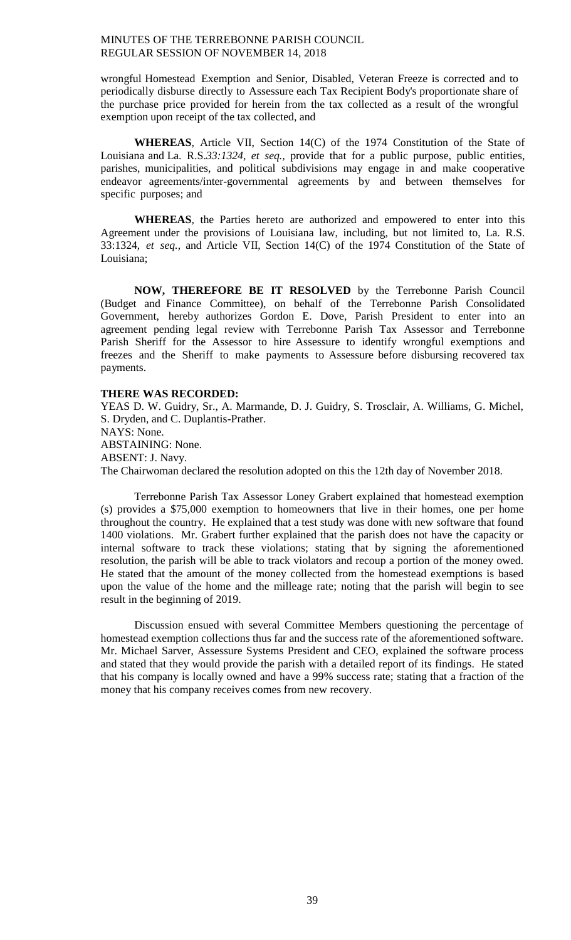wrongful Homestead Exemption and Senior, Disabled, Veteran Freeze is corrected and to periodically disburse directly to Assessure each Tax Recipient Body's proportionate share of the purchase price provided for herein from the tax collected as a result of the wrongful exemption upon receipt of the tax collected, and

**WHEREAS***,* Article VII, Section 14(C) of the 1974 Constitution of the State of Louisiana and La. R.S.*33:1324, et seq.,* provide that for a public purpose, public entities, parishes, municipalities, and political subdivisions may engage in and make cooperative endeavor agreements/inter-governmental agreements by and between themselves for specific purposes; and

**WHEREAS***,* the Parties hereto are authorized and empowered to enter into this Agreement under the provisions of Louisiana law, including, but not limited to, La. R.S. 33:1324, *et seq.,* and Article VII, Section 14(C) of the 1974 Constitution of the State of Louisiana;

**NOW, THEREFORE BE IT RESOLVED** by the Terrebonne Parish Council (Budget and Finance Committee), on behalf of the Terrebonne Parish Consolidated Government, hereby authorizes Gordon E. Dove, Parish President to enter into an agreement pending legal review with Terrebonne Parish Tax Assessor and Terrebonne Parish Sheriff for the Assessor to hire Assessure to identify wrongful exemptions and freezes and the Sheriff to make payments to Assessure before disbursing recovered tax payments.

#### **THERE WAS RECORDED:**

YEAS D. W. Guidry, Sr., A. Marmande, D. J. Guidry, S. Trosclair, A. Williams, G. Michel, S. Dryden, and C. Duplantis-Prather. NAYS: None. ABSTAINING: None. ABSENT: J. Navy. The Chairwoman declared the resolution adopted on this the 12th day of November 2018.

Terrebonne Parish Tax Assessor Loney Grabert explained that homestead exemption (s) provides a \$75,000 exemption to homeowners that live in their homes, one per home throughout the country. He explained that a test study was done with new software that found 1400 violations. Mr. Grabert further explained that the parish does not have the capacity or internal software to track these violations; stating that by signing the aforementioned resolution, the parish will be able to track violators and recoup a portion of the money owed. He stated that the amount of the money collected from the homestead exemptions is based upon the value of the home and the milleage rate; noting that the parish will begin to see result in the beginning of 2019.

Discussion ensued with several Committee Members questioning the percentage of homestead exemption collections thus far and the success rate of the aforementioned software. Mr. Michael Sarver, Assessure Systems President and CEO, explained the software process and stated that they would provide the parish with a detailed report of its findings. He stated that his company is locally owned and have a 99% success rate; stating that a fraction of the money that his company receives comes from new recovery.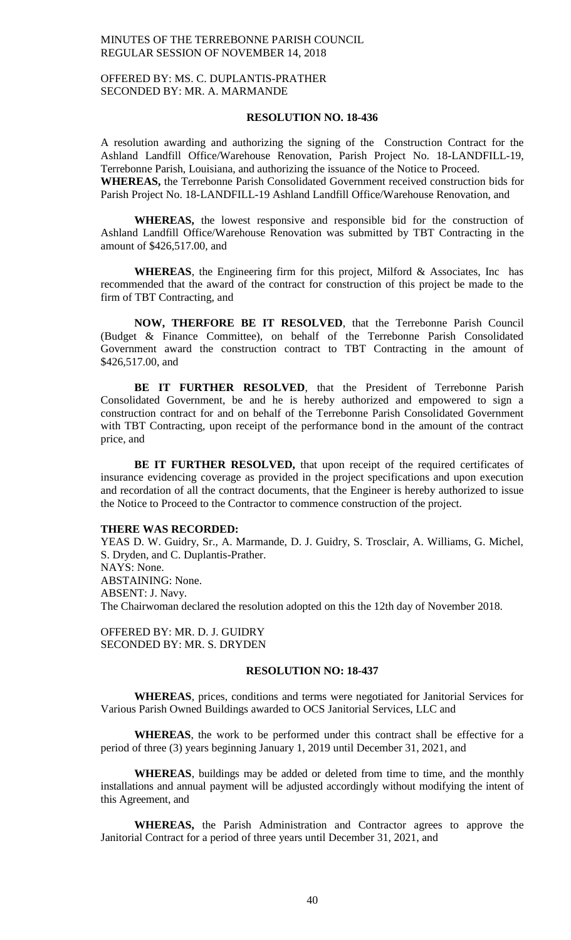# OFFERED BY: MS. C. DUPLANTIS-PRATHER SECONDED BY: MR. A. MARMANDE

# **RESOLUTION NO. 18-436**

A resolution awarding and authorizing the signing of the Construction Contract for the Ashland Landfill Office/Warehouse Renovation, Parish Project No. 18-LANDFILL-19, Terrebonne Parish, Louisiana, and authorizing the issuance of the Notice to Proceed. **WHEREAS,** the Terrebonne Parish Consolidated Government received construction bids for Parish Project No. 18-LANDFILL-19 Ashland Landfill Office/Warehouse Renovation, and

**WHEREAS,** the lowest responsive and responsible bid for the construction of Ashland Landfill Office/Warehouse Renovation was submitted by TBT Contracting in the amount of \$426,517.00, and

**WHEREAS**, the Engineering firm for this project, Milford & Associates, Inc has recommended that the award of the contract for construction of this project be made to the firm of TBT Contracting, and

**NOW, THERFORE BE IT RESOLVED**, that the Terrebonne Parish Council (Budget & Finance Committee), on behalf of the Terrebonne Parish Consolidated Government award the construction contract to TBT Contracting in the amount of \$426,517.00, and

**BE IT FURTHER RESOLVED**, that the President of Terrebonne Parish Consolidated Government, be and he is hereby authorized and empowered to sign a construction contract for and on behalf of the Terrebonne Parish Consolidated Government with TBT Contracting, upon receipt of the performance bond in the amount of the contract price, and

BE IT FURTHER RESOLVED, that upon receipt of the required certificates of insurance evidencing coverage as provided in the project specifications and upon execution and recordation of all the contract documents, that the Engineer is hereby authorized to issue the Notice to Proceed to the Contractor to commence construction of the project.

#### **THERE WAS RECORDED:**

YEAS D. W. Guidry, Sr., A. Marmande, D. J. Guidry, S. Trosclair, A. Williams, G. Michel, S. Dryden, and C. Duplantis-Prather. NAYS: None. ABSTAINING: None. ABSENT: J. Navy. The Chairwoman declared the resolution adopted on this the 12th day of November 2018.

OFFERED BY: MR. D. J. GUIDRY SECONDED BY: MR. S. DRYDEN

#### **RESOLUTION NO: 18-437**

**WHEREAS**, prices, conditions and terms were negotiated for Janitorial Services for Various Parish Owned Buildings awarded to OCS Janitorial Services, LLC and

**WHEREAS**, the work to be performed under this contract shall be effective for a period of three (3) years beginning January 1, 2019 until December 31, 2021, and

**WHEREAS**, buildings may be added or deleted from time to time, and the monthly installations and annual payment will be adjusted accordingly without modifying the intent of this Agreement, and

**WHEREAS,** the Parish Administration and Contractor agrees to approve the Janitorial Contract for a period of three years until December 31, 2021, and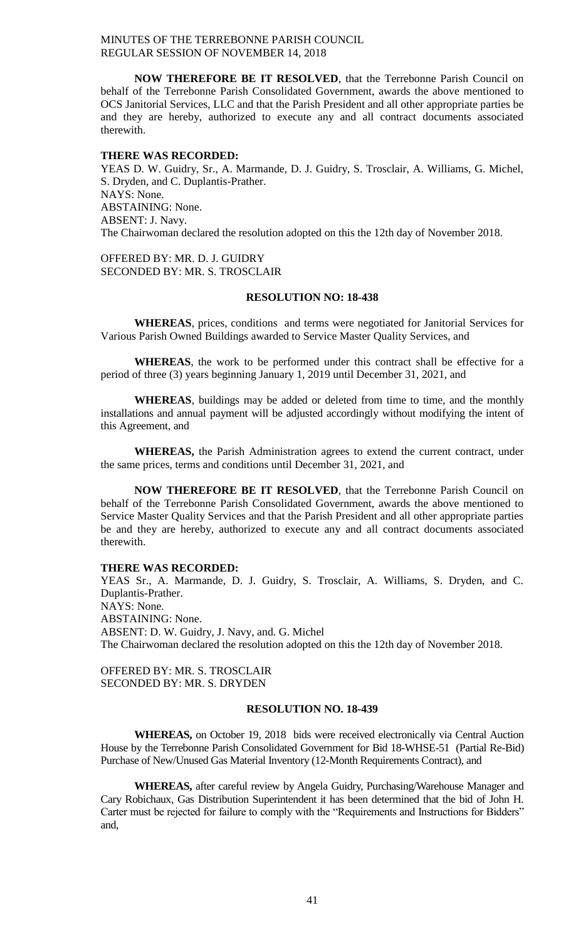**NOW THEREFORE BE IT RESOLVED**, that the Terrebonne Parish Council on behalf of the Terrebonne Parish Consolidated Government, awards the above mentioned to OCS Janitorial Services, LLC and that the Parish President and all other appropriate parties be and they are hereby, authorized to execute any and all contract documents associated therewith.

#### **THERE WAS RECORDED:**

YEAS D. W. Guidry, Sr., A. Marmande, D. J. Guidry, S. Trosclair, A. Williams, G. Michel, S. Dryden, and C. Duplantis-Prather. NAYS: None. ABSTAINING: None. ABSENT: J. Navy. The Chairwoman declared the resolution adopted on this the 12th day of November 2018.

OFFERED BY: MR. D. J. GUIDRY SECONDED BY: MR. S. TROSCLAIR

#### **RESOLUTION NO: 18-438**

**WHEREAS**, prices, conditions and terms were negotiated for Janitorial Services for Various Parish Owned Buildings awarded to Service Master Quality Services, and

**WHEREAS**, the work to be performed under this contract shall be effective for a period of three (3) years beginning January 1, 2019 until December 31, 2021, and

**WHEREAS**, buildings may be added or deleted from time to time, and the monthly installations and annual payment will be adjusted accordingly without modifying the intent of this Agreement, and

**WHEREAS,** the Parish Administration agrees to extend the current contract, under the same prices, terms and conditions until December 31, 2021, and

**NOW THEREFORE BE IT RESOLVED**, that the Terrebonne Parish Council on behalf of the Terrebonne Parish Consolidated Government, awards the above mentioned to Service Master Quality Services and that the Parish President and all other appropriate parties be and they are hereby, authorized to execute any and all contract documents associated therewith.

#### **THERE WAS RECORDED:**

YEAS Sr., A. Marmande, D. J. Guidry, S. Trosclair, A. Williams, S. Dryden, and C. Duplantis-Prather. NAYS: None. ABSTAINING: None. ABSENT: D. W. Guidry, J. Navy, and. G. Michel The Chairwoman declared the resolution adopted on this the 12th day of November 2018.

OFFERED BY: MR. S. TROSCLAIR SECONDED BY: MR. S. DRYDEN

# **RESOLUTION NO. 18-439**

**WHEREAS,** on October 19, 2018 bids were received electronically via Central Auction House by the Terrebonne Parish Consolidated Government for Bid 18-WHSE-51 (Partial Re-Bid) Purchase of New/Unused Gas Material Inventory (12-Month Requirements Contract), and

**WHEREAS,** after careful review by Angela Guidry, Purchasing/Warehouse Manager and Cary Robichaux, Gas Distribution Superintendent it has been determined that the bid of John H. Carter must be rejected for failure to comply with the "Requirements and Instructions for Bidders" and,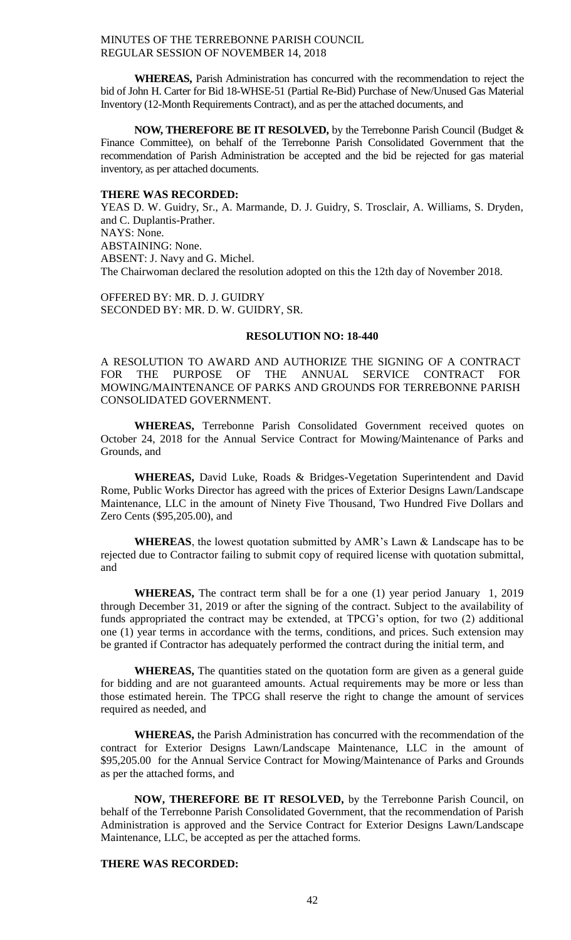**WHEREAS,** Parish Administration has concurred with the recommendation to reject the bid of John H. Carter for Bid 18-WHSE-51 (Partial Re-Bid) Purchase of New/Unused Gas Material Inventory (12-Month Requirements Contract), and as per the attached documents, and

**NOW, THEREFORE BE IT RESOLVED,** by the Terrebonne Parish Council (Budget & Finance Committee), on behalf of the Terrebonne Parish Consolidated Government that the recommendation of Parish Administration be accepted and the bid be rejected for gas material inventory, as per attached documents.

#### **THERE WAS RECORDED:**

YEAS D. W. Guidry, Sr., A. Marmande, D. J. Guidry, S. Trosclair, A. Williams, S. Dryden, and C. Duplantis-Prather. NAYS: None. ABSTAINING: None. ABSENT: J. Navy and G. Michel. The Chairwoman declared the resolution adopted on this the 12th day of November 2018.

OFFERED BY: MR. D. J. GUIDRY SECONDED BY: MR. D. W. GUIDRY, SR.

# **RESOLUTION NO: 18-440**

A RESOLUTION TO AWARD AND AUTHORIZE THE SIGNING OF A CONTRACT FOR THE PURPOSE OF THE ANNUAL SERVICE CONTRACT FOR MOWING/MAINTENANCE OF PARKS AND GROUNDS FOR TERREBONNE PARISH CONSOLIDATED GOVERNMENT.

**WHEREAS,** Terrebonne Parish Consolidated Government received quotes on October 24, 2018 for the Annual Service Contract for Mowing/Maintenance of Parks and Grounds, and

**WHEREAS,** David Luke, Roads & Bridges-Vegetation Superintendent and David Rome, Public Works Director has agreed with the prices of Exterior Designs Lawn/Landscape Maintenance, LLC in the amount of Ninety Five Thousand, Two Hundred Five Dollars and Zero Cents (\$95,205.00), and

**WHEREAS**, the lowest quotation submitted by AMR's Lawn & Landscape has to be rejected due to Contractor failing to submit copy of required license with quotation submittal, and

**WHEREAS,** The contract term shall be for a one (1) year period January 1, 2019 through December 31, 2019 or after the signing of the contract. Subject to the availability of funds appropriated the contract may be extended, at TPCG's option, for two (2) additional one (1) year terms in accordance with the terms, conditions, and prices. Such extension may be granted if Contractor has adequately performed the contract during the initial term, and

**WHEREAS,** The quantities stated on the quotation form are given as a general guide for bidding and are not guaranteed amounts. Actual requirements may be more or less than those estimated herein. The TPCG shall reserve the right to change the amount of services required as needed, and

**WHEREAS,** the Parish Administration has concurred with the recommendation of the contract for Exterior Designs Lawn/Landscape Maintenance, LLC in the amount of \$95,205.00 for the Annual Service Contract for Mowing/Maintenance of Parks and Grounds as per the attached forms, and

**NOW, THEREFORE BE IT RESOLVED,** by the Terrebonne Parish Council, on behalf of the Terrebonne Parish Consolidated Government, that the recommendation of Parish Administration is approved and the Service Contract for Exterior Designs Lawn/Landscape Maintenance, LLC, be accepted as per the attached forms.

# **THERE WAS RECORDED:**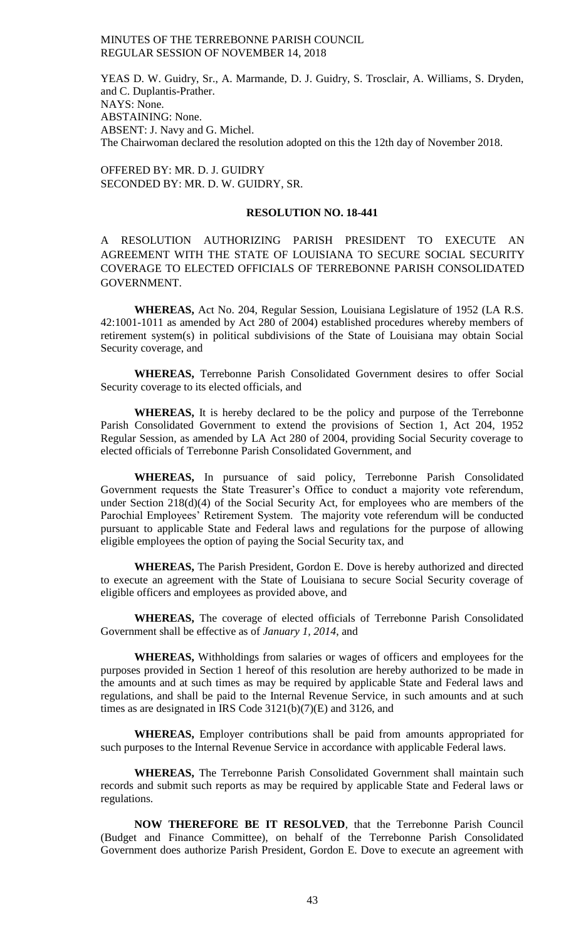YEAS D. W. Guidry, Sr., A. Marmande, D. J. Guidry, S. Trosclair, A. Williams, S. Dryden, and C. Duplantis-Prather. NAYS: None. ABSTAINING: None. ABSENT: J. Navy and G. Michel. The Chairwoman declared the resolution adopted on this the 12th day of November 2018.

OFFERED BY: MR. D. J. GUIDRY SECONDED BY: MR. D. W. GUIDRY, SR.

# **RESOLUTION NO. 18-441**

A RESOLUTION AUTHORIZING PARISH PRESIDENT TO EXECUTE AN AGREEMENT WITH THE STATE OF LOUISIANA TO SECURE SOCIAL SECURITY COVERAGE TO ELECTED OFFICIALS OF TERREBONNE PARISH CONSOLIDATED GOVERNMENT.

**WHEREAS,** Act No. 204, Regular Session, Louisiana Legislature of 1952 (LA R.S. 42:1001-1011 as amended by Act 280 of 2004) established procedures whereby members of retirement system(s) in political subdivisions of the State of Louisiana may obtain Social Security coverage, and

**WHEREAS,** Terrebonne Parish Consolidated Government desires to offer Social Security coverage to its elected officials, and

**WHEREAS,** It is hereby declared to be the policy and purpose of the Terrebonne Parish Consolidated Government to extend the provisions of Section 1, Act 204, 1952 Regular Session, as amended by LA Act 280 of 2004, providing Social Security coverage to elected officials of Terrebonne Parish Consolidated Government, and

**WHEREAS,** In pursuance of said policy, Terrebonne Parish Consolidated Government requests the State Treasurer's Office to conduct a majority vote referendum, under Section 218(d)(4) of the Social Security Act, for employees who are members of the Parochial Employees' Retirement System. The majority vote referendum will be conducted pursuant to applicable State and Federal laws and regulations for the purpose of allowing eligible employees the option of paying the Social Security tax, and

**WHEREAS,** The Parish President, Gordon E. Dove is hereby authorized and directed to execute an agreement with the State of Louisiana to secure Social Security coverage of eligible officers and employees as provided above, and

**WHEREAS,** The coverage of elected officials of Terrebonne Parish Consolidated Government shall be effective as of *January 1, 2014*, and

**WHEREAS,** Withholdings from salaries or wages of officers and employees for the purposes provided in Section 1 hereof of this resolution are hereby authorized to be made in the amounts and at such times as may be required by applicable State and Federal laws and regulations, and shall be paid to the Internal Revenue Service, in such amounts and at such times as are designated in IRS Code 3121(b)(7)(E) and 3126, and

**WHEREAS,** Employer contributions shall be paid from amounts appropriated for such purposes to the Internal Revenue Service in accordance with applicable Federal laws.

**WHEREAS,** The Terrebonne Parish Consolidated Government shall maintain such records and submit such reports as may be required by applicable State and Federal laws or regulations.

**NOW THEREFORE BE IT RESOLVED**, that the Terrebonne Parish Council (Budget and Finance Committee), on behalf of the Terrebonne Parish Consolidated Government does authorize Parish President, Gordon E. Dove to execute an agreement with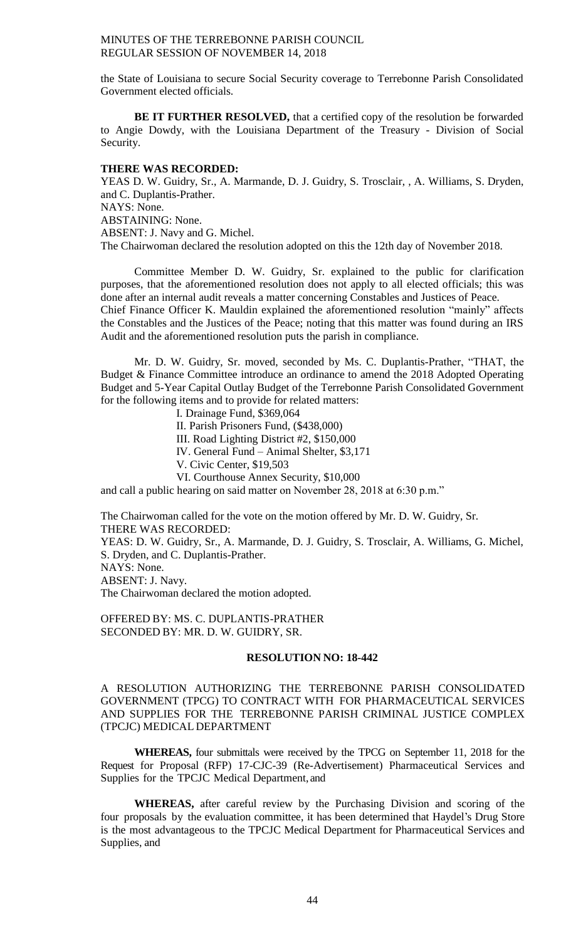the State of Louisiana to secure Social Security coverage to Terrebonne Parish Consolidated Government elected officials.

**BE IT FURTHER RESOLVED,** that a certified copy of the resolution be forwarded to Angie Dowdy, with the Louisiana Department of the Treasury - Division of Social Security.

#### **THERE WAS RECORDED:**

YEAS D. W. Guidry, Sr., A. Marmande, D. J. Guidry, S. Trosclair, , A. Williams, S. Dryden, and C. Duplantis-Prather. NAYS: None. ABSTAINING: None. ABSENT: J. Navy and G. Michel. The Chairwoman declared the resolution adopted on this the 12th day of November 2018.

Committee Member D. W. Guidry, Sr. explained to the public for clarification purposes, that the aforementioned resolution does not apply to all elected officials; this was done after an internal audit reveals a matter concerning Constables and Justices of Peace. Chief Finance Officer K. Mauldin explained the aforementioned resolution "mainly" affects the Constables and the Justices of the Peace; noting that this matter was found during an IRS Audit and the aforementioned resolution puts the parish in compliance.

Mr. D. W. Guidry, Sr. moved, seconded by Ms. C. Duplantis-Prather, "THAT, the Budget & Finance Committee introduce an ordinance to amend the 2018 Adopted Operating Budget and 5-Year Capital Outlay Budget of the Terrebonne Parish Consolidated Government for the following items and to provide for related matters:

I. Drainage Fund, \$369,064

II. Parish Prisoners Fund, (\$438,000)

III. Road Lighting District #2, \$150,000

IV. General Fund – Animal Shelter, \$3,171

V. Civic Center, \$19,503

VI. Courthouse Annex Security, \$10,000

and call a public hearing on said matter on November 28, 2018 at 6:30 p.m."

The Chairwoman called for the vote on the motion offered by Mr. D. W. Guidry, Sr. THERE WAS RECORDED:

YEAS: D. W. Guidry, Sr., A. Marmande, D. J. Guidry, S. Trosclair, A. Williams, G. Michel, S. Dryden, and C. Duplantis-Prather. NAYS: None.

ABSENT: J. Navy.

The Chairwoman declared the motion adopted.

OFFERED BY: MS. C. DUPLANTIS-PRATHER SECONDED BY: MR. D. W. GUIDRY, SR.

#### **RESOLUTION NO: 18-442**

A RESOLUTION AUTHORIZING THE TERREBONNE PARISH CONSOLIDATED GOVERNMENT (TPCG) TO CONTRACT WITH FOR PHARMACEUTICAL SERVICES AND SUPPLIES FOR THE TERREBONNE PARISH CRIMINAL JUSTICE COMPLEX (TPCJC) MEDICAL DEPARTMENT

**WHEREAS,** four submittals were received by the TPCG on September 11, 2018 for the Request for Proposal (RFP) 17-CJC-39 (Re-Advertisement) Pharmaceutical Services and Supplies for the TPCJC Medical Department, and

**WHEREAS,** after careful review by the Purchasing Division and scoring of the four proposals by the evaluation committee, it has been determined that Haydel's Drug Store is the most advantageous to the TPCJC Medical Department for Pharmaceutical Services and Supplies, and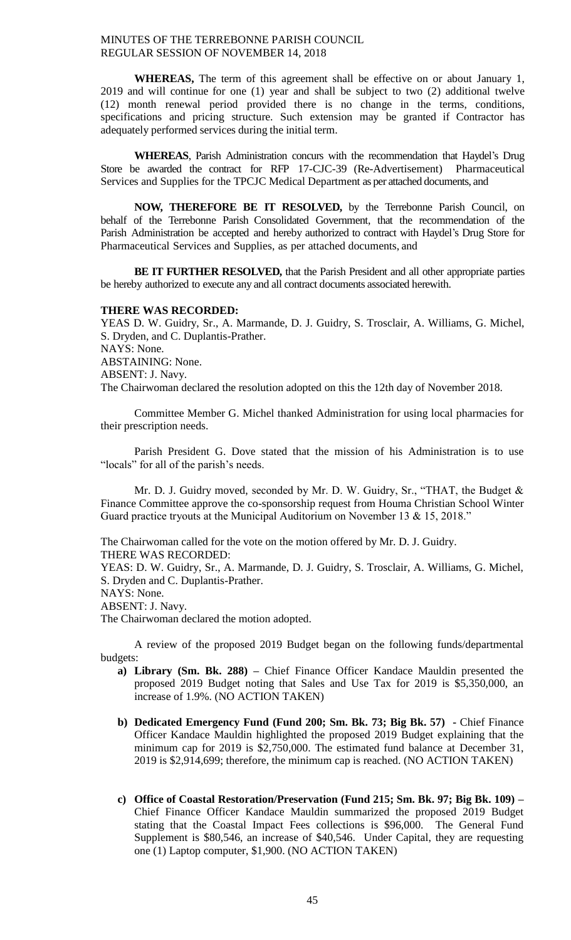**WHEREAS,** The term of this agreement shall be effective on or about January 1, 2019 and will continue for one (1) year and shall be subject to two (2) additional twelve (12) month renewal period provided there is no change in the terms, conditions, specifications and pricing structure. Such extension may be granted if Contractor has adequately performed services during the initial term.

**WHEREAS**, Parish Administration concurs with the recommendation that Haydel's Drug Store be awarded the contract for RFP 17-CJC-39 (Re-Advertisement) Pharmaceutical Services and Supplies for the TPCJC Medical Department as per attached documents, and

**NOW, THEREFORE BE IT RESOLVED,** by the Terrebonne Parish Council, on behalf of the Terrebonne Parish Consolidated Government, that the recommendation of the Parish Administration be accepted and hereby authorized to contract with Haydel's Drug Store for Pharmaceutical Services and Supplies, as per attached documents, and

**BE IT FURTHER RESOLVED,** that the Parish President and all other appropriate parties be hereby authorized to execute any and all contract documents associated herewith.

#### **THERE WAS RECORDED:**

YEAS D. W. Guidry, Sr., A. Marmande, D. J. Guidry, S. Trosclair, A. Williams, G. Michel, S. Dryden, and C. Duplantis-Prather. NAYS: None. ABSTAINING: None. ABSENT: J. Navy. The Chairwoman declared the resolution adopted on this the 12th day of November 2018.

Committee Member G. Michel thanked Administration for using local pharmacies for their prescription needs.

Parish President G. Dove stated that the mission of his Administration is to use "locals" for all of the parish's needs.

Mr. D. J. Guidry moved, seconded by Mr. D. W. Guidry, Sr., "THAT, the Budget & Finance Committee approve the co-sponsorship request from Houma Christian School Winter Guard practice tryouts at the Municipal Auditorium on November 13 & 15, 2018."

The Chairwoman called for the vote on the motion offered by Mr. D. J. Guidry. THERE WAS RECORDED:

YEAS: D. W. Guidry, Sr., A. Marmande, D. J. Guidry, S. Trosclair, A. Williams, G. Michel, S. Dryden and C. Duplantis-Prather.

NAYS: None.

ABSENT: J. Navy.

The Chairwoman declared the motion adopted.

A review of the proposed 2019 Budget began on the following funds/departmental budgets:

- **a) Library (Sm. Bk. 288) –** Chief Finance Officer Kandace Mauldin presented the proposed 2019 Budget noting that Sales and Use Tax for 2019 is \$5,350,000, an increase of 1.9%. (NO ACTION TAKEN)
- **b) Dedicated Emergency Fund (Fund 200; Sm. Bk. 73; Big Bk. 57) -** Chief Finance Officer Kandace Mauldin highlighted the proposed 2019 Budget explaining that the minimum cap for 2019 is \$2,750,000. The estimated fund balance at December 31, 2019 is \$2,914,699; therefore, the minimum cap is reached. (NO ACTION TAKEN)
- **c) Office of Coastal Restoration/Preservation (Fund 215; Sm. Bk. 97; Big Bk. 109) –** Chief Finance Officer Kandace Mauldin summarized the proposed 2019 Budget stating that the Coastal Impact Fees collections is \$96,000. The General Fund Supplement is \$80,546, an increase of \$40,546. Under Capital, they are requesting one (1) Laptop computer, \$1,900. (NO ACTION TAKEN)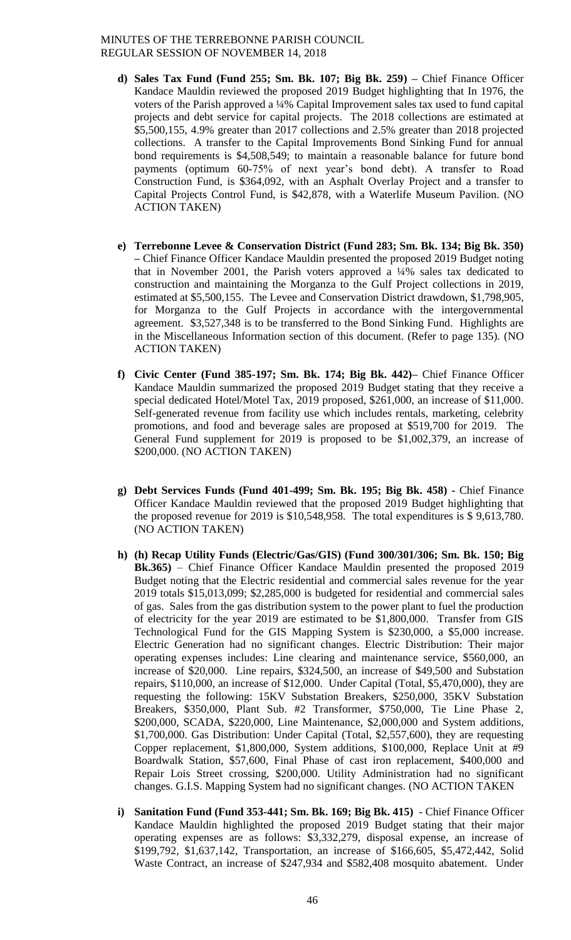- **d) Sales Tax Fund (Fund 255; Sm. Bk. 107; Big Bk. 259) –** Chief Finance Officer Kandace Mauldin reviewed the proposed 2019 Budget highlighting that In 1976, the voters of the Parish approved a ¼% Capital Improvement sales tax used to fund capital projects and debt service for capital projects. The 2018 collections are estimated at \$5,500,155, 4.9% greater than 2017 collections and 2.5% greater than 2018 projected collections. A transfer to the Capital Improvements Bond Sinking Fund for annual bond requirements is \$4,508,549; to maintain a reasonable balance for future bond payments (optimum 60-75% of next year's bond debt). A transfer to Road Construction Fund, is \$364,092, with an Asphalt Overlay Project and a transfer to Capital Projects Control Fund, is \$42,878, with a Waterlife Museum Pavilion. (NO ACTION TAKEN)
- **e) Terrebonne Levee & Conservation District (Fund 283; Sm. Bk. 134; Big Bk. 350) –** Chief Finance Officer Kandace Mauldin presented the proposed 2019 Budget noting that in November 2001, the Parish voters approved a  $\frac{1}{4}\%$  sales tax dedicated to construction and maintaining the Morganza to the Gulf Project collections in 2019, estimated at \$5,500,155. The Levee and Conservation District drawdown, \$1,798,905, for Morganza to the Gulf Projects in accordance with the intergovernmental agreement. \$3,527,348 is to be transferred to the Bond Sinking Fund. Highlights are in the Miscellaneous Information section of this document. (Refer to page 135). (NO ACTION TAKEN)
- **f) Civic Center (Fund 385-197; Sm. Bk. 174; Big Bk. 442)–** Chief Finance Officer Kandace Mauldin summarized the proposed 2019 Budget stating that they receive a special dedicated Hotel/Motel Tax, 2019 proposed, \$261,000, an increase of \$11,000. Self-generated revenue from facility use which includes rentals, marketing, celebrity promotions, and food and beverage sales are proposed at \$519,700 for 2019. The General Fund supplement for 2019 is proposed to be \$1,002,379, an increase of \$200,000. (NO ACTION TAKEN)
- **g) Debt Services Funds (Fund 401-499; Sm. Bk. 195; Big Bk. 458) -** Chief Finance Officer Kandace Mauldin reviewed that the proposed 2019 Budget highlighting that the proposed revenue for 2019 is \$10,548,958. The total expenditures is \$ 9,613,780. (NO ACTION TAKEN)
- **h) (h) Recap Utility Funds (Electric/Gas/GIS) (Fund 300/301/306; Sm. Bk. 150; Big Bk.365)** – Chief Finance Officer Kandace Mauldin presented the proposed 2019 Budget noting that the Electric residential and commercial sales revenue for the year 2019 totals \$15,013,099; \$2,285,000 is budgeted for residential and commercial sales of gas. Sales from the gas distribution system to the power plant to fuel the production of electricity for the year 2019 are estimated to be \$1,800,000. Transfer from GIS Technological Fund for the GIS Mapping System is \$230,000, a \$5,000 increase. Electric Generation had no significant changes. Electric Distribution: Their major operating expenses includes: Line clearing and maintenance service, \$560,000, an increase of \$20,000. Line repairs, \$324,500, an increase of \$49,500 and Substation repairs, \$110,000, an increase of \$12,000. Under Capital (Total, \$5,470,000), they are requesting the following: 15KV Substation Breakers, \$250,000, 35KV Substation Breakers, \$350,000, Plant Sub. #2 Transformer, \$750,000, Tie Line Phase 2, \$200,000, SCADA, \$220,000, Line Maintenance, \$2,000,000 and System additions, \$1,700,000. Gas Distribution: Under Capital (Total, \$2,557,600), they are requesting Copper replacement, \$1,800,000, System additions, \$100,000, Replace Unit at #9 Boardwalk Station, \$57,600, Final Phase of cast iron replacement, \$400,000 and Repair Lois Street crossing, \$200,000. Utility Administration had no significant changes. G.I.S. Mapping System had no significant changes. (NO ACTION TAKEN
- **i) Sanitation Fund (Fund 353-441; Sm. Bk. 169; Big Bk. 415)**  Chief Finance Officer Kandace Mauldin highlighted the proposed 2019 Budget stating that their major operating expenses are as follows: \$3,332,279, disposal expense, an increase of \$199,792, \$1,637,142, Transportation, an increase of \$166,605, \$5,472,442, Solid Waste Contract, an increase of \$247,934 and \$582,408 mosquito abatement. Under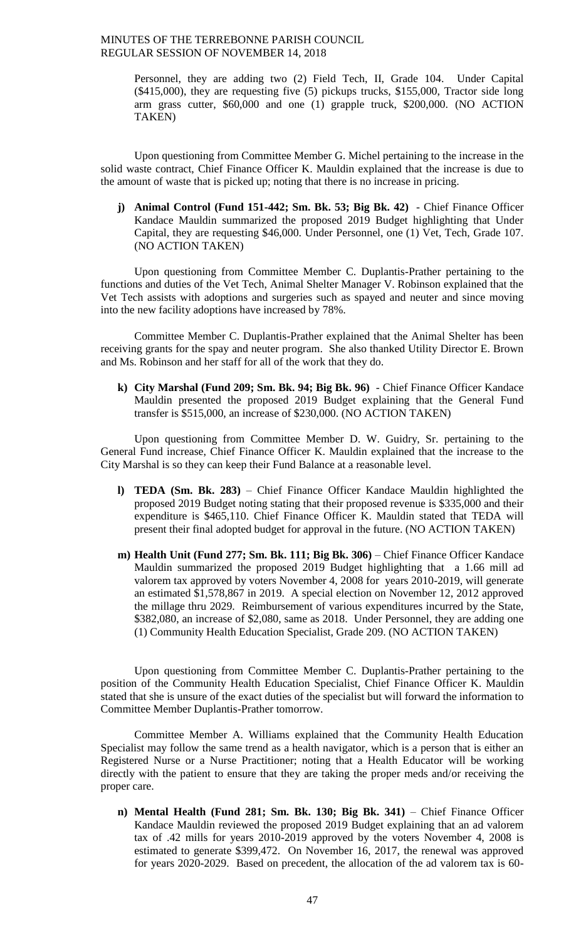Personnel, they are adding two (2) Field Tech, II, Grade 104. Under Capital (\$415,000), they are requesting five (5) pickups trucks, \$155,000, Tractor side long arm grass cutter, \$60,000 and one (1) grapple truck, \$200,000. (NO ACTION TAKEN)

Upon questioning from Committee Member G. Michel pertaining to the increase in the solid waste contract, Chief Finance Officer K. Mauldin explained that the increase is due to the amount of waste that is picked up; noting that there is no increase in pricing.

**j) Animal Control (Fund 151-442; Sm. Bk. 53; Big Bk. 42)** - Chief Finance Officer Kandace Mauldin summarized the proposed 2019 Budget highlighting that Under Capital, they are requesting \$46,000. Under Personnel, one (1) Vet, Tech, Grade 107. (NO ACTION TAKEN)

Upon questioning from Committee Member C. Duplantis-Prather pertaining to the functions and duties of the Vet Tech, Animal Shelter Manager V. Robinson explained that the Vet Tech assists with adoptions and surgeries such as spayed and neuter and since moving into the new facility adoptions have increased by 78%.

Committee Member C. Duplantis-Prather explained that the Animal Shelter has been receiving grants for the spay and neuter program. She also thanked Utility Director E. Brown and Ms. Robinson and her staff for all of the work that they do.

**k) City Marshal (Fund 209; Sm. Bk. 94; Big Bk. 96)** - Chief Finance Officer Kandace Mauldin presented the proposed 2019 Budget explaining that the General Fund transfer is \$515,000, an increase of \$230,000. (NO ACTION TAKEN)

Upon questioning from Committee Member D. W. Guidry, Sr. pertaining to the General Fund increase, Chief Finance Officer K. Mauldin explained that the increase to the City Marshal is so they can keep their Fund Balance at a reasonable level.

- **l) TEDA (Sm. Bk. 283)** Chief Finance Officer Kandace Mauldin highlighted the proposed 2019 Budget noting stating that their proposed revenue is \$335,000 and their expenditure is \$465,110. Chief Finance Officer K. Mauldin stated that TEDA will present their final adopted budget for approval in the future. (NO ACTION TAKEN)
- **m) Health Unit (Fund 277; Sm. Bk. 111; Big Bk. 306)** Chief Finance Officer Kandace Mauldin summarized the proposed 2019 Budget highlighting that a 1.66 mill ad valorem tax approved by voters November 4, 2008 for years 2010-2019, will generate an estimated \$1,578,867 in 2019. A special election on November 12, 2012 approved the millage thru 2029. Reimbursement of various expenditures incurred by the State, \$382,080, an increase of \$2,080, same as 2018. Under Personnel, they are adding one (1) Community Health Education Specialist, Grade 209. (NO ACTION TAKEN)

Upon questioning from Committee Member C. Duplantis-Prather pertaining to the position of the Community Health Education Specialist, Chief Finance Officer K. Mauldin stated that she is unsure of the exact duties of the specialist but will forward the information to Committee Member Duplantis-Prather tomorrow.

Committee Member A. Williams explained that the Community Health Education Specialist may follow the same trend as a health navigator, which is a person that is either an Registered Nurse or a Nurse Practitioner; noting that a Health Educator will be working directly with the patient to ensure that they are taking the proper meds and/or receiving the proper care.

**n) Mental Health (Fund 281; Sm. Bk. 130; Big Bk. 341)** – Chief Finance Officer Kandace Mauldin reviewed the proposed 2019 Budget explaining that an ad valorem tax of .42 mills for years 2010-2019 approved by the voters November 4, 2008 is estimated to generate \$399,472. On November 16, 2017, the renewal was approved for years 2020-2029. Based on precedent, the allocation of the ad valorem tax is 60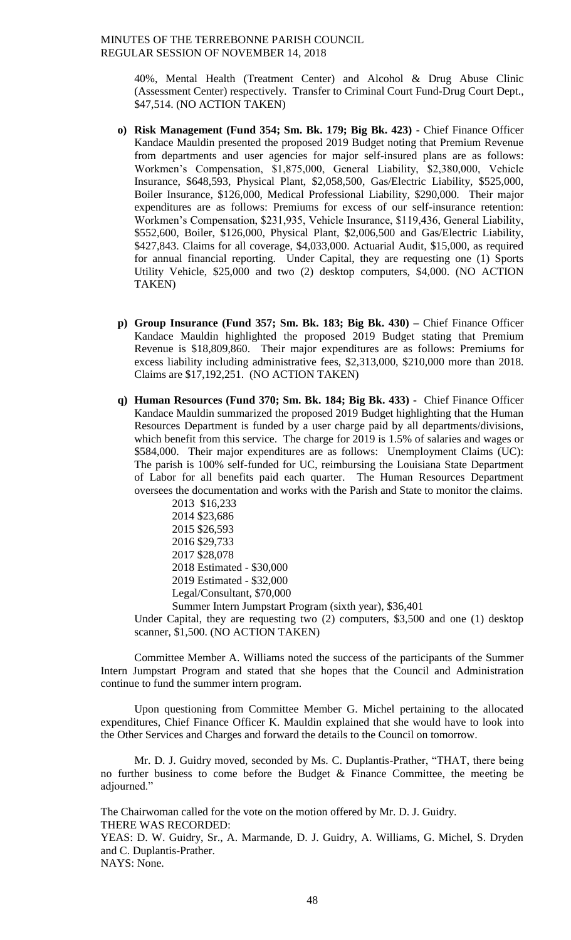40%, Mental Health (Treatment Center) and Alcohol & Drug Abuse Clinic (Assessment Center) respectively. Transfer to Criminal Court Fund-Drug Court Dept., \$47,514. (NO ACTION TAKEN)

- **o) Risk Management (Fund 354; Sm. Bk. 179; Big Bk. 423)**  Chief Finance Officer Kandace Mauldin presented the proposed 2019 Budget noting that Premium Revenue from departments and user agencies for major self-insured plans are as follows: Workmen's Compensation, \$1,875,000, General Liability, \$2,380,000, Vehicle Insurance, \$648,593, Physical Plant, \$2,058,500, Gas/Electric Liability, \$525,000, Boiler Insurance, \$126,000, Medical Professional Liability, \$290,000. Their major expenditures are as follows: Premiums for excess of our self-insurance retention: Workmen's Compensation, \$231,935, Vehicle Insurance, \$119,436, General Liability, \$552,600, Boiler, \$126,000, Physical Plant, \$2,006,500 and Gas/Electric Liability, \$427,843. Claims for all coverage, \$4,033,000. Actuarial Audit, \$15,000, as required for annual financial reporting. Under Capital, they are requesting one (1) Sports Utility Vehicle, \$25,000 and two (2) desktop computers, \$4,000. (NO ACTION TAKEN)
- **p) Group Insurance (Fund 357; Sm. Bk. 183; Big Bk. 430) –** Chief Finance Officer Kandace Mauldin highlighted the proposed 2019 Budget stating that Premium Revenue is \$18,809,860. Their major expenditures are as follows: Premiums for excess liability including administrative fees, \$2,313,000, \$210,000 more than 2018. Claims are \$17,192,251. (NO ACTION TAKEN)
- **q) Human Resources (Fund 370; Sm. Bk. 184; Big Bk. 433) -** Chief Finance Officer Kandace Mauldin summarized the proposed 2019 Budget highlighting that the Human Resources Department is funded by a user charge paid by all departments/divisions, which benefit from this service. The charge for 2019 is 1.5% of salaries and wages or \$584,000. Their major expenditures are as follows: Unemployment Claims (UC): The parish is 100% self-funded for UC, reimbursing the Louisiana State Department of Labor for all benefits paid each quarter. The Human Resources Department oversees the documentation and works with the Parish and State to monitor the claims.

2013 \$16,233 2014 \$23,686 2015 \$26,593 2016 \$29,733 2017 \$28,078 2018 Estimated - \$30,000 2019 Estimated - \$32,000 Legal/Consultant, \$70,000

Summer Intern Jumpstart Program (sixth year), \$36,401 Under Capital, they are requesting two (2) computers, \$3,500 and one (1) desktop scanner, \$1,500. (NO ACTION TAKEN)

Committee Member A. Williams noted the success of the participants of the Summer Intern Jumpstart Program and stated that she hopes that the Council and Administration continue to fund the summer intern program.

Upon questioning from Committee Member G. Michel pertaining to the allocated expenditures, Chief Finance Officer K. Mauldin explained that she would have to look into the Other Services and Charges and forward the details to the Council on tomorrow.

Mr. D. J. Guidry moved, seconded by Ms. C. Duplantis-Prather, "THAT, there being no further business to come before the Budget & Finance Committee, the meeting be adjourned."

The Chairwoman called for the vote on the motion offered by Mr. D. J. Guidry. THERE WAS RECORDED:

YEAS: D. W. Guidry, Sr., A. Marmande, D. J. Guidry, A. Williams, G. Michel, S. Dryden and C. Duplantis-Prather.

NAYS: None.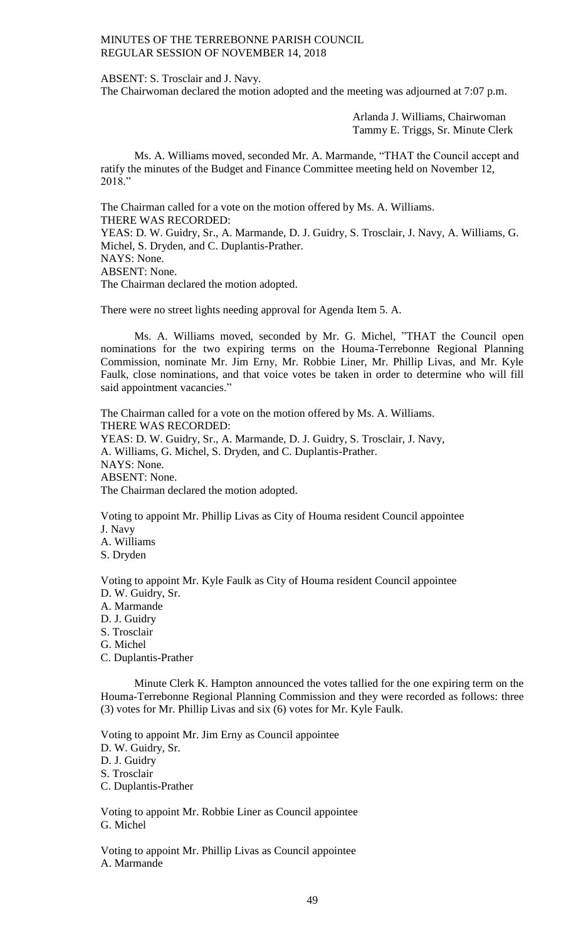ABSENT: S. Trosclair and J. Navy.

The Chairwoman declared the motion adopted and the meeting was adjourned at 7:07 p.m.

Arlanda J. Williams, Chairwoman Tammy E. Triggs, Sr. Minute Clerk

Ms. A. Williams moved, seconded Mr. A. Marmande, "THAT the Council accept and ratify the minutes of the Budget and Finance Committee meeting held on November 12, 2018."

The Chairman called for a vote on the motion offered by Ms. A. Williams. THERE WAS RECORDED: YEAS: D. W. Guidry, Sr., A. Marmande, D. J. Guidry, S. Trosclair, J. Navy, A. Williams, G. Michel, S. Dryden, and C. Duplantis-Prather. NAYS: None. ABSENT: None.

The Chairman declared the motion adopted.

There were no street lights needing approval for Agenda Item 5. A.

Ms. A. Williams moved, seconded by Mr. G. Michel, "THAT the Council open nominations for the two expiring terms on the Houma-Terrebonne Regional Planning Commission, nominate Mr. Jim Erny, Mr. Robbie Liner, Mr. Phillip Livas, and Mr. Kyle Faulk, close nominations, and that voice votes be taken in order to determine who will fill said appointment vacancies."

The Chairman called for a vote on the motion offered by Ms. A. Williams. THERE WAS RECORDED: YEAS: D. W. Guidry, Sr., A. Marmande, D. J. Guidry, S. Trosclair, J. Navy, A. Williams, G. Michel, S. Dryden, and C. Duplantis-Prather. NAYS: None. ABSENT: None. The Chairman declared the motion adopted.

Voting to appoint Mr. Phillip Livas as City of Houma resident Council appointee J. Navy A. Williams

S. Dryden

Voting to appoint Mr. Kyle Faulk as City of Houma resident Council appointee

- D. W. Guidry, Sr.
- A. Marmande
- D. J. Guidry
- S. Trosclair
- G. Michel

C. Duplantis-Prather

Minute Clerk K. Hampton announced the votes tallied for the one expiring term on the Houma-Terrebonne Regional Planning Commission and they were recorded as follows: three (3) votes for Mr. Phillip Livas and six (6) votes for Mr. Kyle Faulk.

Voting to appoint Mr. Jim Erny as Council appointee D. W. Guidry, Sr. D. J. Guidry S. Trosclair C. Duplantis-Prather

Voting to appoint Mr. Robbie Liner as Council appointee G. Michel

Voting to appoint Mr. Phillip Livas as Council appointee A. Marmande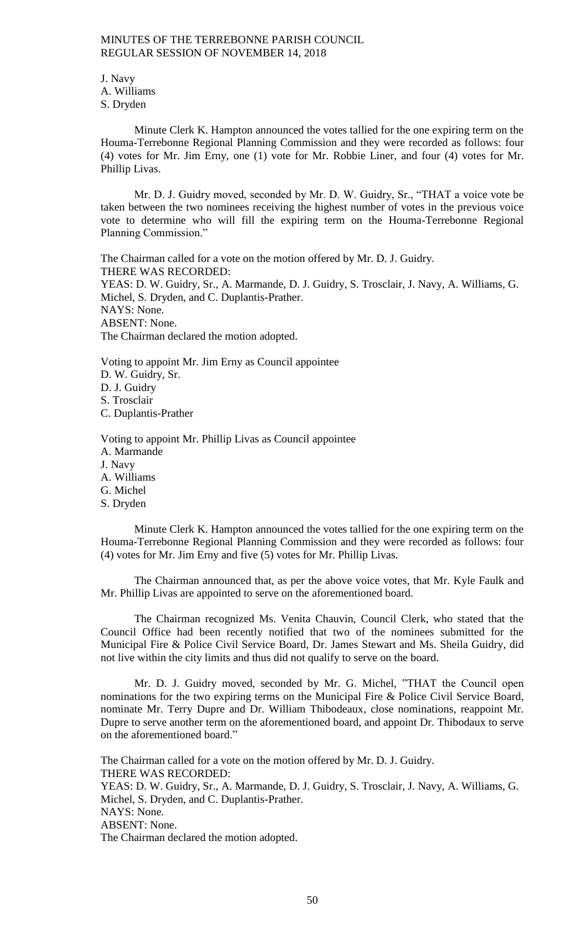J. Navy A. Williams S. Dryden

Minute Clerk K. Hampton announced the votes tallied for the one expiring term on the Houma-Terrebonne Regional Planning Commission and they were recorded as follows: four (4) votes for Mr. Jim Erny, one (1) vote for Mr. Robbie Liner, and four (4) votes for Mr. Phillip Livas.

Mr. D. J. Guidry moved, seconded by Mr. D. W. Guidry, Sr., "THAT a voice vote be taken between the two nominees receiving the highest number of votes in the previous voice vote to determine who will fill the expiring term on the Houma-Terrebonne Regional Planning Commission."

The Chairman called for a vote on the motion offered by Mr. D. J. Guidry. THERE WAS RECORDED: YEAS: D. W. Guidry, Sr., A. Marmande, D. J. Guidry, S. Trosclair, J. Navy, A. Williams, G. Michel, S. Dryden, and C. Duplantis-Prather. NAYS: None. ABSENT: None. The Chairman declared the motion adopted.

Voting to appoint Mr. Jim Erny as Council appointee D. W. Guidry, Sr. D. J. Guidry S. Trosclair C. Duplantis-Prather

Voting to appoint Mr. Phillip Livas as Council appointee A. Marmande J. Navy A. Williams G. Michel S. Dryden

Minute Clerk K. Hampton announced the votes tallied for the one expiring term on the Houma-Terrebonne Regional Planning Commission and they were recorded as follows: four (4) votes for Mr. Jim Erny and five (5) votes for Mr. Phillip Livas.

The Chairman announced that, as per the above voice votes, that Mr. Kyle Faulk and Mr. Phillip Livas are appointed to serve on the aforementioned board.

The Chairman recognized Ms. Venita Chauvin, Council Clerk, who stated that the Council Office had been recently notified that two of the nominees submitted for the Municipal Fire & Police Civil Service Board, Dr. James Stewart and Ms. Sheila Guidry, did not live within the city limits and thus did not qualify to serve on the board.

Mr. D. J. Guidry moved, seconded by Mr. G. Michel, "THAT the Council open nominations for the two expiring terms on the Municipal Fire & Police Civil Service Board, nominate Mr. Terry Dupre and Dr. William Thibodeaux, close nominations, reappoint Mr. Dupre to serve another term on the aforementioned board, and appoint Dr. Thibodaux to serve on the aforementioned board."

The Chairman called for a vote on the motion offered by Mr. D. J. Guidry. THERE WAS RECORDED: YEAS: D. W. Guidry, Sr., A. Marmande, D. J. Guidry, S. Trosclair, J. Navy, A. Williams, G. Michel, S. Dryden, and C. Duplantis-Prather. NAYS: None. ABSENT: None. The Chairman declared the motion adopted.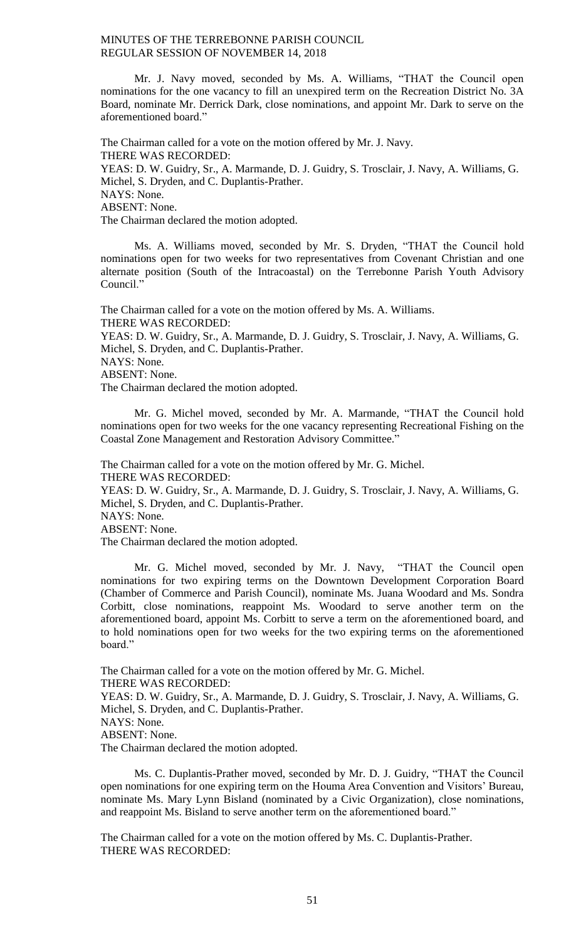Mr. J. Navy moved, seconded by Ms. A. Williams, "THAT the Council open nominations for the one vacancy to fill an unexpired term on the Recreation District No. 3A Board, nominate Mr. Derrick Dark, close nominations, and appoint Mr. Dark to serve on the aforementioned board."

The Chairman called for a vote on the motion offered by Mr. J. Navy. THERE WAS RECORDED: YEAS: D. W. Guidry, Sr., A. Marmande, D. J. Guidry, S. Trosclair, J. Navy, A. Williams, G. Michel, S. Dryden, and C. Duplantis-Prather. NAYS: None. ABSENT: None. The Chairman declared the motion adopted.

Ms. A. Williams moved, seconded by Mr. S. Dryden, "THAT the Council hold nominations open for two weeks for two representatives from Covenant Christian and one alternate position (South of the Intracoastal) on the Terrebonne Parish Youth Advisory Council."

The Chairman called for a vote on the motion offered by Ms. A. Williams. THERE WAS RECORDED:

YEAS: D. W. Guidry, Sr., A. Marmande, D. J. Guidry, S. Trosclair, J. Navy, A. Williams, G. Michel, S. Dryden, and C. Duplantis-Prather.

NAYS: None.

ABSENT: None.

The Chairman declared the motion adopted.

Mr. G. Michel moved, seconded by Mr. A. Marmande, "THAT the Council hold nominations open for two weeks for the one vacancy representing Recreational Fishing on the Coastal Zone Management and Restoration Advisory Committee."

The Chairman called for a vote on the motion offered by Mr. G. Michel. THERE WAS RECORDED:

YEAS: D. W. Guidry, Sr., A. Marmande, D. J. Guidry, S. Trosclair, J. Navy, A. Williams, G. Michel, S. Dryden, and C. Duplantis-Prather.

NAYS: None. ABSENT: None.

The Chairman declared the motion adopted.

Mr. G. Michel moved, seconded by Mr. J. Navy, "THAT the Council open nominations for two expiring terms on the Downtown Development Corporation Board (Chamber of Commerce and Parish Council), nominate Ms. Juana Woodard and Ms. Sondra Corbitt, close nominations, reappoint Ms. Woodard to serve another term on the aforementioned board, appoint Ms. Corbitt to serve a term on the aforementioned board, and to hold nominations open for two weeks for the two expiring terms on the aforementioned board."

The Chairman called for a vote on the motion offered by Mr. G. Michel. THERE WAS RECORDED:

YEAS: D. W. Guidry, Sr., A. Marmande, D. J. Guidry, S. Trosclair, J. Navy, A. Williams, G. Michel, S. Dryden, and C. Duplantis-Prather.

ABSENT: None.

The Chairman declared the motion adopted.

Ms. C. Duplantis-Prather moved, seconded by Mr. D. J. Guidry, "THAT the Council open nominations for one expiring term on the Houma Area Convention and Visitors' Bureau, nominate Ms. Mary Lynn Bisland (nominated by a Civic Organization), close nominations, and reappoint Ms. Bisland to serve another term on the aforementioned board."

The Chairman called for a vote on the motion offered by Ms. C. Duplantis-Prather. THERE WAS RECORDED:

NAYS: None.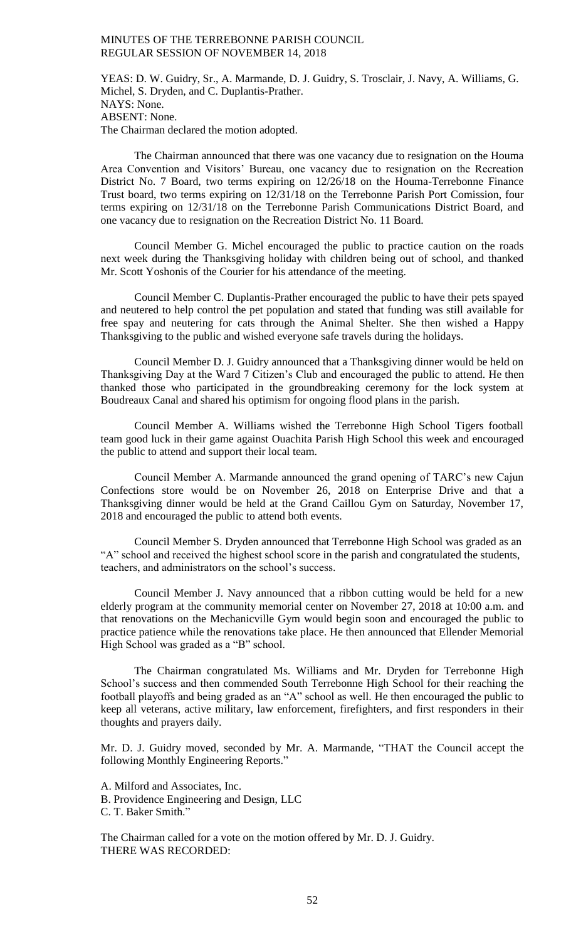YEAS: D. W. Guidry, Sr., A. Marmande, D. J. Guidry, S. Trosclair, J. Navy, A. Williams, G. Michel, S. Dryden, and C. Duplantis-Prather. NAYS: None. ABSENT: None. The Chairman declared the motion adopted.

The Chairman announced that there was one vacancy due to resignation on the Houma Area Convention and Visitors' Bureau, one vacancy due to resignation on the Recreation District No. 7 Board, two terms expiring on 12/26/18 on the Houma-Terrebonne Finance Trust board, two terms expiring on 12/31/18 on the Terrebonne Parish Port Comission, four terms expiring on 12/31/18 on the Terrebonne Parish Communications District Board, and one vacancy due to resignation on the Recreation District No. 11 Board.

Council Member G. Michel encouraged the public to practice caution on the roads next week during the Thanksgiving holiday with children being out of school, and thanked Mr. Scott Yoshonis of the Courier for his attendance of the meeting.

Council Member C. Duplantis-Prather encouraged the public to have their pets spayed and neutered to help control the pet population and stated that funding was still available for free spay and neutering for cats through the Animal Shelter. She then wished a Happy Thanksgiving to the public and wished everyone safe travels during the holidays.

Council Member D. J. Guidry announced that a Thanksgiving dinner would be held on Thanksgiving Day at the Ward 7 Citizen's Club and encouraged the public to attend. He then thanked those who participated in the groundbreaking ceremony for the lock system at Boudreaux Canal and shared his optimism for ongoing flood plans in the parish.

Council Member A. Williams wished the Terrebonne High School Tigers football team good luck in their game against Ouachita Parish High School this week and encouraged the public to attend and support their local team.

Council Member A. Marmande announced the grand opening of TARC's new Cajun Confections store would be on November 26, 2018 on Enterprise Drive and that a Thanksgiving dinner would be held at the Grand Caillou Gym on Saturday, November 17, 2018 and encouraged the public to attend both events.

Council Member S. Dryden announced that Terrebonne High School was graded as an "A" school and received the highest school score in the parish and congratulated the students, teachers, and administrators on the school's success.

Council Member J. Navy announced that a ribbon cutting would be held for a new elderly program at the community memorial center on November 27, 2018 at 10:00 a.m. and that renovations on the Mechanicville Gym would begin soon and encouraged the public to practice patience while the renovations take place. He then announced that Ellender Memorial High School was graded as a "B" school.

The Chairman congratulated Ms. Williams and Mr. Dryden for Terrebonne High School's success and then commended South Terrebonne High School for their reaching the football playoffs and being graded as an "A" school as well. He then encouraged the public to keep all veterans, active military, law enforcement, firefighters, and first responders in their thoughts and prayers daily.

Mr. D. J. Guidry moved, seconded by Mr. A. Marmande, "THAT the Council accept the following Monthly Engineering Reports."

A. Milford and Associates, Inc. B. Providence Engineering and Design, LLC C. T. Baker Smith."

The Chairman called for a vote on the motion offered by Mr. D. J. Guidry. THERE WAS RECORDED: